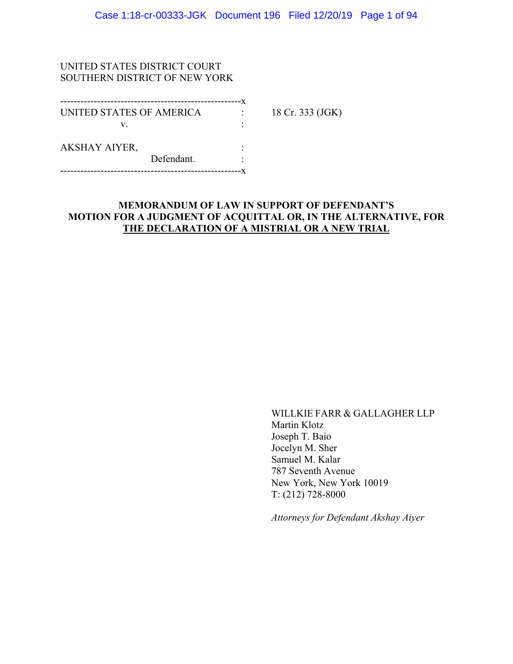### UNITED STATES DISTRICT COURT SOUTHERN DISTRICT OF NEW YORK

| UNITED STATES OF AMERICA |            | 18 Cr. 333 (JGK) |
|--------------------------|------------|------------------|
| V                        |            |                  |
| <b>AKSHAY AIYER,</b>     |            |                  |
|                          | Defendant. |                  |
|                          |            |                  |

## **MEMORANDUM OF LAW IN SUPPORT OF DEFENDANT'S MOTION FOR A JUDGMENT OF ACQUITTAL OR, IN THE ALTERNATIVE, FOR THE DECLARATION OF A MISTRIAL OR A NEW TRIAL**

WILLKIE FARR & GALLAGHER LLP Martin Klotz Joseph T. Baio Jocelyn M. Sher Samuel M. Kalar 787 Seventh Avenue New York, New York 10019 T: (212) 728-8000

*Attorneys for Defendant Akshay Aiyer*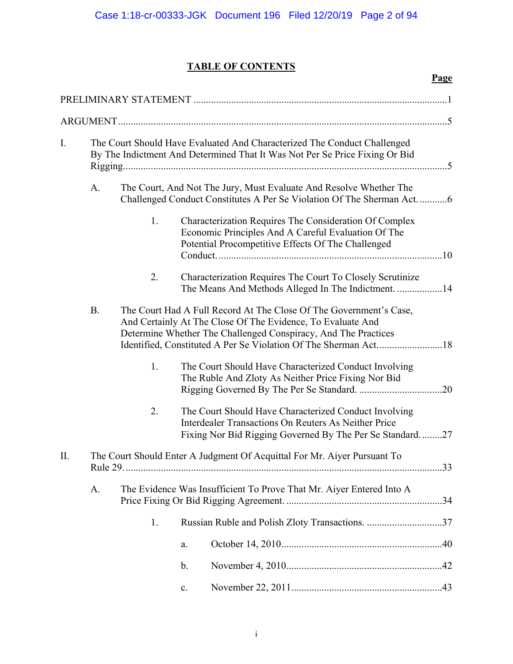## **TABLE OF CONTENTS**

|     |                                                                                                                                                   |    |                                                                                                                                                                                                     | Page |
|-----|---------------------------------------------------------------------------------------------------------------------------------------------------|----|-----------------------------------------------------------------------------------------------------------------------------------------------------------------------------------------------------|------|
|     |                                                                                                                                                   |    |                                                                                                                                                                                                     |      |
|     |                                                                                                                                                   |    |                                                                                                                                                                                                     |      |
| I.  |                                                                                                                                                   |    | The Court Should Have Evaluated And Characterized The Conduct Challenged<br>By The Indictment And Determined That It Was Not Per Se Price Fixing Or Bid                                             |      |
|     | A.<br>The Court, And Not The Jury, Must Evaluate And Resolve Whether The<br>Challenged Conduct Constitutes A Per Se Violation Of The Sherman Act6 |    |                                                                                                                                                                                                     |      |
|     |                                                                                                                                                   | 1. | Characterization Requires The Consideration Of Complex<br>Economic Principles And A Careful Evaluation Of The<br>Potential Procompetitive Effects Of The Challenged                                 |      |
|     |                                                                                                                                                   | 2. | Characterization Requires The Court To Closely Scrutinize<br>The Means And Methods Alleged In The Indictment. 14                                                                                    |      |
|     | <b>B.</b>                                                                                                                                         |    | The Court Had A Full Record At The Close Of The Government's Case,<br>And Certainly At The Close Of The Evidence, To Evaluate And<br>Determine Whether The Challenged Conspiracy, And The Practices |      |
|     |                                                                                                                                                   | 1. | The Court Should Have Characterized Conduct Involving<br>The Ruble And Zloty As Neither Price Fixing Nor Bid                                                                                        |      |
|     |                                                                                                                                                   | 2. | The Court Should Have Characterized Conduct Involving<br>Interdealer Transactions On Reuters As Neither Price<br>Fixing Nor Bid Rigging Governed By The Per Se Standard27                           |      |
| II. |                                                                                                                                                   |    | The Court Should Enter A Judgment Of Acquittal For Mr. Aiyer Pursuant To                                                                                                                            |      |
|     | A.                                                                                                                                                |    | The Evidence Was Insufficient To Prove That Mr. Aiyer Entered Into A                                                                                                                                |      |
|     |                                                                                                                                                   | 1. | Russian Ruble and Polish Zloty Transactions. 37                                                                                                                                                     |      |
|     |                                                                                                                                                   |    | a.                                                                                                                                                                                                  |      |
|     |                                                                                                                                                   |    | $\mathbf b$ .                                                                                                                                                                                       |      |
|     |                                                                                                                                                   |    | c.                                                                                                                                                                                                  |      |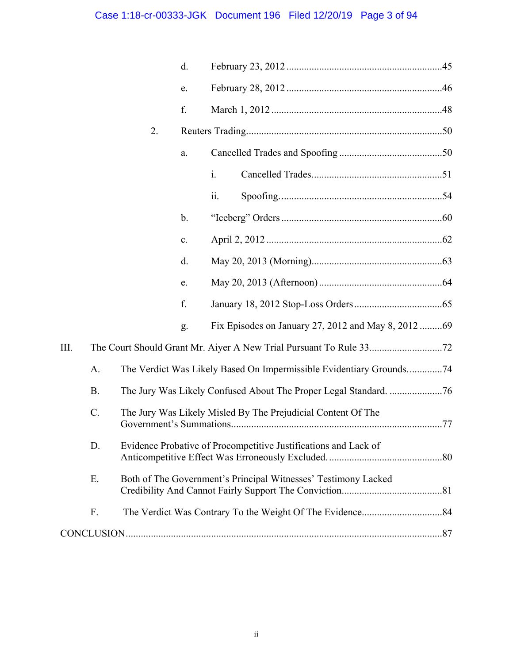# Case 1:18-cr-00333-JGK Document 196 Filed 12/20/19 Page 3 of 94

|      |           |    | d.            |                                                                     |  |
|------|-----------|----|---------------|---------------------------------------------------------------------|--|
|      |           |    | e.            |                                                                     |  |
|      |           |    | f.            |                                                                     |  |
|      |           | 2. |               |                                                                     |  |
|      |           |    | a.            |                                                                     |  |
|      |           |    |               | $\dot{1}$ .                                                         |  |
|      |           |    |               | ii.                                                                 |  |
|      |           |    | $\mathbf b$ . |                                                                     |  |
|      |           |    | c.            |                                                                     |  |
|      |           |    | d.            |                                                                     |  |
|      |           |    | e.            |                                                                     |  |
|      |           |    | f.            |                                                                     |  |
|      |           |    | g.            | Fix Episodes on January 27, 2012 and May 8, 2012 69                 |  |
| III. |           |    |               |                                                                     |  |
|      | A.        |    |               | The Verdict Was Likely Based On Impermissible Evidentiary Grounds74 |  |
|      | <b>B.</b> |    |               |                                                                     |  |
|      | $C$ .     |    |               | The Jury Was Likely Misled By The Prejudicial Content Of The        |  |
|      | D.        |    |               | Evidence Probative of Procompetitive Justifications and Lack of     |  |
|      | Е.        |    |               | Both of The Government's Principal Witnesses' Testimony Lacked      |  |
|      | F.        |    |               |                                                                     |  |
|      |           |    |               |                                                                     |  |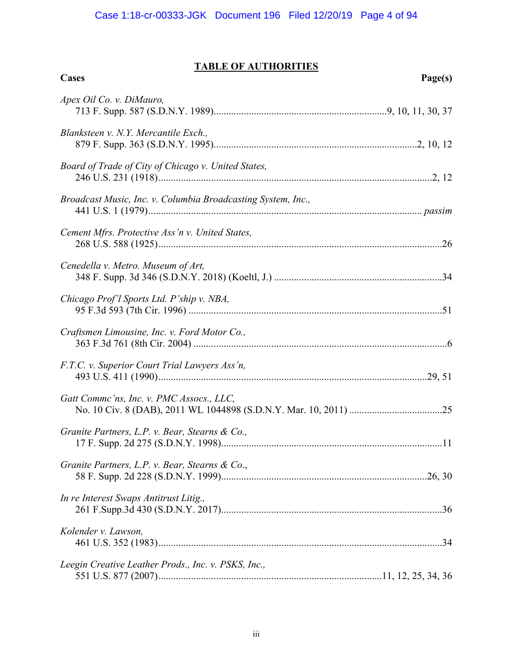## **TABLE OF AUTHORITIES**

| Cases                                                        | Page(s) |
|--------------------------------------------------------------|---------|
| Apex Oil Co. v. DiMauro,                                     |         |
| Blanksteen v. N.Y. Mercantile Exch.,                         |         |
| Board of Trade of City of Chicago v. United States,          |         |
| Broadcast Music, Inc. v. Columbia Broadcasting System, Inc., |         |
| Cement Mfrs. Protective Ass'n v. United States,              |         |
| Cenedella v. Metro. Museum of Art,                           |         |
| Chicago Prof'l Sports Ltd. P'ship v. NBA,                    |         |
| Craftsmen Limousine, Inc. v. Ford Motor Co.,                 |         |
| F.T.C. v. Superior Court Trial Lawyers Ass'n,                |         |
| Gatt Commc'ns, Inc. v. PMC Assocs., LLC,                     |         |
| Granite Partners, L.P. v. Bear, Stearns & Co.,               |         |
| Granite Partners, L.P. v. Bear, Stearns & Co.,               |         |
| In re Interest Swaps Antitrust Litig.,                       |         |
| Kolender v. Lawson.                                          |         |
| Leegin Creative Leather Prods., Inc. v. PSKS, Inc.,          |         |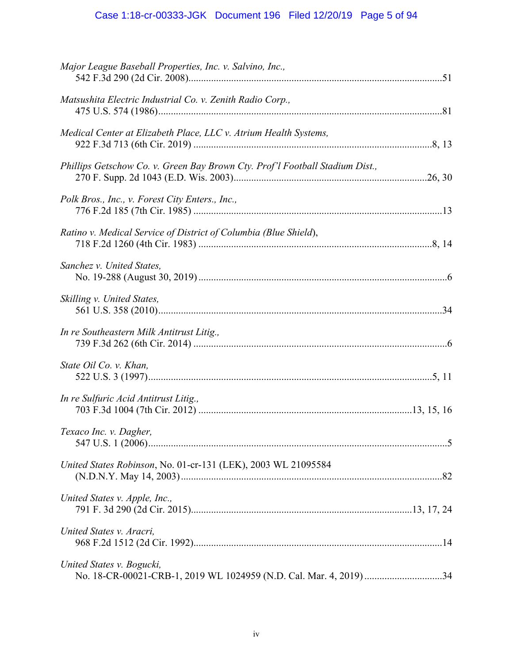# Case 1:18-cr-00333-JGK Document 196 Filed 12/20/19 Page 5 of 94

| Major League Baseball Properties, Inc. v. Salvino, Inc.,                                        |  |
|-------------------------------------------------------------------------------------------------|--|
| Matsushita Electric Industrial Co. v. Zenith Radio Corp.,                                       |  |
| Medical Center at Elizabeth Place, LLC v. Atrium Health Systems,                                |  |
| Phillips Getschow Co. v. Green Bay Brown Cty. Prof'l Football Stadium Dist.,                    |  |
| Polk Bros., Inc., v. Forest City Enters., Inc.,                                                 |  |
| Ratino v. Medical Service of District of Columbia (Blue Shield),                                |  |
| Sanchez v. United States,                                                                       |  |
| Skilling v. United States,                                                                      |  |
| In re Southeastern Milk Antitrust Litig.,                                                       |  |
| State Oil Co. v. Khan,                                                                          |  |
| In re Sulfuric Acid Antitrust Litig.,                                                           |  |
| Texaco Inc. v. Dagher,                                                                          |  |
| United States Robinson, No. 01-cr-131 (LEK), 2003 WL 21095584                                   |  |
| United States v. Apple, Inc.,                                                                   |  |
| United States v. Aracri,                                                                        |  |
| United States v. Bogucki,<br>No. 18-CR-00021-CRB-1, 2019 WL 1024959 (N.D. Cal. Mar. 4, 2019) 34 |  |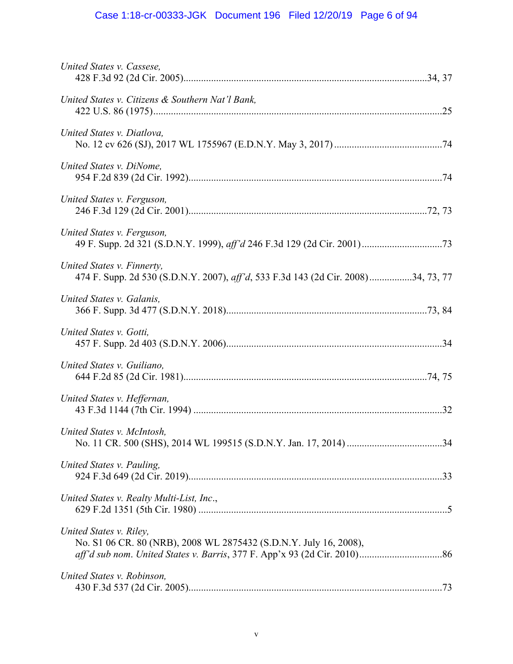# Case 1:18-cr-00333-JGK Document 196 Filed 12/20/19 Page 6 of 94

| United States v. Cassese,                                                                                       |  |
|-----------------------------------------------------------------------------------------------------------------|--|
| United States v. Citizens & Southern Nat'l Bank,                                                                |  |
| United States v. Diatlova,                                                                                      |  |
| United States v. DiNome,                                                                                        |  |
| United States v. Ferguson,                                                                                      |  |
| United States v. Ferguson,                                                                                      |  |
| United States v. Finnerty,<br>474 F. Supp. 2d 530 (S.D.N.Y. 2007), aff'd, 533 F.3d 143 (2d Cir. 2008)34, 73, 77 |  |
| United States v. Galanis,                                                                                       |  |
| United States v. Gotti,                                                                                         |  |
| United States v. Guiliano,                                                                                      |  |
| United States v. Heffernan,                                                                                     |  |
| United States v. McIntosh,                                                                                      |  |
| United States v. Pauling,                                                                                       |  |
| United States v. Realty Multi-List, Inc.,                                                                       |  |
| United States v. Riley,<br>No. S1 06 CR. 80 (NRB), 2008 WL 2875432 (S.D.N.Y. July 16, 2008),                    |  |
| United States v. Robinson,                                                                                      |  |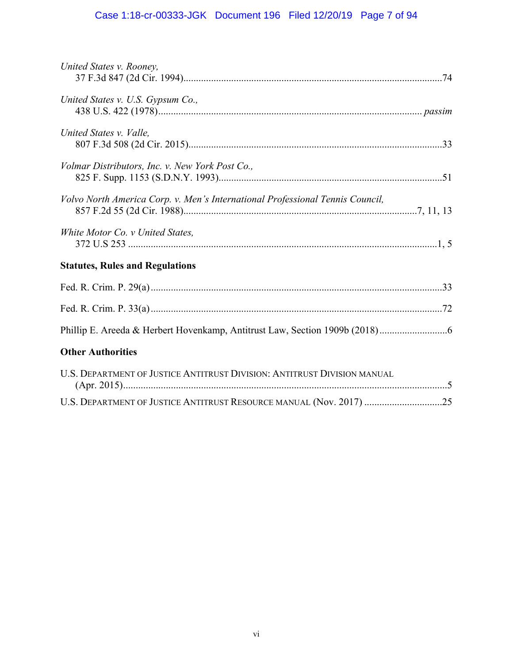# Case 1:18-cr-00333-JGK Document 196 Filed 12/20/19 Page 7 of 94

| United States v. Rooney,                                                      |  |
|-------------------------------------------------------------------------------|--|
| United States v. U.S. Gypsum Co.,                                             |  |
| United States v. Valle,                                                       |  |
| Volmar Distributors, Inc. v. New York Post Co.,                               |  |
| Volvo North America Corp. v. Men's International Professional Tennis Council, |  |
| White Motor Co. v United States,                                              |  |
| <b>Statutes, Rules and Regulations</b>                                        |  |
|                                                                               |  |
|                                                                               |  |
|                                                                               |  |
| <b>Other Authorities</b>                                                      |  |
| U.S. DEPARTMENT OF JUSTICE ANTITRUST DIVISION: ANTITRUST DIVISION MANUAL      |  |
| U.S. DEPARTMENT OF JUSTICE ANTITRUST RESOURCE MANUAL (Nov. 2017) 25           |  |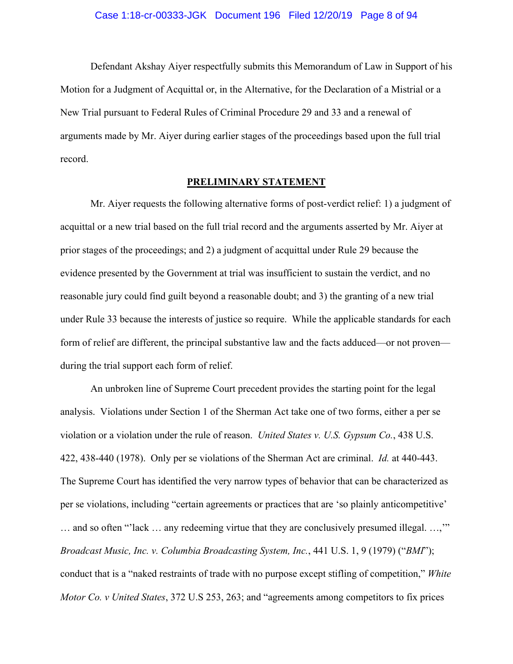Defendant Akshay Aiyer respectfully submits this Memorandum of Law in Support of his Motion for a Judgment of Acquittal or, in the Alternative, for the Declaration of a Mistrial or a New Trial pursuant to Federal Rules of Criminal Procedure 29 and 33 and a renewal of arguments made by Mr. Aiyer during earlier stages of the proceedings based upon the full trial record.

### **PRELIMINARY STATEMENT**

Mr. Aiyer requests the following alternative forms of post-verdict relief: 1) a judgment of acquittal or a new trial based on the full trial record and the arguments asserted by Mr. Aiyer at prior stages of the proceedings; and 2) a judgment of acquittal under Rule 29 because the evidence presented by the Government at trial was insufficient to sustain the verdict, and no reasonable jury could find guilt beyond a reasonable doubt; and 3) the granting of a new trial under Rule 33 because the interests of justice so require. While the applicable standards for each form of relief are different, the principal substantive law and the facts adduced—or not proven during the trial support each form of relief.

An unbroken line of Supreme Court precedent provides the starting point for the legal analysis. Violations under Section 1 of the Sherman Act take one of two forms, either a per se violation or a violation under the rule of reason. *United States v. U.S. Gypsum Co.*, 438 U.S. 422, 438-440 (1978). Only per se violations of the Sherman Act are criminal. *Id.* at 440-443. The Supreme Court has identified the very narrow types of behavior that can be characterized as per se violations, including "certain agreements or practices that are 'so plainly anticompetitive' … and so often "'lack … any redeeming virtue that they are conclusively presumed illegal. …,'" *Broadcast Music, Inc. v. Columbia Broadcasting System, Inc.*, 441 U.S. 1, 9 (1979) ("*BMI*"); conduct that is a "naked restraints of trade with no purpose except stifling of competition," *White Motor Co. v United States*, 372 U.S 253, 263; and "agreements among competitors to fix prices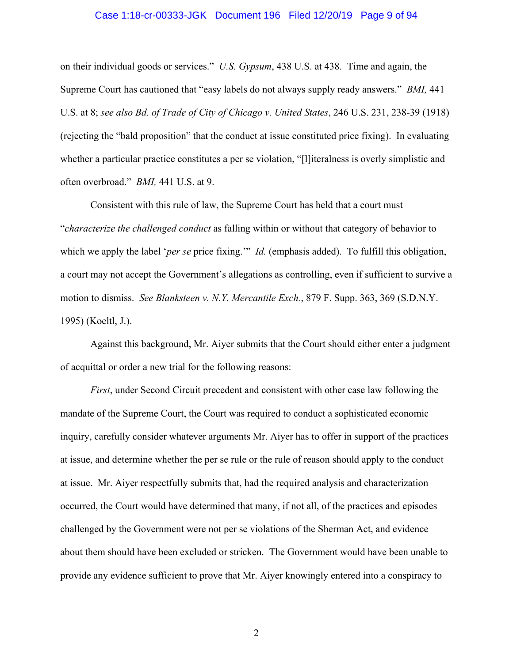#### Case 1:18-cr-00333-JGK Document 196 Filed 12/20/19 Page 9 of 94

on their individual goods or services." *U.S. Gypsum*, 438 U.S. at 438. Time and again, the Supreme Court has cautioned that "easy labels do not always supply ready answers." *BMI,* 441 U.S. at 8; *see also Bd. of Trade of City of Chicago v. United States*, 246 U.S. 231, 238-39 (1918) (rejecting the "bald proposition" that the conduct at issue constituted price fixing). In evaluating whether a particular practice constitutes a per se violation, "[l]iteralness is overly simplistic and often overbroad." *BMI,* 441 U.S. at 9.

Consistent with this rule of law, the Supreme Court has held that a court must "*characterize the challenged conduct* as falling within or without that category of behavior to which we apply the label '*per se* price fixing.'" *Id.* (emphasis added). To fulfill this obligation, a court may not accept the Government's allegations as controlling, even if sufficient to survive a motion to dismiss. *See Blanksteen v. N.Y. Mercantile Exch.*, 879 F. Supp. 363, 369 (S.D.N.Y. 1995) (Koeltl, J.).

Against this background, Mr. Aiyer submits that the Court should either enter a judgment of acquittal or order a new trial for the following reasons:

*First*, under Second Circuit precedent and consistent with other case law following the mandate of the Supreme Court, the Court was required to conduct a sophisticated economic inquiry, carefully consider whatever arguments Mr. Aiyer has to offer in support of the practices at issue, and determine whether the per se rule or the rule of reason should apply to the conduct at issue. Mr. Aiyer respectfully submits that, had the required analysis and characterization occurred, the Court would have determined that many, if not all, of the practices and episodes challenged by the Government were not per se violations of the Sherman Act, and evidence about them should have been excluded or stricken. The Government would have been unable to provide any evidence sufficient to prove that Mr. Aiyer knowingly entered into a conspiracy to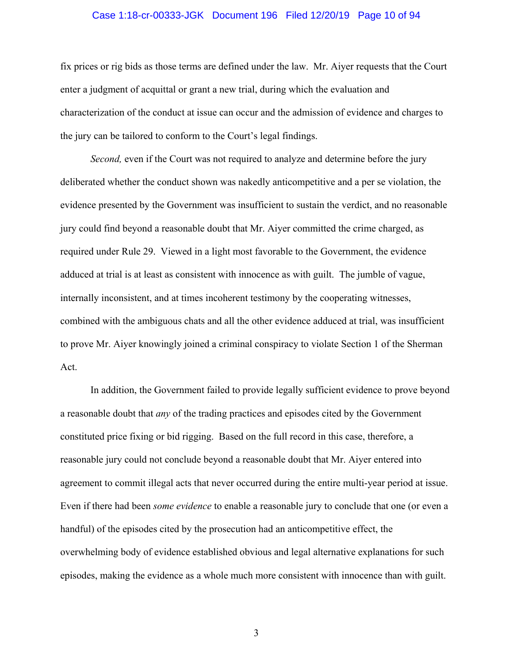#### Case 1:18-cr-00333-JGK Document 196 Filed 12/20/19 Page 10 of 94

fix prices or rig bids as those terms are defined under the law. Mr. Aiyer requests that the Court enter a judgment of acquittal or grant a new trial, during which the evaluation and characterization of the conduct at issue can occur and the admission of evidence and charges to the jury can be tailored to conform to the Court's legal findings.

*Second,* even if the Court was not required to analyze and determine before the jury deliberated whether the conduct shown was nakedly anticompetitive and a per se violation, the evidence presented by the Government was insufficient to sustain the verdict, and no reasonable jury could find beyond a reasonable doubt that Mr. Aiyer committed the crime charged, as required under Rule 29. Viewed in a light most favorable to the Government, the evidence adduced at trial is at least as consistent with innocence as with guilt. The jumble of vague, internally inconsistent, and at times incoherent testimony by the cooperating witnesses, combined with the ambiguous chats and all the other evidence adduced at trial, was insufficient to prove Mr. Aiyer knowingly joined a criminal conspiracy to violate Section 1 of the Sherman Act.

In addition, the Government failed to provide legally sufficient evidence to prove beyond a reasonable doubt that *any* of the trading practices and episodes cited by the Government constituted price fixing or bid rigging. Based on the full record in this case, therefore, a reasonable jury could not conclude beyond a reasonable doubt that Mr. Aiyer entered into agreement to commit illegal acts that never occurred during the entire multi-year period at issue. Even if there had been *some evidence* to enable a reasonable jury to conclude that one (or even a handful) of the episodes cited by the prosecution had an anticompetitive effect, the overwhelming body of evidence established obvious and legal alternative explanations for such episodes, making the evidence as a whole much more consistent with innocence than with guilt.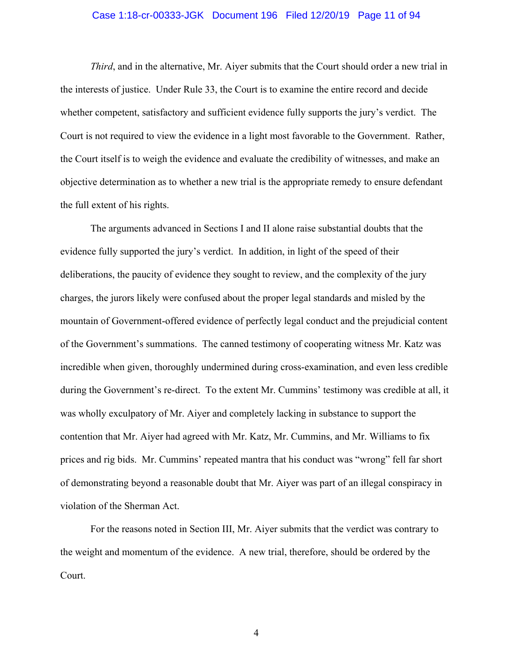#### Case 1:18-cr-00333-JGK Document 196 Filed 12/20/19 Page 11 of 94

*Third*, and in the alternative, Mr. Aiyer submits that the Court should order a new trial in the interests of justice. Under Rule 33, the Court is to examine the entire record and decide whether competent, satisfactory and sufficient evidence fully supports the jury's verdict. The Court is not required to view the evidence in a light most favorable to the Government. Rather, the Court itself is to weigh the evidence and evaluate the credibility of witnesses, and make an objective determination as to whether a new trial is the appropriate remedy to ensure defendant the full extent of his rights.

The arguments advanced in Sections I and II alone raise substantial doubts that the evidence fully supported the jury's verdict. In addition, in light of the speed of their deliberations, the paucity of evidence they sought to review, and the complexity of the jury charges, the jurors likely were confused about the proper legal standards and misled by the mountain of Government-offered evidence of perfectly legal conduct and the prejudicial content of the Government's summations. The canned testimony of cooperating witness Mr. Katz was incredible when given, thoroughly undermined during cross-examination, and even less credible during the Government's re-direct. To the extent Mr. Cummins' testimony was credible at all, it was wholly exculpatory of Mr. Aiyer and completely lacking in substance to support the contention that Mr. Aiyer had agreed with Mr. Katz, Mr. Cummins, and Mr. Williams to fix prices and rig bids. Mr. Cummins' repeated mantra that his conduct was "wrong" fell far short of demonstrating beyond a reasonable doubt that Mr. Aiyer was part of an illegal conspiracy in violation of the Sherman Act.

For the reasons noted in Section III, Mr. Aiyer submits that the verdict was contrary to the weight and momentum of the evidence. A new trial, therefore, should be ordered by the Court.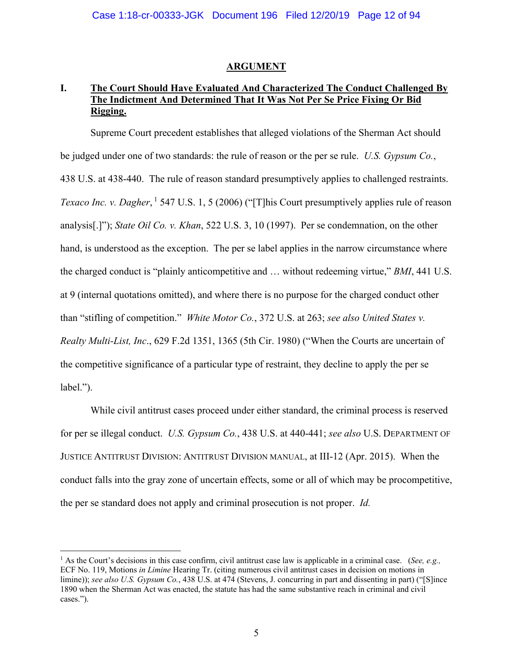#### **ARGUMENT**

## **I. The Court Should Have Evaluated And Characterized The Conduct Challenged By The Indictment And Determined That It Was Not Per Se Price Fixing Or Bid Rigging.**

Supreme Court precedent establishes that alleged violations of the Sherman Act should be judged under one of two standards: the rule of reason or the per se rule. *U.S. Gypsum Co.*, 438 U.S. at 438-440. The rule of reason standard presumptively applies to challenged restraints. *Texaco Inc. v. Dagher*, <sup>1</sup> 547 U.S. 1, 5 (2006) ("[T]his Court presumptively applies rule of reason analysis[.]"); *State Oil Co. v. Khan*, 522 U.S. 3, 10 (1997). Per se condemnation, on the other hand, is understood as the exception. The per se label applies in the narrow circumstance where the charged conduct is "plainly anticompetitive and … without redeeming virtue," *BMI*, 441 U.S. at 9 (internal quotations omitted), and where there is no purpose for the charged conduct other than "stifling of competition." *White Motor Co.*, 372 U.S. at 263; *see also United States v. Realty Multi-List, Inc*., 629 F.2d 1351, 1365 (5th Cir. 1980) ("When the Courts are uncertain of the competitive significance of a particular type of restraint, they decline to apply the per se label.").

While civil antitrust cases proceed under either standard, the criminal process is reserved for per se illegal conduct. *U.S. Gypsum Co.*, 438 U.S. at 440-441; *see also* U.S. DEPARTMENT OF JUSTICE ANTITRUST DIVISION: ANTITRUST DIVISION MANUAL, at III-12 (Apr. 2015). When the conduct falls into the gray zone of uncertain effects, some or all of which may be procompetitive, the per se standard does not apply and criminal prosecution is not proper. *Id.*

 $\overline{a}$ 

<sup>1</sup> As the Court's decisions in this case confirm, civil antitrust case law is applicable in a criminal case. (*See, e.g.,* ECF No. 119, Motions *in Limine* Hearing Tr. (citing numerous civil antitrust cases in decision on motions in limine)); *see also U.S. Gypsum Co.*, 438 U.S. at 474 (Stevens, J. concurring in part and dissenting in part) ("[S]ince 1890 when the Sherman Act was enacted, the statute has had the same substantive reach in criminal and civil cases.").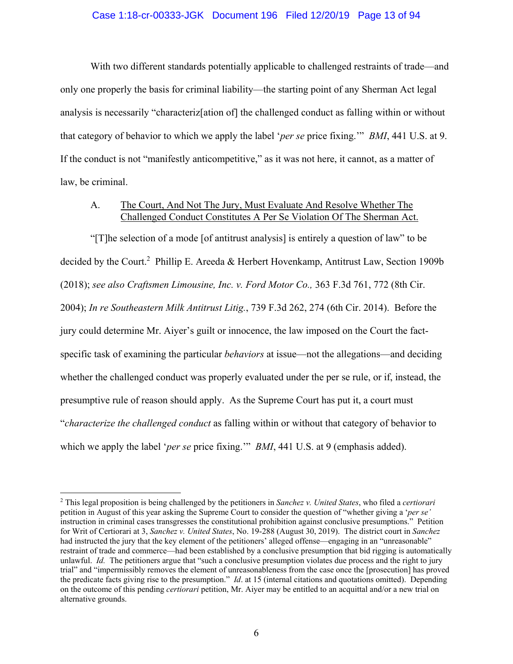#### Case 1:18-cr-00333-JGK Document 196 Filed 12/20/19 Page 13 of 94

With two different standards potentially applicable to challenged restraints of trade—and only one properly the basis for criminal liability—the starting point of any Sherman Act legal analysis is necessarily "characteriz[ation of] the challenged conduct as falling within or without that category of behavior to which we apply the label '*per se* price fixing.'" *BMI*, 441 U.S. at 9. If the conduct is not "manifestly anticompetitive," as it was not here, it cannot, as a matter of law, be criminal.

## A. The Court, And Not The Jury, Must Evaluate And Resolve Whether The Challenged Conduct Constitutes A Per Se Violation Of The Sherman Act.

"[T]he selection of a mode [of antitrust analysis] is entirely a question of law" to be decided by the Court.<sup>2</sup> Phillip E. Areeda & Herbert Hovenkamp, Antitrust Law, Section 1909b (2018); *see also Craftsmen Limousine, Inc. v. Ford Motor Co.,* 363 F.3d 761, 772 (8th Cir. 2004); *In re Southeastern Milk Antitrust Litig.*, 739 F.3d 262, 274 (6th Cir. 2014). Before the jury could determine Mr. Aiyer's guilt or innocence, the law imposed on the Court the factspecific task of examining the particular *behaviors* at issue—not the allegations—and deciding whether the challenged conduct was properly evaluated under the per se rule, or if, instead, the presumptive rule of reason should apply. As the Supreme Court has put it, a court must "*characterize the challenged conduct* as falling within or without that category of behavior to which we apply the label '*per se* price fixing.'" *BMI*, 441 U.S. at 9 (emphasis added).

 $\overline{a}$ 

<sup>2</sup> This legal proposition is being challenged by the petitioners in *Sanchez v. United States*, who filed a *certiorari* petition in August of this year asking the Supreme Court to consider the question of "whether giving a '*per se'* instruction in criminal cases transgresses the constitutional prohibition against conclusive presumptions." Petition for Writ of Certiorari at 3, *Sanchez v. United States*, No. 19-288 (August 30, 2019). The district court in *Sanchez* had instructed the jury that the key element of the petitioners' alleged offense—engaging in an "unreasonable" restraint of trade and commerce—had been established by a conclusive presumption that bid rigging is automatically unlawful. *Id.* The petitioners argue that "such a conclusive presumption violates due process and the right to jury trial" and "impermissibly removes the element of unreasonableness from the case once the [prosecution] has proved the predicate facts giving rise to the presumption." *Id*. at 15 (internal citations and quotations omitted). Depending on the outcome of this pending *certiorari* petition, Mr. Aiyer may be entitled to an acquittal and/or a new trial on alternative grounds.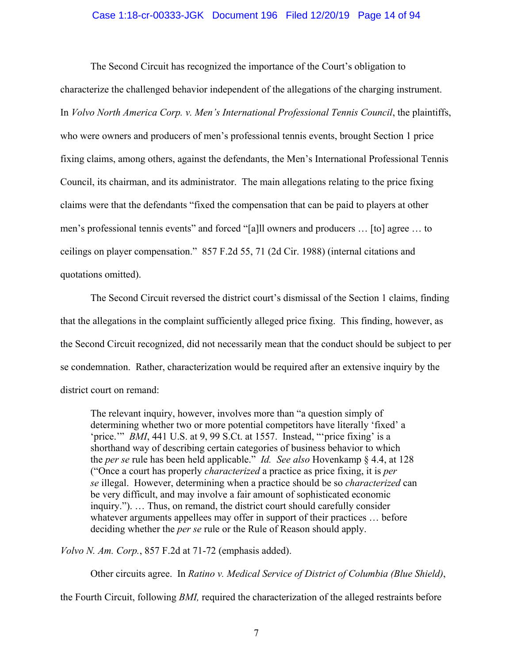#### Case 1:18-cr-00333-JGK Document 196 Filed 12/20/19 Page 14 of 94

The Second Circuit has recognized the importance of the Court's obligation to characterize the challenged behavior independent of the allegations of the charging instrument. In *Volvo North America Corp. v. Men's International Professional Tennis Council*, the plaintiffs, who were owners and producers of men's professional tennis events, brought Section 1 price fixing claims, among others, against the defendants, the Men's International Professional Tennis Council, its chairman, and its administrator. The main allegations relating to the price fixing claims were that the defendants "fixed the compensation that can be paid to players at other men's professional tennis events" and forced "[a]ll owners and producers … [to] agree … to ceilings on player compensation." 857 F.2d 55, 71 (2d Cir. 1988) (internal citations and quotations omitted).

The Second Circuit reversed the district court's dismissal of the Section 1 claims, finding that the allegations in the complaint sufficiently alleged price fixing. This finding, however, as the Second Circuit recognized, did not necessarily mean that the conduct should be subject to per se condemnation. Rather, characterization would be required after an extensive inquiry by the district court on remand:

The relevant inquiry, however, involves more than "a question simply of determining whether two or more potential competitors have literally 'fixed' a 'price.'" *BMI*, 441 U.S. at 9, 99 S.Ct. at 1557. Instead, "'price fixing' is a shorthand way of describing certain categories of business behavior to which the *per se* rule has been held applicable." *Id. See also* Hovenkamp § 4.4, at 128 ("Once a court has properly *characterized* a practice as price fixing, it is *per se* illegal. However, determining when a practice should be so *characterized* can be very difficult, and may involve a fair amount of sophisticated economic inquiry."). … Thus, on remand, the district court should carefully consider whatever arguments appellees may offer in support of their practices … before deciding whether the *per se* rule or the Rule of Reason should apply.

*Volvo N. Am. Corp.*, 857 F.2d at 71-72 (emphasis added).

Other circuits agree. In *Ratino v. Medical Service of District of Columbia (Blue Shield)*,

the Fourth Circuit, following *BMI,* required the characterization of the alleged restraints before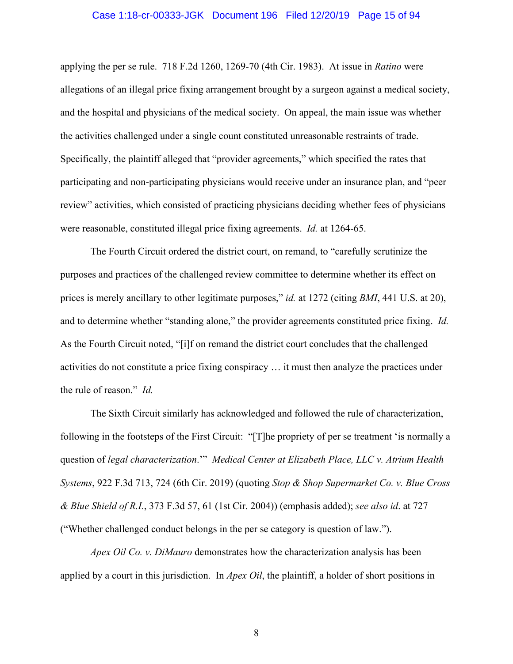#### Case 1:18-cr-00333-JGK Document 196 Filed 12/20/19 Page 15 of 94

applying the per se rule. 718 F.2d 1260, 1269-70 (4th Cir. 1983). At issue in *Ratino* were allegations of an illegal price fixing arrangement brought by a surgeon against a medical society, and the hospital and physicians of the medical society. On appeal, the main issue was whether the activities challenged under a single count constituted unreasonable restraints of trade. Specifically, the plaintiff alleged that "provider agreements," which specified the rates that participating and non-participating physicians would receive under an insurance plan, and "peer review" activities, which consisted of practicing physicians deciding whether fees of physicians were reasonable, constituted illegal price fixing agreements. *Id.* at 1264-65.

The Fourth Circuit ordered the district court, on remand, to "carefully scrutinize the purposes and practices of the challenged review committee to determine whether its effect on prices is merely ancillary to other legitimate purposes," *id.* at 1272 (citing *BMI*, 441 U.S. at 20), and to determine whether "standing alone," the provider agreements constituted price fixing. *Id.* As the Fourth Circuit noted, "[i]f on remand the district court concludes that the challenged activities do not constitute a price fixing conspiracy … it must then analyze the practices under the rule of reason." *Id.*

The Sixth Circuit similarly has acknowledged and followed the rule of characterization, following in the footsteps of the First Circuit: "[T]he propriety of per se treatment 'is normally a question of *legal characterization*.'" *Medical Center at Elizabeth Place, LLC v. Atrium Health Systems*, 922 F.3d 713, 724 (6th Cir. 2019) (quoting *Stop & Shop Supermarket Co. v. Blue Cross & Blue Shield of R.I.*, 373 F.3d 57, 61 (1st Cir. 2004)) (emphasis added); *see also id*. at 727 ("Whether challenged conduct belongs in the per se category is question of law.").

*Apex Oil Co. v. DiMauro* demonstrates how the characterization analysis has been applied by a court in this jurisdiction. In *Apex Oil*, the plaintiff, a holder of short positions in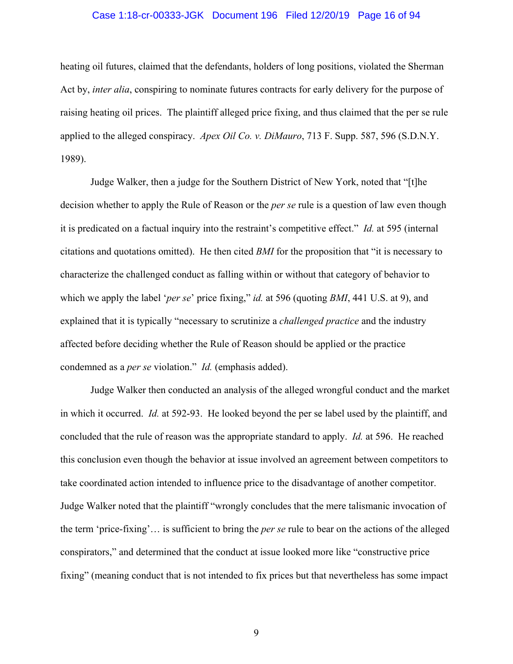#### Case 1:18-cr-00333-JGK Document 196 Filed 12/20/19 Page 16 of 94

heating oil futures, claimed that the defendants, holders of long positions, violated the Sherman Act by, *inter alia*, conspiring to nominate futures contracts for early delivery for the purpose of raising heating oil prices. The plaintiff alleged price fixing, and thus claimed that the per se rule applied to the alleged conspiracy. *Apex Oil Co. v. DiMauro*, 713 F. Supp. 587, 596 (S.D.N.Y. 1989).

Judge Walker, then a judge for the Southern District of New York, noted that "[t]he decision whether to apply the Rule of Reason or the *per se* rule is a question of law even though it is predicated on a factual inquiry into the restraint's competitive effect." *Id.* at 595 (internal citations and quotations omitted). He then cited *BMI* for the proposition that "it is necessary to characterize the challenged conduct as falling within or without that category of behavior to which we apply the label '*per se*' price fixing," *id.* at 596 (quoting *BMI*, 441 U.S. at 9), and explained that it is typically "necessary to scrutinize a *challenged practice* and the industry affected before deciding whether the Rule of Reason should be applied or the practice condemned as a *per se* violation." *Id.* (emphasis added).

Judge Walker then conducted an analysis of the alleged wrongful conduct and the market in which it occurred. *Id.* at 592-93. He looked beyond the per se label used by the plaintiff, and concluded that the rule of reason was the appropriate standard to apply. *Id.* at 596. He reached this conclusion even though the behavior at issue involved an agreement between competitors to take coordinated action intended to influence price to the disadvantage of another competitor. Judge Walker noted that the plaintiff "wrongly concludes that the mere talismanic invocation of the term 'price-fixing'… is sufficient to bring the *per se* rule to bear on the actions of the alleged conspirators," and determined that the conduct at issue looked more like "constructive price fixing" (meaning conduct that is not intended to fix prices but that nevertheless has some impact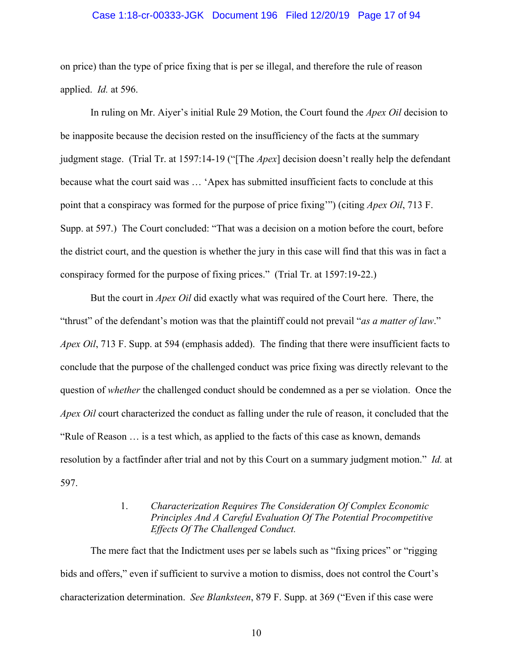#### Case 1:18-cr-00333-JGK Document 196 Filed 12/20/19 Page 17 of 94

on price) than the type of price fixing that is per se illegal, and therefore the rule of reason applied. *Id.* at 596.

In ruling on Mr. Aiyer's initial Rule 29 Motion, the Court found the *Apex Oil* decision to be inapposite because the decision rested on the insufficiency of the facts at the summary judgment stage. (Trial Tr. at 1597:14-19 ("[The *Apex*] decision doesn't really help the defendant because what the court said was … 'Apex has submitted insufficient facts to conclude at this point that a conspiracy was formed for the purpose of price fixing'") (citing *Apex Oil*, 713 F. Supp. at 597.) The Court concluded: "That was a decision on a motion before the court, before the district court, and the question is whether the jury in this case will find that this was in fact a conspiracy formed for the purpose of fixing prices." (Trial Tr. at 1597:19-22.)

But the court in *Apex Oil* did exactly what was required of the Court here. There, the "thrust" of the defendant's motion was that the plaintiff could not prevail "*as a matter of law*." *Apex Oil*, 713 F. Supp. at 594 (emphasis added). The finding that there were insufficient facts to conclude that the purpose of the challenged conduct was price fixing was directly relevant to the question of *whether* the challenged conduct should be condemned as a per se violation. Once the *Apex Oil* court characterized the conduct as falling under the rule of reason, it concluded that the "Rule of Reason … is a test which, as applied to the facts of this case as known, demands resolution by a factfinder after trial and not by this Court on a summary judgment motion." *Id.* at 597.

## 1. *Characterization Requires The Consideration Of Complex Economic Principles And A Careful Evaluation Of The Potential Procompetitive Effects Of The Challenged Conduct.*

The mere fact that the Indictment uses per se labels such as "fixing prices" or "rigging bids and offers," even if sufficient to survive a motion to dismiss, does not control the Court's characterization determination. *See Blanksteen*, 879 F. Supp. at 369 ("Even if this case were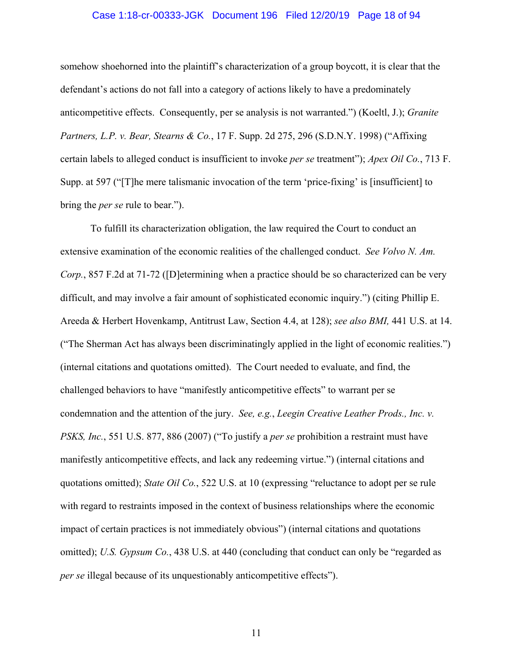#### Case 1:18-cr-00333-JGK Document 196 Filed 12/20/19 Page 18 of 94

somehow shoehorned into the plaintiff's characterization of a group boycott, it is clear that the defendant's actions do not fall into a category of actions likely to have a predominately anticompetitive effects. Consequently, per se analysis is not warranted.") (Koeltl, J.); *Granite Partners, L.P. v. Bear, Stearns & Co.*, 17 F. Supp. 2d 275, 296 (S.D.N.Y. 1998) ("Affixing certain labels to alleged conduct is insufficient to invoke *per se* treatment"); *Apex Oil Co.*, 713 F. Supp. at 597 ("[T]he mere talismanic invocation of the term 'price-fixing' is [insufficient] to bring the *per se* rule to bear.").

To fulfill its characterization obligation, the law required the Court to conduct an extensive examination of the economic realities of the challenged conduct. *See Volvo N. Am. Corp.*, 857 F.2d at 71-72 ([D]etermining when a practice should be so characterized can be very difficult, and may involve a fair amount of sophisticated economic inquiry.") (citing Phillip E. Areeda & Herbert Hovenkamp, Antitrust Law, Section 4.4, at 128); *see also BMI,* 441 U.S. at 14. ("The Sherman Act has always been discriminatingly applied in the light of economic realities.") (internal citations and quotations omitted). The Court needed to evaluate, and find, the challenged behaviors to have "manifestly anticompetitive effects" to warrant per se condemnation and the attention of the jury. *See, e.g.*, *Leegin Creative Leather Prods., Inc. v. PSKS, Inc.*, 551 U.S. 877, 886 (2007) ("To justify a *per se* prohibition a restraint must have manifestly anticompetitive effects, and lack any redeeming virtue.") (internal citations and quotations omitted); *State Oil Co.*, 522 U.S. at 10 (expressing "reluctance to adopt per se rule with regard to restraints imposed in the context of business relationships where the economic impact of certain practices is not immediately obvious") (internal citations and quotations omitted); *U.S. Gypsum Co.*, 438 U.S. at 440 (concluding that conduct can only be "regarded as *per se* illegal because of its unquestionably anticompetitive effects").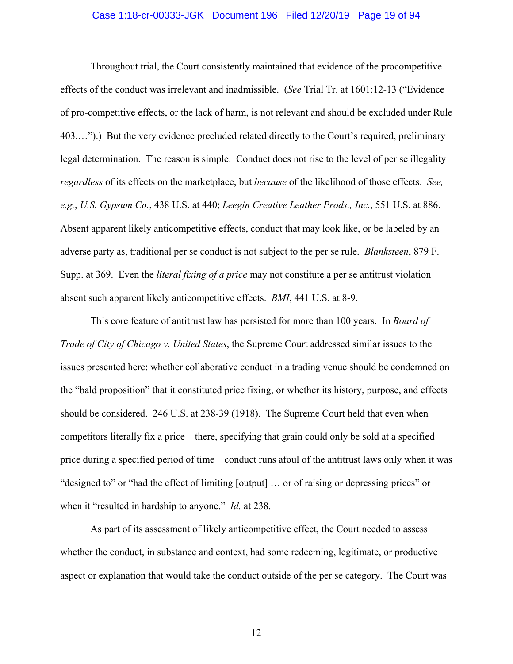#### Case 1:18-cr-00333-JGK Document 196 Filed 12/20/19 Page 19 of 94

Throughout trial, the Court consistently maintained that evidence of the procompetitive effects of the conduct was irrelevant and inadmissible. (*See* Trial Tr. at 1601:12-13 ("Evidence of pro-competitive effects, or the lack of harm, is not relevant and should be excluded under Rule 403.…").) But the very evidence precluded related directly to the Court's required, preliminary legal determination. The reason is simple. Conduct does not rise to the level of per se illegality *regardless* of its effects on the marketplace, but *because* of the likelihood of those effects. *See, e.g.*, *U.S. Gypsum Co.*, 438 U.S. at 440; *Leegin Creative Leather Prods., Inc.*, 551 U.S. at 886. Absent apparent likely anticompetitive effects, conduct that may look like, or be labeled by an adverse party as, traditional per se conduct is not subject to the per se rule. *Blanksteen*, 879 F. Supp. at 369. Even the *literal fixing of a price* may not constitute a per se antitrust violation absent such apparent likely anticompetitive effects. *BMI*, 441 U.S. at 8-9.

This core feature of antitrust law has persisted for more than 100 years. In *Board of Trade of City of Chicago v. United States*, the Supreme Court addressed similar issues to the issues presented here: whether collaborative conduct in a trading venue should be condemned on the "bald proposition" that it constituted price fixing, or whether its history, purpose, and effects should be considered. 246 U.S. at 238-39 (1918). The Supreme Court held that even when competitors literally fix a price—there, specifying that grain could only be sold at a specified price during a specified period of time—conduct runs afoul of the antitrust laws only when it was "designed to" or "had the effect of limiting [output] … or of raising or depressing prices" or when it "resulted in hardship to anyone." *Id.* at 238.

As part of its assessment of likely anticompetitive effect, the Court needed to assess whether the conduct, in substance and context, had some redeeming, legitimate, or productive aspect or explanation that would take the conduct outside of the per se category. The Court was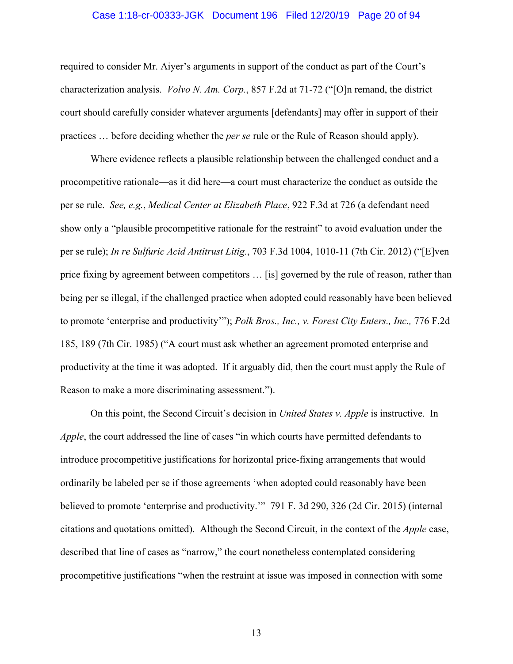#### Case 1:18-cr-00333-JGK Document 196 Filed 12/20/19 Page 20 of 94

required to consider Mr. Aiyer's arguments in support of the conduct as part of the Court's characterization analysis. *Volvo N. Am. Corp.*, 857 F.2d at 71-72 ("[O]n remand, the district court should carefully consider whatever arguments [defendants] may offer in support of their practices … before deciding whether the *per se* rule or the Rule of Reason should apply).

Where evidence reflects a plausible relationship between the challenged conduct and a procompetitive rationale—as it did here—a court must characterize the conduct as outside the per se rule. *See, e.g.*, *Medical Center at Elizabeth Place*, 922 F.3d at 726 (a defendant need show only a "plausible procompetitive rationale for the restraint" to avoid evaluation under the per se rule); *In re Sulfuric Acid Antitrust Litig.*, 703 F.3d 1004, 1010-11 (7th Cir. 2012) ("[E]ven price fixing by agreement between competitors … [is] governed by the rule of reason, rather than being per se illegal, if the challenged practice when adopted could reasonably have been believed to promote 'enterprise and productivity'"); *Polk Bros., Inc., v. Forest City Enters., Inc.,* 776 F.2d 185, 189 (7th Cir. 1985) ("A court must ask whether an agreement promoted enterprise and productivity at the time it was adopted. If it arguably did, then the court must apply the Rule of Reason to make a more discriminating assessment.").

On this point, the Second Circuit's decision in *United States v. Apple* is instructive. In *Apple*, the court addressed the line of cases "in which courts have permitted defendants to introduce procompetitive justifications for horizontal price-fixing arrangements that would ordinarily be labeled per se if those agreements 'when adopted could reasonably have been believed to promote 'enterprise and productivity.'" 791 F. 3d 290, 326 (2d Cir. 2015) (internal citations and quotations omitted). Although the Second Circuit, in the context of the *Apple* case, described that line of cases as "narrow," the court nonetheless contemplated considering procompetitive justifications "when the restraint at issue was imposed in connection with some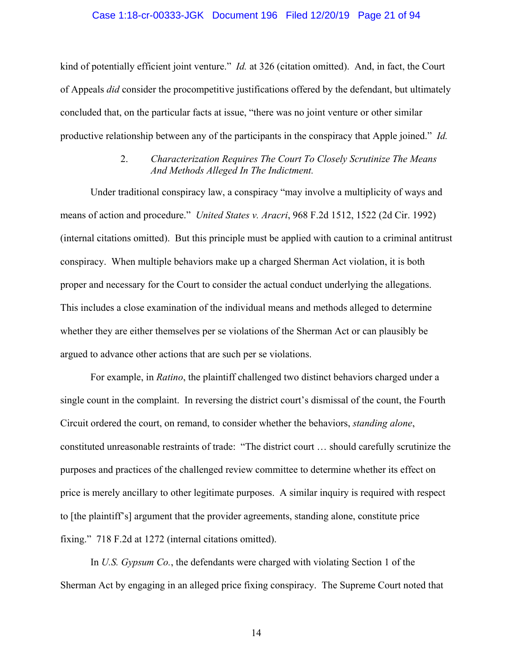#### Case 1:18-cr-00333-JGK Document 196 Filed 12/20/19 Page 21 of 94

kind of potentially efficient joint venture." *Id.* at 326 (citation omitted). And, in fact, the Court of Appeals *did* consider the procompetitive justifications offered by the defendant, but ultimately concluded that, on the particular facts at issue, "there was no joint venture or other similar productive relationship between any of the participants in the conspiracy that Apple joined." *Id.*

## 2. *Characterization Requires The Court To Closely Scrutinize The Means And Methods Alleged In The Indictment.*

Under traditional conspiracy law, a conspiracy "may involve a multiplicity of ways and means of action and procedure." *United States v. Aracri*, 968 F.2d 1512, 1522 (2d Cir. 1992) (internal citations omitted). But this principle must be applied with caution to a criminal antitrust conspiracy. When multiple behaviors make up a charged Sherman Act violation, it is both proper and necessary for the Court to consider the actual conduct underlying the allegations. This includes a close examination of the individual means and methods alleged to determine whether they are either themselves per se violations of the Sherman Act or can plausibly be argued to advance other actions that are such per se violations.

For example, in *Ratino*, the plaintiff challenged two distinct behaviors charged under a single count in the complaint. In reversing the district court's dismissal of the count, the Fourth Circuit ordered the court, on remand, to consider whether the behaviors, *standing alone*, constituted unreasonable restraints of trade: "The district court … should carefully scrutinize the purposes and practices of the challenged review committee to determine whether its effect on price is merely ancillary to other legitimate purposes. A similar inquiry is required with respect to [the plaintiff's] argument that the provider agreements, standing alone, constitute price fixing." 718 F.2d at 1272 (internal citations omitted).

In *U.S. Gypsum Co.*, the defendants were charged with violating Section 1 of the Sherman Act by engaging in an alleged price fixing conspiracy. The Supreme Court noted that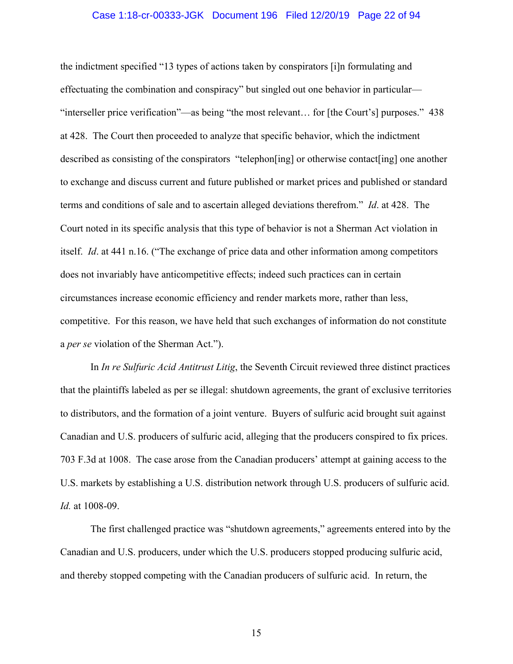#### Case 1:18-cr-00333-JGK Document 196 Filed 12/20/19 Page 22 of 94

the indictment specified "13 types of actions taken by conspirators [i]n formulating and effectuating the combination and conspiracy" but singled out one behavior in particular— "interseller price verification"—as being "the most relevant… for [the Court's] purposes." 438 at 428. The Court then proceeded to analyze that specific behavior, which the indictment described as consisting of the conspirators "telephon[ing] or otherwise contact[ing] one another to exchange and discuss current and future published or market prices and published or standard terms and conditions of sale and to ascertain alleged deviations therefrom." *Id*. at 428. The Court noted in its specific analysis that this type of behavior is not a Sherman Act violation in itself. *Id*. at 441 n.16. ("The exchange of price data and other information among competitors does not invariably have anticompetitive effects; indeed such practices can in certain circumstances increase economic efficiency and render markets more, rather than less, competitive. For this reason, we have held that such exchanges of information do not constitute a *per se* violation of the Sherman Act.").

In *In re Sulfuric Acid Antitrust Litig*, the Seventh Circuit reviewed three distinct practices that the plaintiffs labeled as per se illegal: shutdown agreements, the grant of exclusive territories to distributors, and the formation of a joint venture. Buyers of sulfuric acid brought suit against Canadian and U.S. producers of sulfuric acid, alleging that the producers conspired to fix prices. 703 F.3d at 1008. The case arose from the Canadian producers' attempt at gaining access to the U.S. markets by establishing a U.S. distribution network through U.S. producers of sulfuric acid. *Id.* at 1008-09.

The first challenged practice was "shutdown agreements," agreements entered into by the Canadian and U.S. producers, under which the U.S. producers stopped producing sulfuric acid, and thereby stopped competing with the Canadian producers of sulfuric acid. In return, the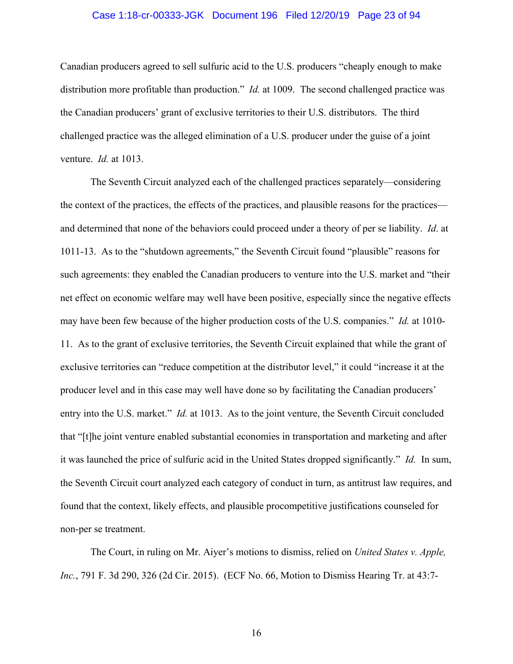#### Case 1:18-cr-00333-JGK Document 196 Filed 12/20/19 Page 23 of 94

Canadian producers agreed to sell sulfuric acid to the U.S. producers "cheaply enough to make distribution more profitable than production." *Id.* at 1009. The second challenged practice was the Canadian producers' grant of exclusive territories to their U.S. distributors. The third challenged practice was the alleged elimination of a U.S. producer under the guise of a joint venture. *Id.* at 1013.

The Seventh Circuit analyzed each of the challenged practices separately—considering the context of the practices, the effects of the practices, and plausible reasons for the practices and determined that none of the behaviors could proceed under a theory of per se liability. *Id*. at 1011-13. As to the "shutdown agreements," the Seventh Circuit found "plausible" reasons for such agreements: they enabled the Canadian producers to venture into the U.S. market and "their net effect on economic welfare may well have been positive, especially since the negative effects may have been few because of the higher production costs of the U.S. companies." *Id.* at 1010- 11. As to the grant of exclusive territories, the Seventh Circuit explained that while the grant of exclusive territories can "reduce competition at the distributor level," it could "increase it at the producer level and in this case may well have done so by facilitating the Canadian producers' entry into the U.S. market." *Id.* at 1013. As to the joint venture, the Seventh Circuit concluded that "[t]he joint venture enabled substantial economies in transportation and marketing and after it was launched the price of sulfuric acid in the United States dropped significantly." *Id.* In sum, the Seventh Circuit court analyzed each category of conduct in turn, as antitrust law requires, and found that the context, likely effects, and plausible procompetitive justifications counseled for non-per se treatment.

The Court, in ruling on Mr. Aiyer's motions to dismiss, relied on *United States v. Apple, Inc.*, 791 F. 3d 290, 326 (2d Cir. 2015). (ECF No. 66, Motion to Dismiss Hearing Tr. at 43:7-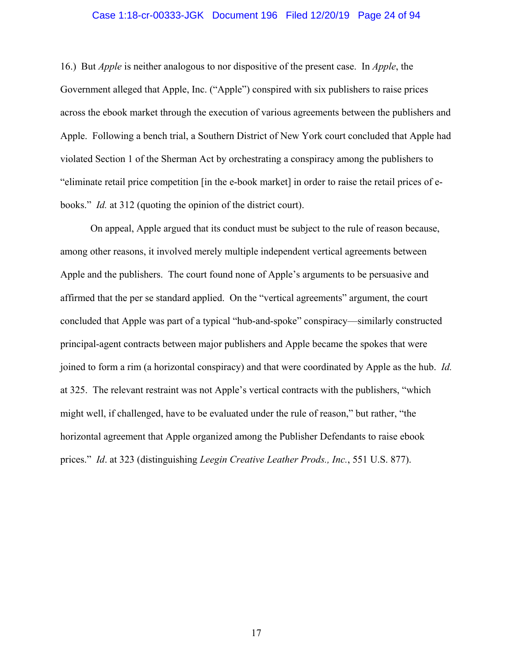#### Case 1:18-cr-00333-JGK Document 196 Filed 12/20/19 Page 24 of 94

16.) But *Apple* is neither analogous to nor dispositive of the present case. In *Apple*, the Government alleged that Apple, Inc. ("Apple") conspired with six publishers to raise prices across the ebook market through the execution of various agreements between the publishers and Apple. Following a bench trial, a Southern District of New York court concluded that Apple had violated Section 1 of the Sherman Act by orchestrating a conspiracy among the publishers to "eliminate retail price competition [in the e-book market] in order to raise the retail prices of ebooks." *Id.* at 312 (quoting the opinion of the district court).

On appeal, Apple argued that its conduct must be subject to the rule of reason because, among other reasons, it involved merely multiple independent vertical agreements between Apple and the publishers. The court found none of Apple's arguments to be persuasive and affirmed that the per se standard applied. On the "vertical agreements" argument, the court concluded that Apple was part of a typical "hub-and-spoke" conspiracy—similarly constructed principal-agent contracts between major publishers and Apple became the spokes that were joined to form a rim (a horizontal conspiracy) and that were coordinated by Apple as the hub. *Id.* at 325. The relevant restraint was not Apple's vertical contracts with the publishers, "which might well, if challenged, have to be evaluated under the rule of reason," but rather, "the horizontal agreement that Apple organized among the Publisher Defendants to raise ebook prices." *Id*. at 323 (distinguishing *Leegin Creative Leather Prods., Inc.*, 551 U.S. 877).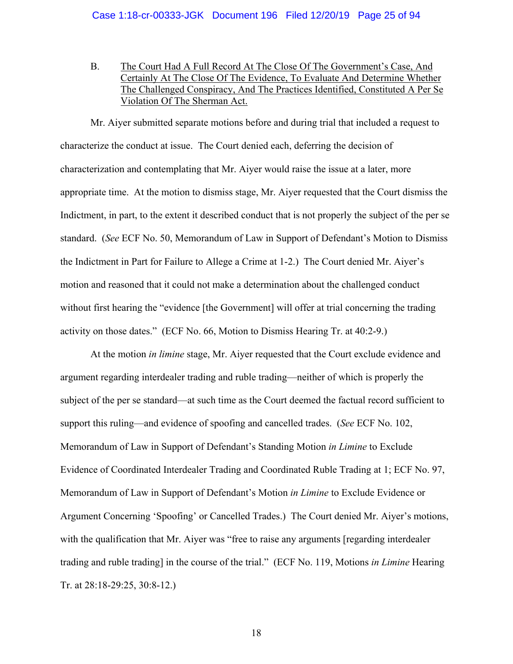B. The Court Had A Full Record At The Close Of The Government's Case, And Certainly At The Close Of The Evidence, To Evaluate And Determine Whether The Challenged Conspiracy, And The Practices Identified, Constituted A Per Se Violation Of The Sherman Act.

Mr. Aiyer submitted separate motions before and during trial that included a request to characterize the conduct at issue. The Court denied each, deferring the decision of characterization and contemplating that Mr. Aiyer would raise the issue at a later, more appropriate time. At the motion to dismiss stage, Mr. Aiyer requested that the Court dismiss the Indictment, in part, to the extent it described conduct that is not properly the subject of the per se standard. (*See* ECF No. 50, Memorandum of Law in Support of Defendant's Motion to Dismiss the Indictment in Part for Failure to Allege a Crime at 1-2.) The Court denied Mr. Aiyer's motion and reasoned that it could not make a determination about the challenged conduct without first hearing the "evidence [the Government] will offer at trial concerning the trading activity on those dates." (ECF No. 66, Motion to Dismiss Hearing Tr. at 40:2-9.)

At the motion *in limine* stage, Mr. Aiyer requested that the Court exclude evidence and argument regarding interdealer trading and ruble trading—neither of which is properly the subject of the per se standard—at such time as the Court deemed the factual record sufficient to support this ruling—and evidence of spoofing and cancelled trades. (*See* ECF No. 102, Memorandum of Law in Support of Defendant's Standing Motion *in Limine* to Exclude Evidence of Coordinated Interdealer Trading and Coordinated Ruble Trading at 1; ECF No. 97, Memorandum of Law in Support of Defendant's Motion *in Limine* to Exclude Evidence or Argument Concerning 'Spoofing' or Cancelled Trades.) The Court denied Mr. Aiyer's motions, with the qualification that Mr. Aiyer was "free to raise any arguments [regarding interdealer trading and ruble trading] in the course of the trial." (ECF No. 119, Motions *in Limine* Hearing Tr. at 28:18-29:25, 30:8-12.)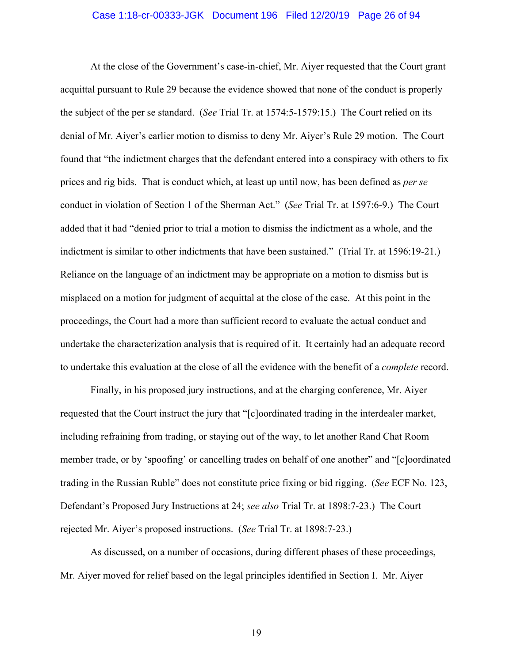#### Case 1:18-cr-00333-JGK Document 196 Filed 12/20/19 Page 26 of 94

At the close of the Government's case-in-chief, Mr. Aiyer requested that the Court grant acquittal pursuant to Rule 29 because the evidence showed that none of the conduct is properly the subject of the per se standard. (*See* Trial Tr. at 1574:5-1579:15.) The Court relied on its denial of Mr. Aiyer's earlier motion to dismiss to deny Mr. Aiyer's Rule 29 motion. The Court found that "the indictment charges that the defendant entered into a conspiracy with others to fix prices and rig bids. That is conduct which, at least up until now, has been defined as *per se* conduct in violation of Section 1 of the Sherman Act." (*See* Trial Tr. at 1597:6-9.) The Court added that it had "denied prior to trial a motion to dismiss the indictment as a whole, and the indictment is similar to other indictments that have been sustained." (Trial Tr. at 1596:19-21.) Reliance on the language of an indictment may be appropriate on a motion to dismiss but is misplaced on a motion for judgment of acquittal at the close of the case. At this point in the proceedings, the Court had a more than sufficient record to evaluate the actual conduct and undertake the characterization analysis that is required of it. It certainly had an adequate record to undertake this evaluation at the close of all the evidence with the benefit of a *complete* record.

Finally, in his proposed jury instructions, and at the charging conference, Mr. Aiyer requested that the Court instruct the jury that "[c]oordinated trading in the interdealer market, including refraining from trading, or staying out of the way, to let another Rand Chat Room member trade, or by 'spoofing' or cancelling trades on behalf of one another" and "[c]oordinated trading in the Russian Ruble" does not constitute price fixing or bid rigging. (*See* ECF No. 123, Defendant's Proposed Jury Instructions at 24; *see also* Trial Tr. at 1898:7-23.) The Court rejected Mr. Aiyer's proposed instructions. (*See* Trial Tr. at 1898:7-23.)

As discussed, on a number of occasions, during different phases of these proceedings, Mr. Aiyer moved for relief based on the legal principles identified in Section I. Mr. Aiyer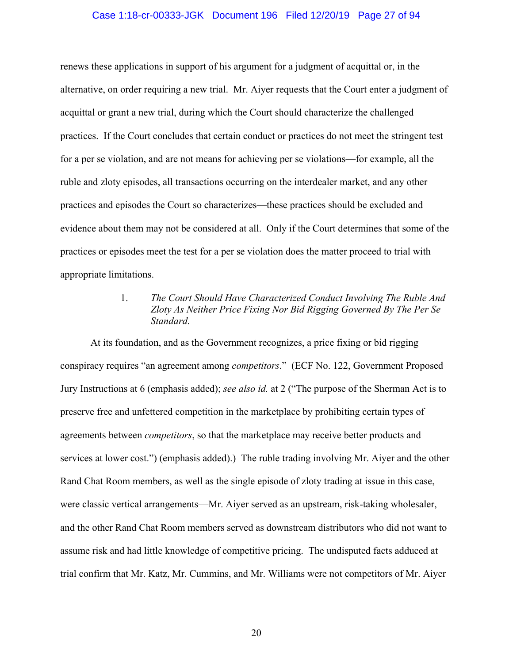#### Case 1:18-cr-00333-JGK Document 196 Filed 12/20/19 Page 27 of 94

renews these applications in support of his argument for a judgment of acquittal or, in the alternative, on order requiring a new trial. Mr. Aiyer requests that the Court enter a judgment of acquittal or grant a new trial, during which the Court should characterize the challenged practices. If the Court concludes that certain conduct or practices do not meet the stringent test for a per se violation, and are not means for achieving per se violations—for example, all the ruble and zloty episodes, all transactions occurring on the interdealer market, and any other practices and episodes the Court so characterizes—these practices should be excluded and evidence about them may not be considered at all. Only if the Court determines that some of the practices or episodes meet the test for a per se violation does the matter proceed to trial with appropriate limitations.

## 1. *The Court Should Have Characterized Conduct Involving The Ruble And Zloty As Neither Price Fixing Nor Bid Rigging Governed By The Per Se Standard.*

At its foundation, and as the Government recognizes, a price fixing or bid rigging conspiracy requires "an agreement among *competitors*." (ECF No. 122, Government Proposed Jury Instructions at 6 (emphasis added); *see also id.* at 2 ("The purpose of the Sherman Act is to preserve free and unfettered competition in the marketplace by prohibiting certain types of agreements between *competitors*, so that the marketplace may receive better products and services at lower cost.") (emphasis added).) The ruble trading involving Mr. Aiyer and the other Rand Chat Room members, as well as the single episode of zloty trading at issue in this case, were classic vertical arrangements—Mr. Aiyer served as an upstream, risk-taking wholesaler, and the other Rand Chat Room members served as downstream distributors who did not want to assume risk and had little knowledge of competitive pricing. The undisputed facts adduced at trial confirm that Mr. Katz, Mr. Cummins, and Mr. Williams were not competitors of Mr. Aiyer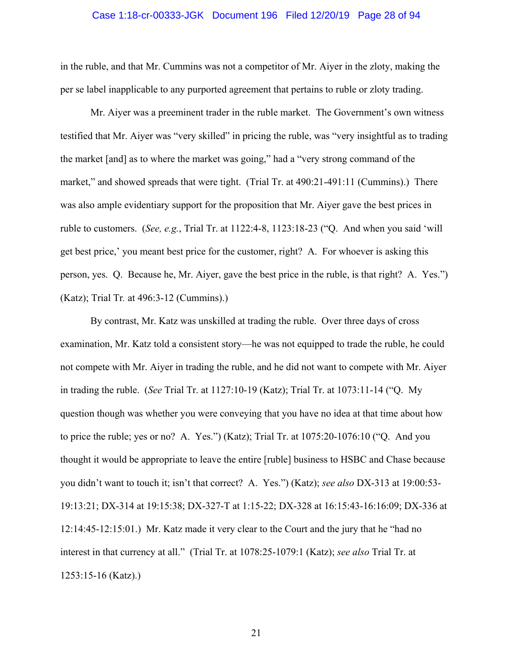#### Case 1:18-cr-00333-JGK Document 196 Filed 12/20/19 Page 28 of 94

in the ruble, and that Mr. Cummins was not a competitor of Mr. Aiyer in the zloty, making the per se label inapplicable to any purported agreement that pertains to ruble or zloty trading.

Mr. Aiyer was a preeminent trader in the ruble market. The Government's own witness testified that Mr. Aiyer was "very skilled" in pricing the ruble, was "very insightful as to trading the market [and] as to where the market was going," had a "very strong command of the market," and showed spreads that were tight. (Trial Tr. at 490:21-491:11 (Cummins).) There was also ample evidentiary support for the proposition that Mr. Aiyer gave the best prices in ruble to customers. (*See, e.g.*, Trial Tr. at 1122:4-8, 1123:18-23 ("Q. And when you said 'will get best price,' you meant best price for the customer, right? A. For whoever is asking this person, yes. Q. Because he, Mr. Aiyer, gave the best price in the ruble, is that right? A. Yes.") (Katz); Trial Tr*.* at 496:3-12 (Cummins).)

By contrast, Mr. Katz was unskilled at trading the ruble. Over three days of cross examination, Mr. Katz told a consistent story—he was not equipped to trade the ruble, he could not compete with Mr. Aiyer in trading the ruble, and he did not want to compete with Mr. Aiyer in trading the ruble. (*See* Trial Tr. at 1127:10-19 (Katz); Trial Tr. at 1073:11-14 ("Q. My question though was whether you were conveying that you have no idea at that time about how to price the ruble; yes or no? A. Yes.") (Katz); Trial Tr. at 1075:20-1076:10 ("Q. And you thought it would be appropriate to leave the entire [ruble] business to HSBC and Chase because you didn't want to touch it; isn't that correct? A. Yes.") (Katz); *see also* DX-313 at 19:00:53- 19:13:21; DX-314 at 19:15:38; DX-327-T at 1:15-22; DX-328 at 16:15:43-16:16:09; DX-336 at 12:14:45-12:15:01.) Mr. Katz made it very clear to the Court and the jury that he "had no interest in that currency at all." (Trial Tr. at 1078:25-1079:1 (Katz); *see also* Trial Tr. at 1253:15-16 (Katz).)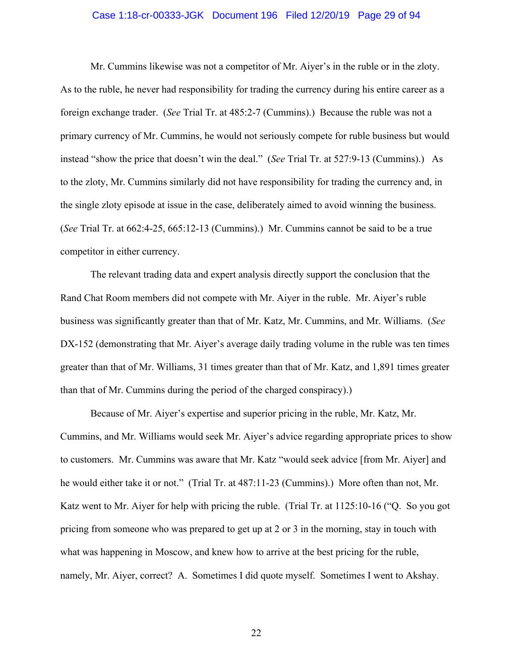#### Case 1:18-cr-00333-JGK Document 196 Filed 12/20/19 Page 29 of 94

Mr. Cummins likewise was not a competitor of Mr. Aiyer's in the ruble or in the zloty. As to the ruble, he never had responsibility for trading the currency during his entire career as a foreign exchange trader. (*See* Trial Tr. at 485:2-7 (Cummins).) Because the ruble was not a primary currency of Mr. Cummins, he would not seriously compete for ruble business but would instead "show the price that doesn't win the deal." (*See* Trial Tr. at 527:9-13 (Cummins).) As to the zloty, Mr. Cummins similarly did not have responsibility for trading the currency and, in the single zloty episode at issue in the case, deliberately aimed to avoid winning the business. (*See* Trial Tr. at 662:4-25, 665:12-13 (Cummins).) Mr. Cummins cannot be said to be a true competitor in either currency.

The relevant trading data and expert analysis directly support the conclusion that the Rand Chat Room members did not compete with Mr. Aiyer in the ruble. Mr. Aiyer's ruble business was significantly greater than that of Mr. Katz, Mr. Cummins, and Mr. Williams. (*See*  DX-152 (demonstrating that Mr. Aiyer's average daily trading volume in the ruble was ten times greater than that of Mr. Williams, 31 times greater than that of Mr. Katz, and 1,891 times greater than that of Mr. Cummins during the period of the charged conspiracy).)

Because of Mr. Aiyer's expertise and superior pricing in the ruble, Mr. Katz, Mr. Cummins, and Mr. Williams would seek Mr. Aiyer's advice regarding appropriate prices to show to customers. Mr. Cummins was aware that Mr. Katz "would seek advice [from Mr. Aiyer] and he would either take it or not." (Trial Tr. at 487:11-23 (Cummins).) More often than not, Mr. Katz went to Mr. Aiyer for help with pricing the ruble. (Trial Tr. at 1125:10-16 ("Q. So you got pricing from someone who was prepared to get up at 2 or 3 in the morning, stay in touch with what was happening in Moscow, and knew how to arrive at the best pricing for the ruble, namely, Mr. Aiyer, correct? A. Sometimes I did quote myself. Sometimes I went to Akshay.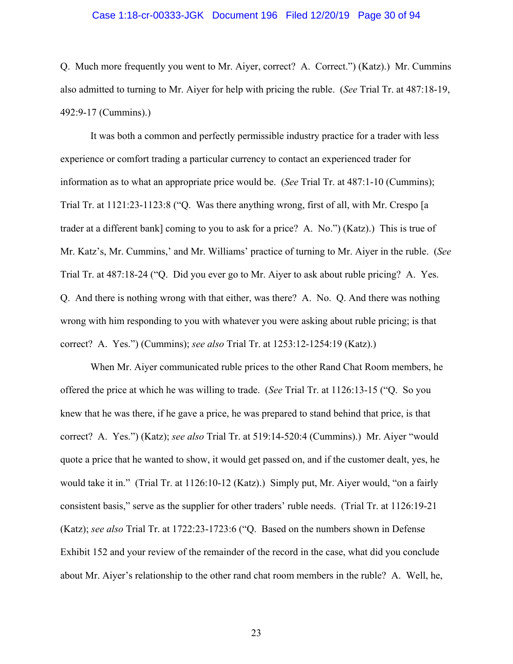#### Case 1:18-cr-00333-JGK Document 196 Filed 12/20/19 Page 30 of 94

Q. Much more frequently you went to Mr. Aiyer, correct? A. Correct.") (Katz).) Mr. Cummins also admitted to turning to Mr. Aiyer for help with pricing the ruble. (*See* Trial Tr. at 487:18-19, 492:9-17 (Cummins).)

It was both a common and perfectly permissible industry practice for a trader with less experience or comfort trading a particular currency to contact an experienced trader for information as to what an appropriate price would be. (*See* Trial Tr. at 487:1-10 (Cummins); Trial Tr. at 1121:23-1123:8 ("Q. Was there anything wrong, first of all, with Mr. Crespo [a trader at a different bank] coming to you to ask for a price? A. No.") (Katz).) This is true of Mr. Katz's, Mr. Cummins,' and Mr. Williams' practice of turning to Mr. Aiyer in the ruble. (*See*  Trial Tr. at 487:18-24 ("Q. Did you ever go to Mr. Aiyer to ask about ruble pricing? A. Yes. Q. And there is nothing wrong with that either, was there? A. No. Q. And there was nothing wrong with him responding to you with whatever you were asking about ruble pricing; is that correct? A. Yes.") (Cummins); *see also* Trial Tr. at 1253:12-1254:19 (Katz).)

When Mr. Aiyer communicated ruble prices to the other Rand Chat Room members, he offered the price at which he was willing to trade. (*See* Trial Tr. at 1126:13-15 ("Q. So you knew that he was there, if he gave a price, he was prepared to stand behind that price, is that correct? A. Yes.") (Katz); *see also* Trial Tr. at 519:14-520:4 (Cummins).) Mr. Aiyer "would quote a price that he wanted to show, it would get passed on, and if the customer dealt, yes, he would take it in." (Trial Tr. at 1126:10-12 (Katz).) Simply put, Mr. Aiyer would, "on a fairly consistent basis," serve as the supplier for other traders' ruble needs. (Trial Tr. at 1126:19-21 (Katz); *see also* Trial Tr. at 1722:23-1723:6 ("Q. Based on the numbers shown in Defense Exhibit 152 and your review of the remainder of the record in the case, what did you conclude about Mr. Aiyer's relationship to the other rand chat room members in the ruble? A. Well, he,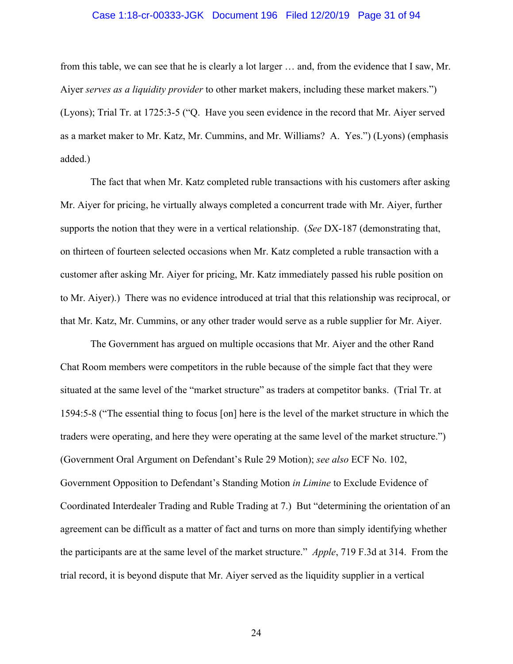#### Case 1:18-cr-00333-JGK Document 196 Filed 12/20/19 Page 31 of 94

from this table, we can see that he is clearly a lot larger … and, from the evidence that I saw, Mr. Aiyer *serves as a liquidity provider* to other market makers, including these market makers.") (Lyons); Trial Tr. at 1725:3-5 ("Q. Have you seen evidence in the record that Mr. Aiyer served as a market maker to Mr. Katz, Mr. Cummins, and Mr. Williams? A. Yes.") (Lyons) (emphasis added.)

The fact that when Mr. Katz completed ruble transactions with his customers after asking Mr. Aiyer for pricing, he virtually always completed a concurrent trade with Mr. Aiyer, further supports the notion that they were in a vertical relationship. (*See* DX-187 (demonstrating that, on thirteen of fourteen selected occasions when Mr. Katz completed a ruble transaction with a customer after asking Mr. Aiyer for pricing, Mr. Katz immediately passed his ruble position on to Mr. Aiyer).) There was no evidence introduced at trial that this relationship was reciprocal, or that Mr. Katz, Mr. Cummins, or any other trader would serve as a ruble supplier for Mr. Aiyer.

The Government has argued on multiple occasions that Mr. Aiyer and the other Rand Chat Room members were competitors in the ruble because of the simple fact that they were situated at the same level of the "market structure" as traders at competitor banks. (Trial Tr. at 1594:5-8 ("The essential thing to focus [on] here is the level of the market structure in which the traders were operating, and here they were operating at the same level of the market structure.") (Government Oral Argument on Defendant's Rule 29 Motion); *see also* ECF No. 102, Government Opposition to Defendant's Standing Motion *in Limine* to Exclude Evidence of Coordinated Interdealer Trading and Ruble Trading at 7.) But "determining the orientation of an agreement can be difficult as a matter of fact and turns on more than simply identifying whether the participants are at the same level of the market structure." *Apple*, 719 F.3d at 314. From the trial record, it is beyond dispute that Mr. Aiyer served as the liquidity supplier in a vertical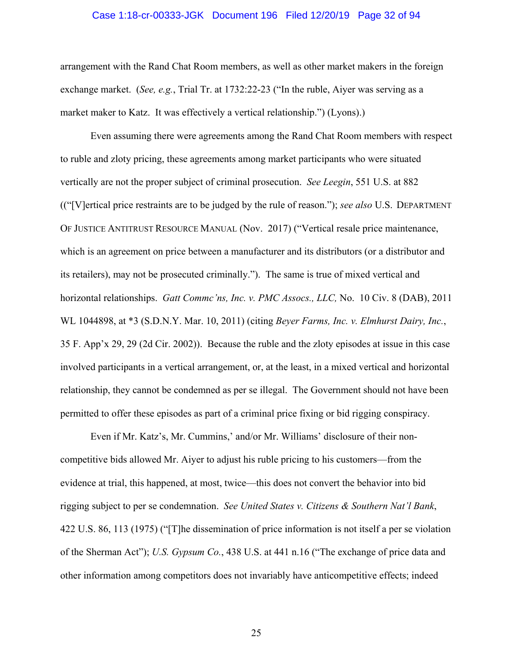#### Case 1:18-cr-00333-JGK Document 196 Filed 12/20/19 Page 32 of 94

arrangement with the Rand Chat Room members, as well as other market makers in the foreign exchange market. (*See, e.g.*, Trial Tr. at 1732:22-23 ("In the ruble, Aiyer was serving as a market maker to Katz. It was effectively a vertical relationship.") (Lyons).)

Even assuming there were agreements among the Rand Chat Room members with respect to ruble and zloty pricing, these agreements among market participants who were situated vertically are not the proper subject of criminal prosecution. *See Leegin*, 551 U.S. at 882 (("[V]ertical price restraints are to be judged by the rule of reason."); *see also* U.S. DEPARTMENT OF JUSTICE ANTITRUST RESOURCE MANUAL (Nov. 2017) ("Vertical resale price maintenance, which is an agreement on price between a manufacturer and its distributors (or a distributor and its retailers), may not be prosecuted criminally."). The same is true of mixed vertical and horizontal relationships. *Gatt Commc'ns, Inc. v. PMC Assocs., LLC,* No. 10 Civ. 8 (DAB), 2011 WL 1044898, at \*3 (S.D.N.Y. Mar. 10, 2011) (citing *Beyer Farms, Inc. v. Elmhurst Dairy, Inc.*, 35 F. App'x 29, 29 (2d Cir. 2002)). Because the ruble and the zloty episodes at issue in this case involved participants in a vertical arrangement, or, at the least, in a mixed vertical and horizontal relationship, they cannot be condemned as per se illegal. The Government should not have been permitted to offer these episodes as part of a criminal price fixing or bid rigging conspiracy.

Even if Mr. Katz's, Mr. Cummins,' and/or Mr. Williams' disclosure of their noncompetitive bids allowed Mr. Aiyer to adjust his ruble pricing to his customers—from the evidence at trial, this happened, at most, twice—this does not convert the behavior into bid rigging subject to per se condemnation. *See United States v. Citizens & Southern Nat'l Bank*, 422 U.S. 86, 113 (1975) ("[T]he dissemination of price information is not itself a per se violation of the Sherman Act"); *U.S. Gypsum Co.*, 438 U.S. at 441 n.16 ("The exchange of price data and other information among competitors does not invariably have anticompetitive effects; indeed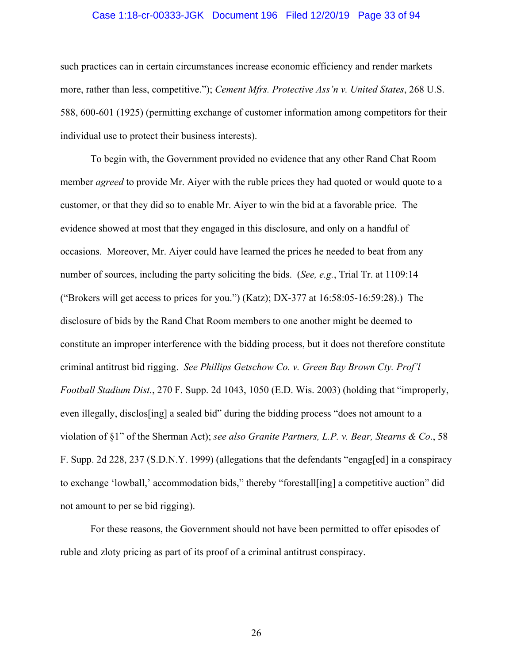#### Case 1:18-cr-00333-JGK Document 196 Filed 12/20/19 Page 33 of 94

such practices can in certain circumstances increase economic efficiency and render markets more, rather than less, competitive."); *Cement Mfrs. Protective Ass'n v. United States*, 268 U.S. 588, 600-601 (1925) (permitting exchange of customer information among competitors for their individual use to protect their business interests).

To begin with, the Government provided no evidence that any other Rand Chat Room member *agreed* to provide Mr. Aiyer with the ruble prices they had quoted or would quote to a customer, or that they did so to enable Mr. Aiyer to win the bid at a favorable price. The evidence showed at most that they engaged in this disclosure, and only on a handful of occasions. Moreover, Mr. Aiyer could have learned the prices he needed to beat from any number of sources, including the party soliciting the bids. (*See, e.g.*, Trial Tr. at 1109:14 ("Brokers will get access to prices for you.") (Katz); DX-377 at  $16:58:05-16:59:28$ ).) The disclosure of bids by the Rand Chat Room members to one another might be deemed to constitute an improper interference with the bidding process, but it does not therefore constitute criminal antitrust bid rigging. *See Phillips Getschow Co. v. Green Bay Brown Cty. Prof'l Football Stadium Dist.*, 270 F. Supp. 2d 1043, 1050 (E.D. Wis. 2003) (holding that "improperly, even illegally, disclos[ing] a sealed bid" during the bidding process "does not amount to a violation of §1" of the Sherman Act); *see also Granite Partners, L.P. v. Bear, Stearns & Co*., 58 F. Supp. 2d 228, 237 (S.D.N.Y. 1999) (allegations that the defendants "engag[ed] in a conspiracy to exchange 'lowball,' accommodation bids," thereby "forestall[ing] a competitive auction" did not amount to per se bid rigging).

For these reasons, the Government should not have been permitted to offer episodes of ruble and zloty pricing as part of its proof of a criminal antitrust conspiracy.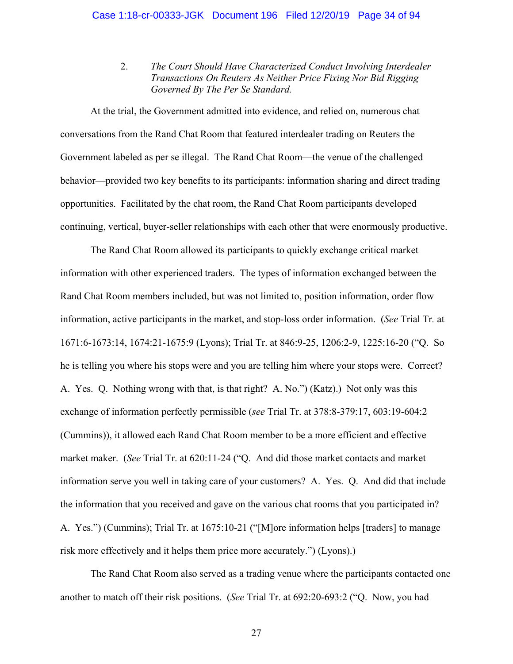2. *The Court Should Have Characterized Conduct Involving Interdealer Transactions On Reuters As Neither Price Fixing Nor Bid Rigging Governed By The Per Se Standard.*

At the trial, the Government admitted into evidence, and relied on, numerous chat conversations from the Rand Chat Room that featured interdealer trading on Reuters the Government labeled as per se illegal. The Rand Chat Room—the venue of the challenged behavior—provided two key benefits to its participants: information sharing and direct trading opportunities. Facilitated by the chat room, the Rand Chat Room participants developed continuing, vertical, buyer-seller relationships with each other that were enormously productive.

The Rand Chat Room allowed its participants to quickly exchange critical market information with other experienced traders. The types of information exchanged between the Rand Chat Room members included, but was not limited to, position information, order flow information, active participants in the market, and stop-loss order information. (*See* Trial Tr*.* at 1671:6-1673:14, 1674:21-1675:9 (Lyons); Trial Tr. at 846:9-25, 1206:2-9, 1225:16-20 ("Q. So he is telling you where his stops were and you are telling him where your stops were. Correct? A. Yes. Q. Nothing wrong with that, is that right? A. No.") (Katz).) Not only was this exchange of information perfectly permissible (*see* Trial Tr. at 378:8-379:17, 603:19-604:2 (Cummins)), it allowed each Rand Chat Room member to be a more efficient and effective market maker. (*See* Trial Tr. at 620:11-24 ("Q. And did those market contacts and market information serve you well in taking care of your customers? A. Yes. Q. And did that include the information that you received and gave on the various chat rooms that you participated in? A. Yes.") (Cummins); Trial Tr. at 1675:10-21 ("[M]ore information helps [traders] to manage risk more effectively and it helps them price more accurately.") (Lyons).)

The Rand Chat Room also served as a trading venue where the participants contacted one another to match off their risk positions. (*See* Trial Tr. at 692:20-693:2 ("Q. Now, you had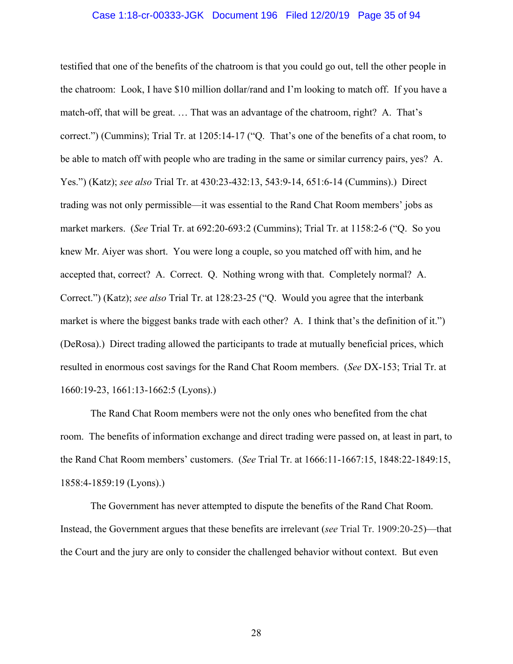#### Case 1:18-cr-00333-JGK Document 196 Filed 12/20/19 Page 35 of 94

testified that one of the benefits of the chatroom is that you could go out, tell the other people in the chatroom: Look, I have \$10 million dollar/rand and I'm looking to match off. If you have a match-off, that will be great. … That was an advantage of the chatroom, right? A. That's correct.") (Cummins); Trial Tr. at 1205:14-17 ("Q. That's one of the benefits of a chat room, to be able to match off with people who are trading in the same or similar currency pairs, yes? A. Yes.") (Katz); *see also* Trial Tr. at 430:23-432:13, 543:9-14, 651:6-14 (Cummins).) Direct trading was not only permissible—it was essential to the Rand Chat Room members' jobs as market markers. (*See* Trial Tr. at 692:20-693:2 (Cummins); Trial Tr. at 1158:2-6 ("Q. So you knew Mr. Aiyer was short. You were long a couple, so you matched off with him, and he accepted that, correct? A. Correct. Q. Nothing wrong with that. Completely normal? A. Correct.") (Katz); *see also* Trial Tr. at 128:23-25 ("Q. Would you agree that the interbank market is where the biggest banks trade with each other? A. I think that's the definition of it.") (DeRosa).) Direct trading allowed the participants to trade at mutually beneficial prices, which resulted in enormous cost savings for the Rand Chat Room members. (*See* DX-153; Trial Tr. at 1660:19-23, 1661:13-1662:5 (Lyons).)

The Rand Chat Room members were not the only ones who benefited from the chat room. The benefits of information exchange and direct trading were passed on, at least in part, to the Rand Chat Room members' customers. (*See* Trial Tr. at 1666:11-1667:15, 1848:22-1849:15, 1858:4-1859:19 (Lyons).)

The Government has never attempted to dispute the benefits of the Rand Chat Room. Instead, the Government argues that these benefits are irrelevant (*see* Trial Tr. 1909:20-25)—that the Court and the jury are only to consider the challenged behavior without context. But even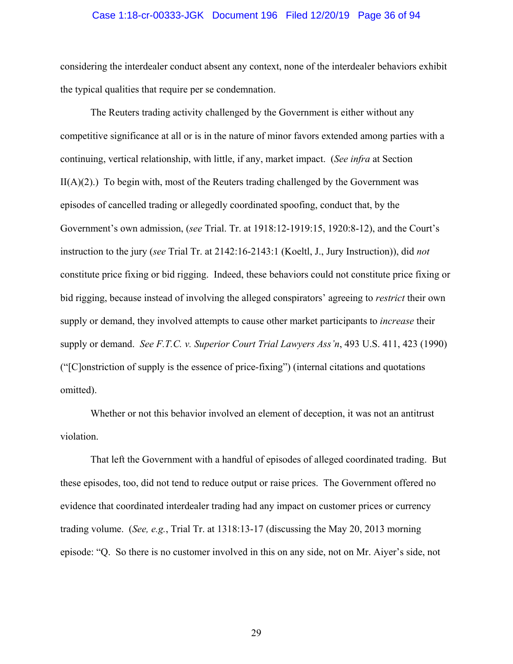#### Case 1:18-cr-00333-JGK Document 196 Filed 12/20/19 Page 36 of 94

considering the interdealer conduct absent any context, none of the interdealer behaviors exhibit the typical qualities that require per se condemnation.

The Reuters trading activity challenged by the Government is either without any competitive significance at all or is in the nature of minor favors extended among parties with a continuing, vertical relationship, with little, if any, market impact. (*See infra* at Section  $II(A)(2)$ .) To begin with, most of the Reuters trading challenged by the Government was episodes of cancelled trading or allegedly coordinated spoofing, conduct that, by the Government's own admission, (*see* Trial. Tr. at 1918:12-1919:15, 1920:8-12), and the Court's instruction to the jury (*see* Trial Tr. at 2142:16-2143:1 (Koeltl, J., Jury Instruction)), did *not* constitute price fixing or bid rigging. Indeed, these behaviors could not constitute price fixing or bid rigging, because instead of involving the alleged conspirators' agreeing to *restrict* their own supply or demand, they involved attempts to cause other market participants to *increase* their supply or demand. *See F.T.C. v. Superior Court Trial Lawyers Ass'n*, 493 U.S. 411, 423 (1990) ("[C]onstriction of supply is the essence of price-fixing") (internal citations and quotations omitted).

Whether or not this behavior involved an element of deception, it was not an antitrust violation.

That left the Government with a handful of episodes of alleged coordinated trading. But these episodes, too, did not tend to reduce output or raise prices. The Government offered no evidence that coordinated interdealer trading had any impact on customer prices or currency trading volume. (*See, e.g.*, Trial Tr. at 1318:13-17 (discussing the May 20, 2013 morning episode: "Q. So there is no customer involved in this on any side, not on Mr. Aiyer's side, not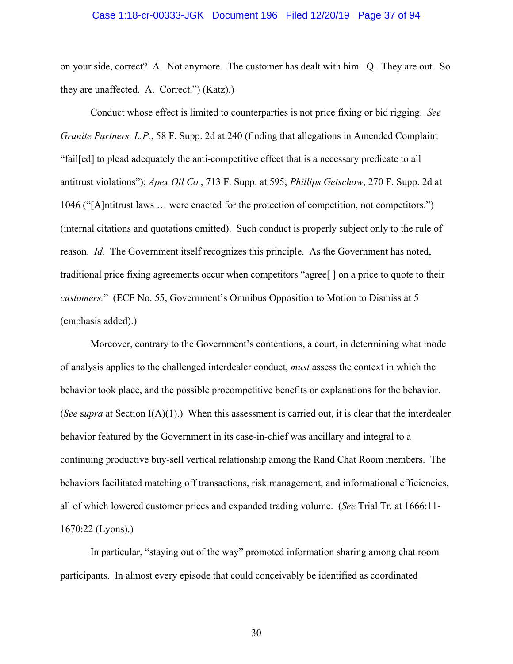### Case 1:18-cr-00333-JGK Document 196 Filed 12/20/19 Page 37 of 94

on your side, correct? A. Not anymore. The customer has dealt with him. Q. They are out. So they are unaffected. A. Correct.") (Katz).)

Conduct whose effect is limited to counterparties is not price fixing or bid rigging. *See Granite Partners, L.P.*, 58 F. Supp. 2d at 240 (finding that allegations in Amended Complaint "fail[ed] to plead adequately the anti-competitive effect that is a necessary predicate to all antitrust violations"); *Apex Oil Co.*, 713 F. Supp. at 595; *Phillips Getschow*, 270 F. Supp. 2d at 1046 ("[A]ntitrust laws … were enacted for the protection of competition, not competitors.") (internal citations and quotations omitted). Such conduct is properly subject only to the rule of reason. *Id.* The Government itself recognizes this principle. As the Government has noted, traditional price fixing agreements occur when competitors "agree[ ] on a price to quote to their *customers.*" (ECF No. 55, Government's Omnibus Opposition to Motion to Dismiss at 5 (emphasis added).)

Moreover, contrary to the Government's contentions, a court, in determining what mode of analysis applies to the challenged interdealer conduct, *must* assess the context in which the behavior took place, and the possible procompetitive benefits or explanations for the behavior. (*See* s*upra* at Section I(A)(1).) When this assessment is carried out, it is clear that the interdealer behavior featured by the Government in its case-in-chief was ancillary and integral to a continuing productive buy-sell vertical relationship among the Rand Chat Room members. The behaviors facilitated matching off transactions, risk management, and informational efficiencies, all of which lowered customer prices and expanded trading volume. (*See* Trial Tr. at 1666:11- 1670:22 (Lyons).)

In particular, "staying out of the way" promoted information sharing among chat room participants. In almost every episode that could conceivably be identified as coordinated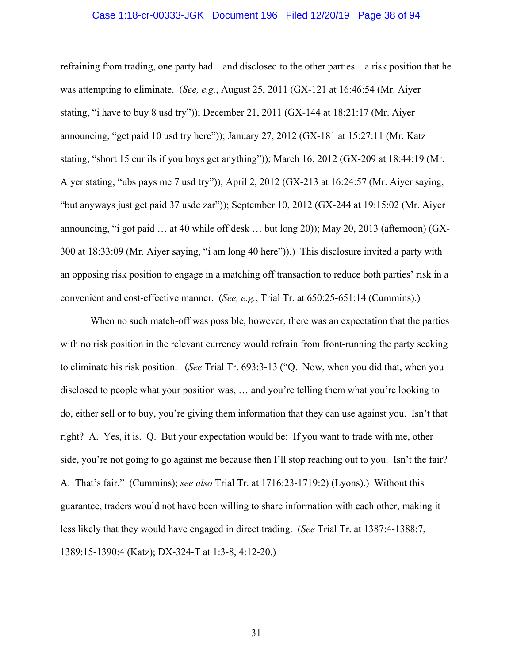### Case 1:18-cr-00333-JGK Document 196 Filed 12/20/19 Page 38 of 94

refraining from trading, one party had—and disclosed to the other parties—a risk position that he was attempting to eliminate. (*See, e.g.*, August 25, 2011 (GX-121 at 16:46:54 (Mr. Aiyer stating, "i have to buy 8 usd try")); December 21, 2011 (GX-144 at 18:21:17 (Mr. Aiyer announcing, "get paid 10 usd try here")); January 27, 2012 (GX-181 at 15:27:11 (Mr. Katz stating, "short 15 eur ils if you boys get anything")); March 16, 2012 (GX-209 at 18:44:19 (Mr. Aiyer stating, "ubs pays me 7 usd try")); April 2, 2012 (GX-213 at 16:24:57 (Mr. Aiyer saying, "but anyways just get paid 37 usdc zar")); September 10, 2012 (GX-244 at 19:15:02 (Mr. Aiyer announcing, "i got paid … at 40 while off desk … but long 20)); May 20, 2013 (afternoon) (GX-300 at 18:33:09 (Mr. Aiyer saying, "i am long 40 here")).) This disclosure invited a party with an opposing risk position to engage in a matching off transaction to reduce both parties' risk in a convenient and cost-effective manner. (*See, e.g.*, Trial Tr. at 650:25-651:14 (Cummins).)

When no such match-off was possible, however, there was an expectation that the parties with no risk position in the relevant currency would refrain from front-running the party seeking to eliminate his risk position. (*See* Trial Tr. 693:3-13 ("Q. Now, when you did that, when you disclosed to people what your position was, … and you're telling them what you're looking to do, either sell or to buy, you're giving them information that they can use against you. Isn't that right? A. Yes, it is. Q. But your expectation would be: If you want to trade with me, other side, you're not going to go against me because then I'll stop reaching out to you. Isn't the fair? A. That's fair." (Cummins); *see also* Trial Tr. at 1716:23-1719:2) (Lyons).) Without this guarantee, traders would not have been willing to share information with each other, making it less likely that they would have engaged in direct trading. (*See* Trial Tr. at 1387:4-1388:7, 1389:15-1390:4 (Katz); DX-324-T at 1:3-8, 4:12-20.)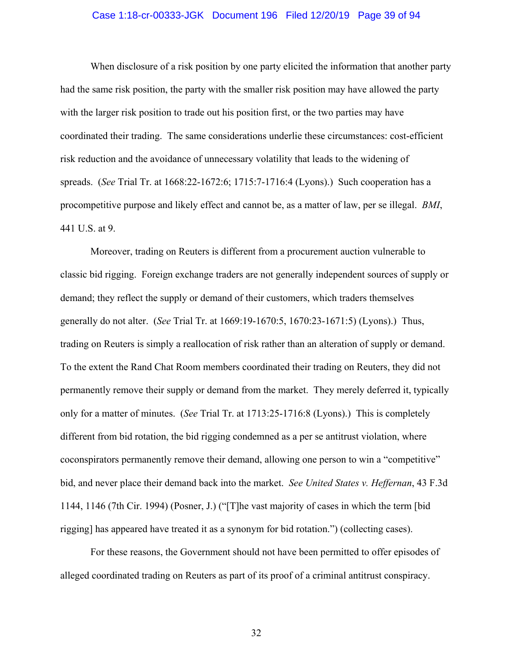### Case 1:18-cr-00333-JGK Document 196 Filed 12/20/19 Page 39 of 94

When disclosure of a risk position by one party elicited the information that another party had the same risk position, the party with the smaller risk position may have allowed the party with the larger risk position to trade out his position first, or the two parties may have coordinated their trading. The same considerations underlie these circumstances: cost-efficient risk reduction and the avoidance of unnecessary volatility that leads to the widening of spreads. (*See* Trial Tr. at 1668:22-1672:6; 1715:7-1716:4 (Lyons).) Such cooperation has a procompetitive purpose and likely effect and cannot be, as a matter of law, per se illegal. *BMI*, 441 U.S. at 9.

Moreover, trading on Reuters is different from a procurement auction vulnerable to classic bid rigging. Foreign exchange traders are not generally independent sources of supply or demand; they reflect the supply or demand of their customers, which traders themselves generally do not alter. (*See* Trial Tr. at 1669:19-1670:5, 1670:23-1671:5) (Lyons).) Thus, trading on Reuters is simply a reallocation of risk rather than an alteration of supply or demand. To the extent the Rand Chat Room members coordinated their trading on Reuters, they did not permanently remove their supply or demand from the market. They merely deferred it, typically only for a matter of minutes. (*See* Trial Tr. at 1713:25-1716:8 (Lyons).) This is completely different from bid rotation, the bid rigging condemned as a per se antitrust violation, where coconspirators permanently remove their demand, allowing one person to win a "competitive" bid, and never place their demand back into the market. *See United States v. Heffernan*, 43 F.3d 1144, 1146 (7th Cir. 1994) (Posner, J.) ("[T]he vast majority of cases in which the term [bid rigging] has appeared have treated it as a synonym for bid rotation.") (collecting cases).

For these reasons, the Government should not have been permitted to offer episodes of alleged coordinated trading on Reuters as part of its proof of a criminal antitrust conspiracy.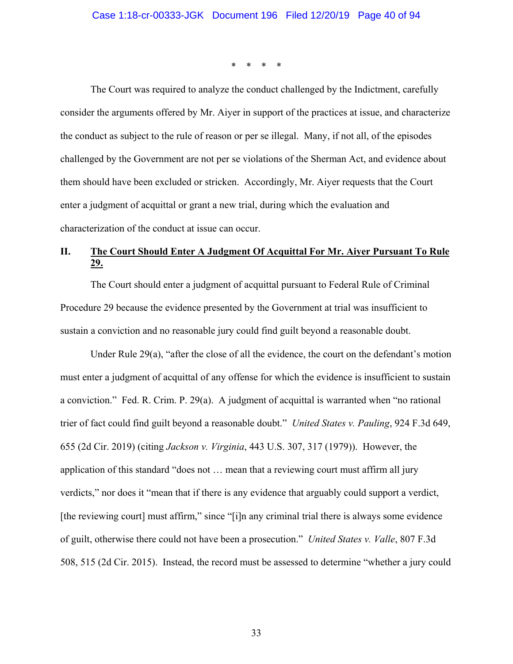\* \* \* \*

 The Court was required to analyze the conduct challenged by the Indictment, carefully consider the arguments offered by Mr. Aiyer in support of the practices at issue, and characterize the conduct as subject to the rule of reason or per se illegal. Many, if not all, of the episodes challenged by the Government are not per se violations of the Sherman Act, and evidence about them should have been excluded or stricken. Accordingly, Mr. Aiyer requests that the Court enter a judgment of acquittal or grant a new trial, during which the evaluation and characterization of the conduct at issue can occur.

# **II. The Court Should Enter A Judgment Of Acquittal For Mr. Aiyer Pursuant To Rule 29.**

The Court should enter a judgment of acquittal pursuant to Federal Rule of Criminal Procedure 29 because the evidence presented by the Government at trial was insufficient to sustain a conviction and no reasonable jury could find guilt beyond a reasonable doubt.

Under Rule 29(a), "after the close of all the evidence, the court on the defendant's motion must enter a judgment of acquittal of any offense for which the evidence is insufficient to sustain a conviction." Fed. R. Crim. P. 29(a). A judgment of acquittal is warranted when "no rational trier of fact could find guilt beyond a reasonable doubt." *United States v. Pauling*, 924 F.3d 649, 655 (2d Cir. 2019) (citing *Jackson v. Virginia*, 443 U.S. 307, 317 (1979)). However, the application of this standard "does not … mean that a reviewing court must affirm all jury verdicts," nor does it "mean that if there is any evidence that arguably could support a verdict, [the reviewing court] must affirm," since "[i]n any criminal trial there is always some evidence of guilt, otherwise there could not have been a prosecution." *United States v. Valle*, 807 F.3d 508, 515 (2d Cir. 2015). Instead, the record must be assessed to determine "whether a jury could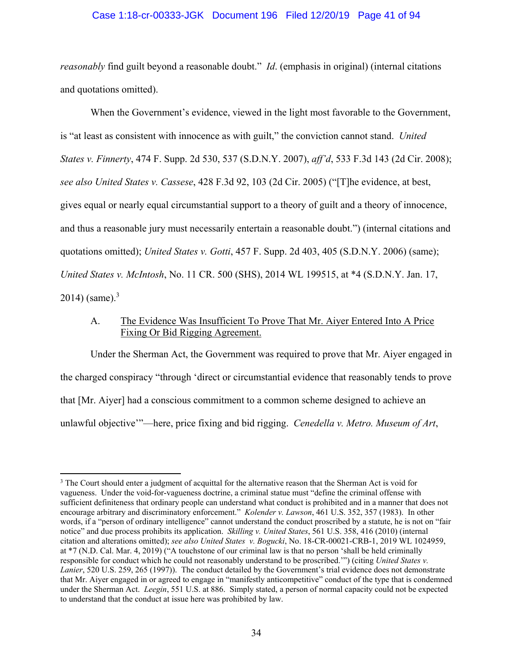### Case 1:18-cr-00333-JGK Document 196 Filed 12/20/19 Page 41 of 94

*reasonably* find guilt beyond a reasonable doubt." *Id*. (emphasis in original) (internal citations and quotations omitted).

When the Government's evidence, viewed in the light most favorable to the Government, is "at least as consistent with innocence as with guilt," the conviction cannot stand. *United States v. Finnerty*, 474 F. Supp. 2d 530, 537 (S.D.N.Y. 2007), *aff'd*, 533 F.3d 143 (2d Cir. 2008); *see also United States v. Cassese*, 428 F.3d 92, 103 (2d Cir. 2005) ("[T]he evidence, at best, gives equal or nearly equal circumstantial support to a theory of guilt and a theory of innocence, and thus a reasonable jury must necessarily entertain a reasonable doubt.") (internal citations and quotations omitted); *United States v. Gotti*, 457 F. Supp. 2d 403, 405 (S.D.N.Y. 2006) (same); *United States v. McIntosh*, No. 11 CR. 500 (SHS), 2014 WL 199515, at \*4 (S.D.N.Y. Jan. 17,  $2014$ ) (same).<sup>3</sup>

## A. The Evidence Was Insufficient To Prove That Mr. Aiyer Entered Into A Price Fixing Or Bid Rigging Agreement.

Under the Sherman Act, the Government was required to prove that Mr. Aiyer engaged in the charged conspiracy "through 'direct or circumstantial evidence that reasonably tends to prove that [Mr. Aiyer] had a conscious commitment to a common scheme designed to achieve an unlawful objective'"—here, price fixing and bid rigging. *Cenedella v. Metro. Museum of Art*,

 $\overline{a}$ 

<sup>&</sup>lt;sup>3</sup> The Court should enter a judgment of acquittal for the alternative reason that the Sherman Act is void for vagueness. Under the void-for-vagueness doctrine, a criminal statue must "define the criminal offense with sufficient definiteness that ordinary people can understand what conduct is prohibited and in a manner that does not encourage arbitrary and discriminatory enforcement." *Kolender v. Lawson*, 461 U.S. 352, 357 (1983). In other words, if a "person of ordinary intelligence" cannot understand the conduct proscribed by a statute, he is not on "fair notice" and due process prohibits its application. *Skilling v. United States*, 561 U.S. 358, 416 (2010) (internal citation and alterations omitted); *see also United States v. Bogucki*, No. 18-CR-00021-CRB-1, 2019 WL 1024959, at \*7 (N.D. Cal. Mar. 4, 2019) ("A touchstone of our criminal law is that no person 'shall be held criminally responsible for conduct which he could not reasonably understand to be proscribed.'") (citing *United States v. Lanier*, 520 U.S. 259, 265 (1997)). The conduct detailed by the Government's trial evidence does not demonstrate that Mr. Aiyer engaged in or agreed to engage in "manifestly anticompetitive" conduct of the type that is condemned under the Sherman Act. *Leegin*, 551 U.S. at 886. Simply stated, a person of normal capacity could not be expected to understand that the conduct at issue here was prohibited by law.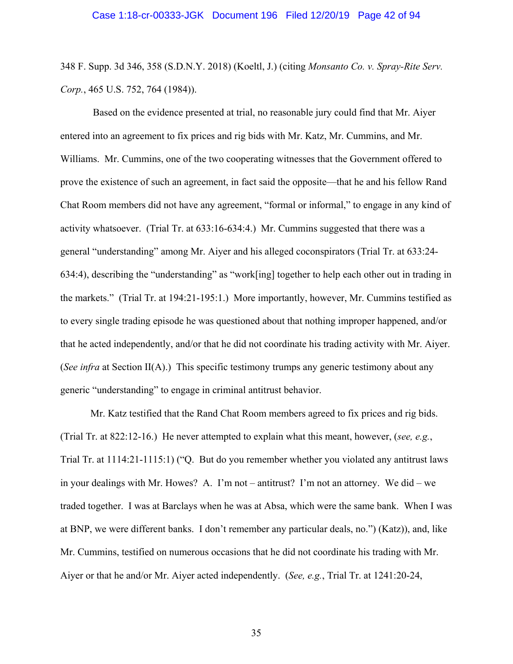348 F. Supp. 3d 346, 358 (S.D.N.Y. 2018) (Koeltl, J.) (citing *Monsanto Co. v. Spray-Rite Serv. Corp.*, 465 U.S. 752, 764 (1984)).

 Based on the evidence presented at trial, no reasonable jury could find that Mr. Aiyer entered into an agreement to fix prices and rig bids with Mr. Katz, Mr. Cummins, and Mr. Williams. Mr. Cummins, one of the two cooperating witnesses that the Government offered to prove the existence of such an agreement, in fact said the opposite—that he and his fellow Rand Chat Room members did not have any agreement, "formal or informal," to engage in any kind of activity whatsoever. (Trial Tr. at 633:16-634:4.) Mr. Cummins suggested that there was a general "understanding" among Mr. Aiyer and his alleged coconspirators (Trial Tr. at 633:24- 634:4), describing the "understanding" as "work[ing] together to help each other out in trading in the markets." (Trial Tr. at 194:21-195:1.) More importantly, however, Mr. Cummins testified as to every single trading episode he was questioned about that nothing improper happened, and/or that he acted independently, and/or that he did not coordinate his trading activity with Mr. Aiyer. (*See infra* at Section II(A).) This specific testimony trumps any generic testimony about any generic "understanding" to engage in criminal antitrust behavior.

Mr. Katz testified that the Rand Chat Room members agreed to fix prices and rig bids. (Trial Tr. at 822:12-16.) He never attempted to explain what this meant, however, (*see, e.g.*, Trial Tr. at 1114:21-1115:1) ("Q. But do you remember whether you violated any antitrust laws in your dealings with Mr. Howes? A. I'm not – antitrust? I'm not an attorney. We did – we traded together. I was at Barclays when he was at Absa, which were the same bank. When I was at BNP, we were different banks. I don't remember any particular deals, no.") (Katz)), and, like Mr. Cummins, testified on numerous occasions that he did not coordinate his trading with Mr. Aiyer or that he and/or Mr. Aiyer acted independently. (*See, e.g.*, Trial Tr. at 1241:20-24,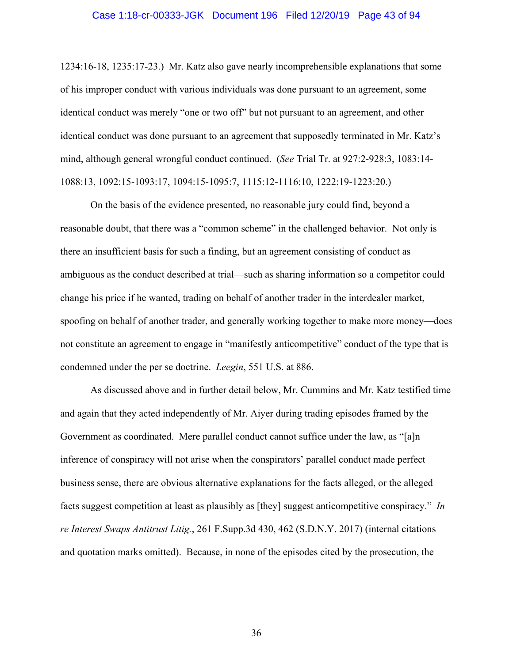### Case 1:18-cr-00333-JGK Document 196 Filed 12/20/19 Page 43 of 94

1234:16-18, 1235:17-23.) Mr. Katz also gave nearly incomprehensible explanations that some of his improper conduct with various individuals was done pursuant to an agreement, some identical conduct was merely "one or two off" but not pursuant to an agreement, and other identical conduct was done pursuant to an agreement that supposedly terminated in Mr. Katz's mind, although general wrongful conduct continued. (*See* Trial Tr. at 927:2-928:3, 1083:14- 1088:13, 1092:15-1093:17, 1094:15-1095:7, 1115:12-1116:10, 1222:19-1223:20.)

On the basis of the evidence presented, no reasonable jury could find, beyond a reasonable doubt, that there was a "common scheme" in the challenged behavior. Not only is there an insufficient basis for such a finding, but an agreement consisting of conduct as ambiguous as the conduct described at trial—such as sharing information so a competitor could change his price if he wanted, trading on behalf of another trader in the interdealer market, spoofing on behalf of another trader, and generally working together to make more money—does not constitute an agreement to engage in "manifestly anticompetitive" conduct of the type that is condemned under the per se doctrine. *Leegin*, 551 U.S. at 886.

As discussed above and in further detail below, Mr. Cummins and Mr. Katz testified time and again that they acted independently of Mr. Aiyer during trading episodes framed by the Government as coordinated. Mere parallel conduct cannot suffice under the law, as "[a]n inference of conspiracy will not arise when the conspirators' parallel conduct made perfect business sense, there are obvious alternative explanations for the facts alleged, or the alleged facts suggest competition at least as plausibly as [they] suggest anticompetitive conspiracy." *In re Interest Swaps Antitrust Litig.*, 261 F.Supp.3d 430, 462 (S.D.N.Y. 2017) (internal citations and quotation marks omitted). Because, in none of the episodes cited by the prosecution, the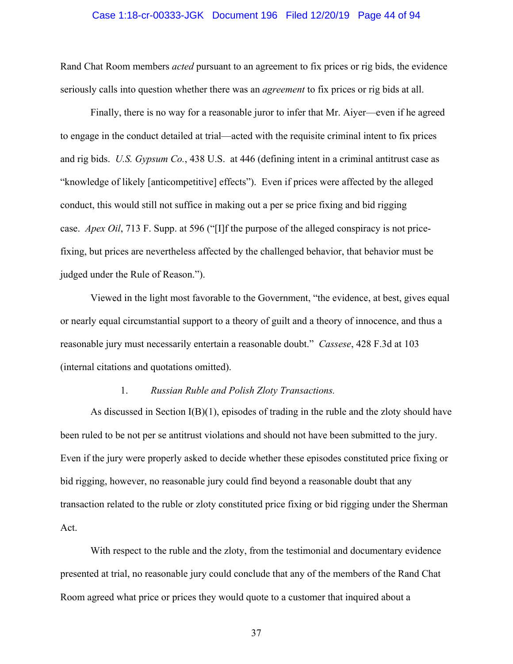### Case 1:18-cr-00333-JGK Document 196 Filed 12/20/19 Page 44 of 94

Rand Chat Room members *acted* pursuant to an agreement to fix prices or rig bids, the evidence seriously calls into question whether there was an *agreement* to fix prices or rig bids at all.

Finally, there is no way for a reasonable juror to infer that Mr. Aiyer—even if he agreed to engage in the conduct detailed at trial—acted with the requisite criminal intent to fix prices and rig bids. *U.S. Gypsum Co.*, 438 U.S. at 446 (defining intent in a criminal antitrust case as "knowledge of likely [anticompetitive] effects"). Even if prices were affected by the alleged conduct, this would still not suffice in making out a per se price fixing and bid rigging case. *Apex Oil*, 713 F. Supp. at 596 ("[I]f the purpose of the alleged conspiracy is not pricefixing, but prices are nevertheless affected by the challenged behavior, that behavior must be judged under the Rule of Reason.").

Viewed in the light most favorable to the Government, "the evidence, at best, gives equal or nearly equal circumstantial support to a theory of guilt and a theory of innocence, and thus a reasonable jury must necessarily entertain a reasonable doubt." *Cassese*, 428 F.3d at 103 (internal citations and quotations omitted).

### 1. *Russian Ruble and Polish Zloty Transactions.*

As discussed in Section I(B)(1), episodes of trading in the ruble and the zloty should have been ruled to be not per se antitrust violations and should not have been submitted to the jury. Even if the jury were properly asked to decide whether these episodes constituted price fixing or bid rigging, however, no reasonable jury could find beyond a reasonable doubt that any transaction related to the ruble or zloty constituted price fixing or bid rigging under the Sherman Act.

With respect to the ruble and the zloty, from the testimonial and documentary evidence presented at trial, no reasonable jury could conclude that any of the members of the Rand Chat Room agreed what price or prices they would quote to a customer that inquired about a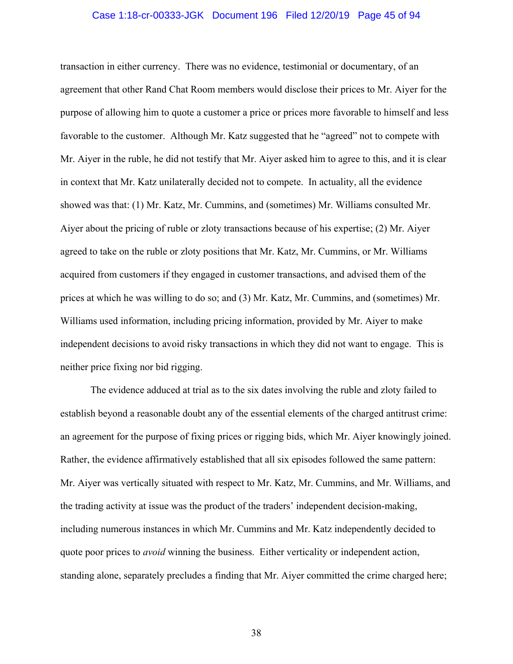### Case 1:18-cr-00333-JGK Document 196 Filed 12/20/19 Page 45 of 94

transaction in either currency. There was no evidence, testimonial or documentary, of an agreement that other Rand Chat Room members would disclose their prices to Mr. Aiyer for the purpose of allowing him to quote a customer a price or prices more favorable to himself and less favorable to the customer. Although Mr. Katz suggested that he "agreed" not to compete with Mr. Aiyer in the ruble, he did not testify that Mr. Aiyer asked him to agree to this, and it is clear in context that Mr. Katz unilaterally decided not to compete. In actuality, all the evidence showed was that: (1) Mr. Katz, Mr. Cummins, and (sometimes) Mr. Williams consulted Mr. Aiyer about the pricing of ruble or zloty transactions because of his expertise; (2) Mr. Aiyer agreed to take on the ruble or zloty positions that Mr. Katz, Mr. Cummins, or Mr. Williams acquired from customers if they engaged in customer transactions, and advised them of the prices at which he was willing to do so; and (3) Mr. Katz, Mr. Cummins, and (sometimes) Mr. Williams used information, including pricing information, provided by Mr. Aiyer to make independent decisions to avoid risky transactions in which they did not want to engage. This is neither price fixing nor bid rigging.

The evidence adduced at trial as to the six dates involving the ruble and zloty failed to establish beyond a reasonable doubt any of the essential elements of the charged antitrust crime: an agreement for the purpose of fixing prices or rigging bids, which Mr. Aiyer knowingly joined. Rather, the evidence affirmatively established that all six episodes followed the same pattern: Mr. Aiyer was vertically situated with respect to Mr. Katz, Mr. Cummins, and Mr. Williams, and the trading activity at issue was the product of the traders' independent decision-making, including numerous instances in which Mr. Cummins and Mr. Katz independently decided to quote poor prices to *avoid* winning the business. Either verticality or independent action, standing alone, separately precludes a finding that Mr. Aiyer committed the crime charged here;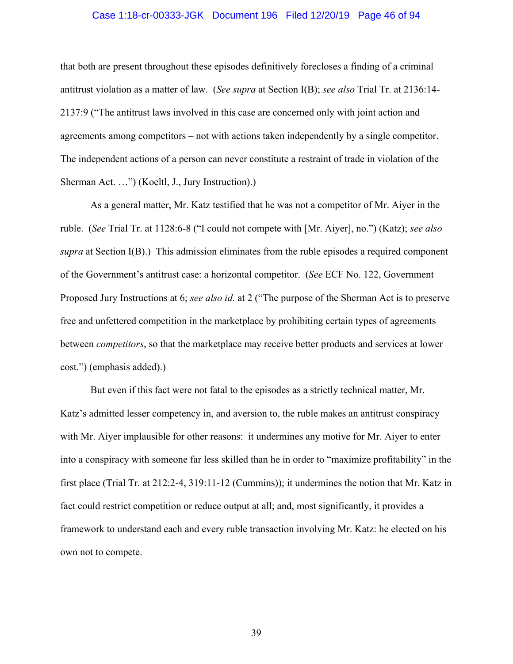### Case 1:18-cr-00333-JGK Document 196 Filed 12/20/19 Page 46 of 94

that both are present throughout these episodes definitively forecloses a finding of a criminal antitrust violation as a matter of law. (*See supra* at Section I(B); *see also* Trial Tr. at 2136:14- 2137:9 ("The antitrust laws involved in this case are concerned only with joint action and agreements among competitors – not with actions taken independently by a single competitor. The independent actions of a person can never constitute a restraint of trade in violation of the Sherman Act. …") (Koeltl, J., Jury Instruction).)

As a general matter, Mr. Katz testified that he was not a competitor of Mr. Aiyer in the ruble. (*See* Trial Tr. at 1128:6-8 ("I could not compete with [Mr. Aiyer], no.") (Katz); *see also supra* at Section I(B).) This admission eliminates from the ruble episodes a required component of the Government's antitrust case: a horizontal competitor. (*See* ECF No. 122, Government Proposed Jury Instructions at 6; *see also id.* at 2 ("The purpose of the Sherman Act is to preserve free and unfettered competition in the marketplace by prohibiting certain types of agreements between *competitors*, so that the marketplace may receive better products and services at lower cost.") (emphasis added).)

But even if this fact were not fatal to the episodes as a strictly technical matter, Mr. Katz's admitted lesser competency in, and aversion to, the ruble makes an antitrust conspiracy with Mr. Aiyer implausible for other reasons: it undermines any motive for Mr. Aiyer to enter into a conspiracy with someone far less skilled than he in order to "maximize profitability" in the first place (Trial Tr. at 212:2-4, 319:11-12 (Cummins)); it undermines the notion that Mr. Katz in fact could restrict competition or reduce output at all; and, most significantly, it provides a framework to understand each and every ruble transaction involving Mr. Katz: he elected on his own not to compete.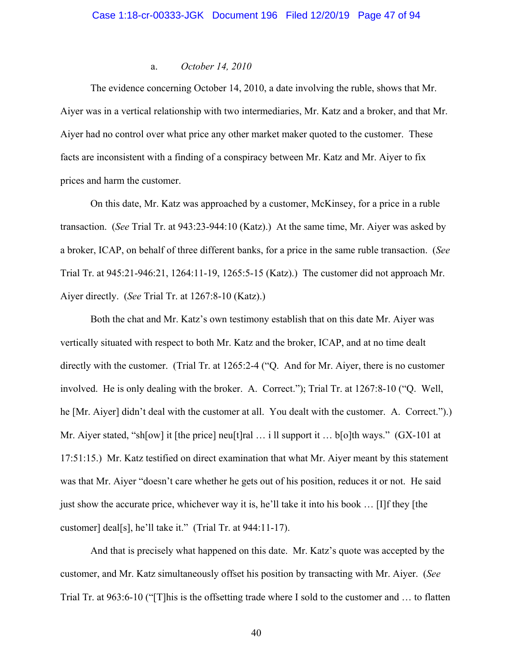### a. *October 14, 2010*

The evidence concerning October 14, 2010, a date involving the ruble, shows that Mr. Aiyer was in a vertical relationship with two intermediaries, Mr. Katz and a broker, and that Mr. Aiyer had no control over what price any other market maker quoted to the customer. These facts are inconsistent with a finding of a conspiracy between Mr. Katz and Mr. Aiyer to fix prices and harm the customer.

On this date, Mr. Katz was approached by a customer, McKinsey, for a price in a ruble transaction. (*See* Trial Tr. at 943:23-944:10 (Katz).) At the same time, Mr. Aiyer was asked by a broker, ICAP, on behalf of three different banks, for a price in the same ruble transaction. (*See* Trial Tr. at 945:21-946:21, 1264:11-19, 1265:5-15 (Katz).) The customer did not approach Mr. Aiyer directly. (*See* Trial Tr. at 1267:8-10 (Katz).)

Both the chat and Mr. Katz's own testimony establish that on this date Mr. Aiyer was vertically situated with respect to both Mr. Katz and the broker, ICAP, and at no time dealt directly with the customer. (Trial Tr. at 1265:2-4 ("Q. And for Mr. Aiyer, there is no customer involved. He is only dealing with the broker. A. Correct."); Trial Tr. at 1267:8-10 ("Q. Well, he [Mr. Aiyer] didn't deal with the customer at all. You dealt with the customer. A. Correct.").) Mr. Aiyer stated, "sh[ow] it [the price] neu[t]ral ... i ll support it ... b[o]th ways." (GX-101 at 17:51:15.) Mr. Katz testified on direct examination that what Mr. Aiyer meant by this statement was that Mr. Aiyer "doesn't care whether he gets out of his position, reduces it or not. He said just show the accurate price, whichever way it is, he'll take it into his book … [I]f they [the customer] deal[s], he'll take it." (Trial Tr. at 944:11-17).

And that is precisely what happened on this date. Mr. Katz's quote was accepted by the customer, and Mr. Katz simultaneously offset his position by transacting with Mr. Aiyer. (*See* Trial Tr. at 963:6-10 ("[T]his is the offsetting trade where I sold to the customer and … to flatten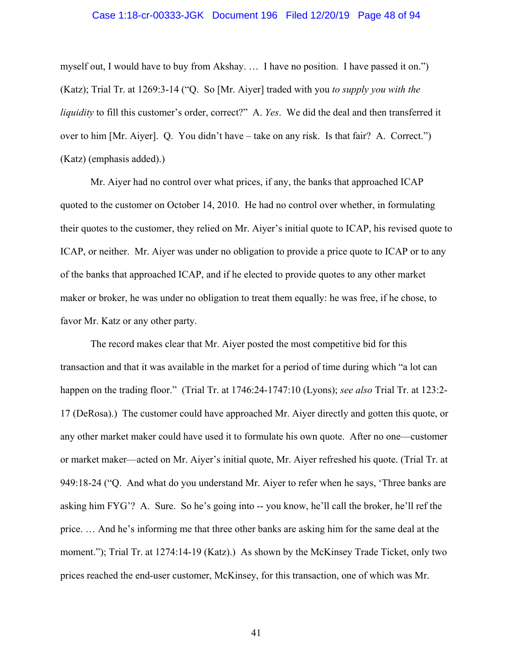### Case 1:18-cr-00333-JGK Document 196 Filed 12/20/19 Page 48 of 94

myself out, I would have to buy from Akshay. … I have no position. I have passed it on.") (Katz); Trial Tr. at 1269:3-14 ("Q. So [Mr. Aiyer] traded with you *to supply you with the liquidity* to fill this customer's order, correct?" A. *Yes*. We did the deal and then transferred it over to him [Mr. Aiyer]. Q. You didn't have – take on any risk. Is that fair? A. Correct.") (Katz) (emphasis added).)

Mr. Aiyer had no control over what prices, if any, the banks that approached ICAP quoted to the customer on October 14, 2010. He had no control over whether, in formulating their quotes to the customer, they relied on Mr. Aiyer's initial quote to ICAP, his revised quote to ICAP, or neither. Mr. Aiyer was under no obligation to provide a price quote to ICAP or to any of the banks that approached ICAP, and if he elected to provide quotes to any other market maker or broker, he was under no obligation to treat them equally: he was free, if he chose, to favor Mr. Katz or any other party.

The record makes clear that Mr. Aiyer posted the most competitive bid for this transaction and that it was available in the market for a period of time during which "a lot can happen on the trading floor." (Trial Tr. at 1746:24-1747:10 (Lyons); *see also* Trial Tr. at 123:2- 17 (DeRosa).) The customer could have approached Mr. Aiyer directly and gotten this quote, or any other market maker could have used it to formulate his own quote. After no one—customer or market maker—acted on Mr. Aiyer's initial quote, Mr. Aiyer refreshed his quote. (Trial Tr. at 949:18-24 ("Q. And what do you understand Mr. Aiyer to refer when he says, 'Three banks are asking him FYG'? A. Sure. So he's going into -- you know, he'll call the broker, he'll ref the price. … And he's informing me that three other banks are asking him for the same deal at the moment."); Trial Tr. at 1274:14-19 (Katz).) As shown by the McKinsey Trade Ticket, only two prices reached the end-user customer, McKinsey, for this transaction, one of which was Mr.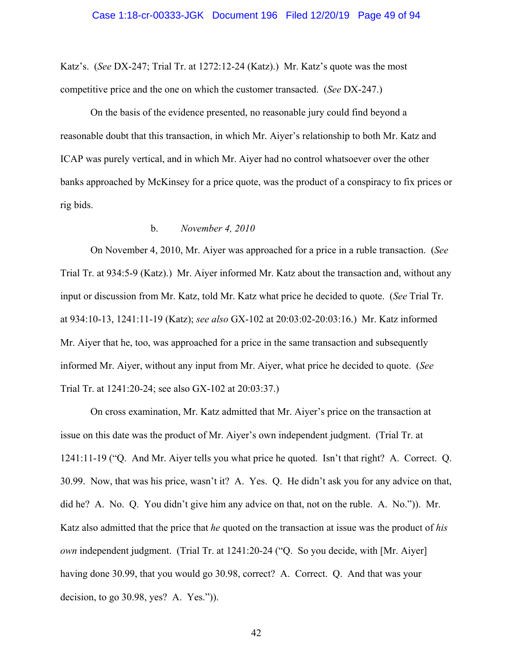Katz's. (*See* DX-247; Trial Tr. at 1272:12-24 (Katz).) Mr. Katz's quote was the most competitive price and the one on which the customer transacted. (*See* DX-247.)

On the basis of the evidence presented, no reasonable jury could find beyond a reasonable doubt that this transaction, in which Mr. Aiyer's relationship to both Mr. Katz and ICAP was purely vertical, and in which Mr. Aiyer had no control whatsoever over the other banks approached by McKinsey for a price quote, was the product of a conspiracy to fix prices or rig bids.

## b. *November 4, 2010*

On November 4, 2010, Mr. Aiyer was approached for a price in a ruble transaction. (*See* Trial Tr. at 934:5-9 (Katz).) Mr. Aiyer informed Mr. Katz about the transaction and, without any input or discussion from Mr. Katz, told Mr. Katz what price he decided to quote. (*See* Trial Tr. at 934:10-13, 1241:11-19 (Katz); *see also* GX-102 at 20:03:02-20:03:16.) Mr. Katz informed Mr. Aiyer that he, too, was approached for a price in the same transaction and subsequently informed Mr. Aiyer, without any input from Mr. Aiyer, what price he decided to quote. (*See*  Trial Tr. at 1241:20-24; see also GX-102 at 20:03:37.)

On cross examination, Mr. Katz admitted that Mr. Aiyer's price on the transaction at issue on this date was the product of Mr. Aiyer's own independent judgment. (Trial Tr. at 1241:11-19 ("Q. And Mr. Aiyer tells you what price he quoted. Isn't that right? A. Correct. Q. 30.99. Now, that was his price, wasn't it? A. Yes. Q. He didn't ask you for any advice on that, did he? A. No. Q. You didn't give him any advice on that, not on the ruble. A. No.")). Mr. Katz also admitted that the price that *he* quoted on the transaction at issue was the product of *his own* independent judgment. (Trial Tr. at 1241:20-24 ("Q. So you decide, with [Mr. Aiyer] having done 30.99, that you would go 30.98, correct? A. Correct. Q. And that was your decision, to go 30.98, yes? A. Yes.")).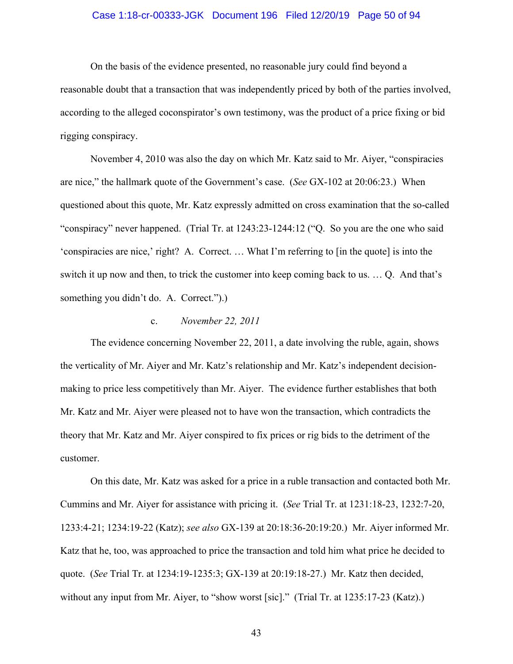### Case 1:18-cr-00333-JGK Document 196 Filed 12/20/19 Page 50 of 94

On the basis of the evidence presented, no reasonable jury could find beyond a reasonable doubt that a transaction that was independently priced by both of the parties involved, according to the alleged coconspirator's own testimony, was the product of a price fixing or bid rigging conspiracy.

November 4, 2010 was also the day on which Mr. Katz said to Mr. Aiyer, "conspiracies are nice," the hallmark quote of the Government's case. (*See* GX-102 at 20:06:23.) When questioned about this quote, Mr. Katz expressly admitted on cross examination that the so-called "conspiracy" never happened. (Trial Tr. at 1243:23-1244:12 ("Q. So you are the one who said 'conspiracies are nice,' right? A. Correct. … What I'm referring to [in the quote] is into the switch it up now and then, to trick the customer into keep coming back to us. … Q. And that's something you didn't do. A. Correct.").)

### c. *November 22, 2011*

The evidence concerning November 22, 2011, a date involving the ruble, again, shows the verticality of Mr. Aiyer and Mr. Katz's relationship and Mr. Katz's independent decisionmaking to price less competitively than Mr. Aiyer. The evidence further establishes that both Mr. Katz and Mr. Aiyer were pleased not to have won the transaction, which contradicts the theory that Mr. Katz and Mr. Aiyer conspired to fix prices or rig bids to the detriment of the customer.

On this date, Mr. Katz was asked for a price in a ruble transaction and contacted both Mr. Cummins and Mr. Aiyer for assistance with pricing it. (*See* Trial Tr. at 1231:18-23, 1232:7-20, 1233:4-21; 1234:19-22 (Katz); *see also* GX-139 at 20:18:36-20:19:20.) Mr. Aiyer informed Mr. Katz that he, too, was approached to price the transaction and told him what price he decided to quote. (*See* Trial Tr. at 1234:19-1235:3; GX-139 at 20:19:18-27.) Mr. Katz then decided, without any input from Mr. Aiyer, to "show worst [sic]." (Trial Tr. at 1235:17-23 (Katz).)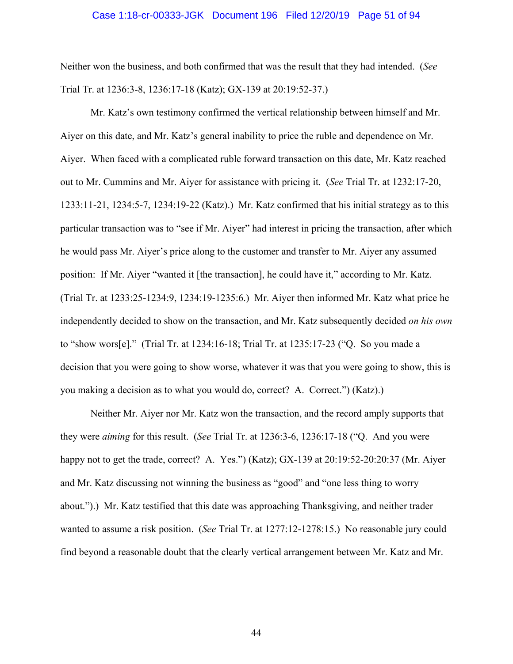### Case 1:18-cr-00333-JGK Document 196 Filed 12/20/19 Page 51 of 94

Neither won the business, and both confirmed that was the result that they had intended. (*See* Trial Tr. at 1236:3-8, 1236:17-18 (Katz); GX-139 at 20:19:52-37.)

Mr. Katz's own testimony confirmed the vertical relationship between himself and Mr. Aiyer on this date, and Mr. Katz's general inability to price the ruble and dependence on Mr. Aiyer. When faced with a complicated ruble forward transaction on this date, Mr. Katz reached out to Mr. Cummins and Mr. Aiyer for assistance with pricing it. (*See* Trial Tr. at 1232:17-20, 1233:11-21, 1234:5-7, 1234:19-22 (Katz).) Mr. Katz confirmed that his initial strategy as to this particular transaction was to "see if Mr. Aiyer" had interest in pricing the transaction, after which he would pass Mr. Aiyer's price along to the customer and transfer to Mr. Aiyer any assumed position: If Mr. Aiyer "wanted it [the transaction], he could have it," according to Mr. Katz. (Trial Tr. at 1233:25-1234:9, 1234:19-1235:6.) Mr. Aiyer then informed Mr. Katz what price he independently decided to show on the transaction, and Mr. Katz subsequently decided *on his own* to "show wors[e]." (Trial Tr. at 1234:16-18; Trial Tr. at 1235:17-23 ("Q. So you made a decision that you were going to show worse, whatever it was that you were going to show, this is you making a decision as to what you would do, correct? A. Correct.") (Katz).)

Neither Mr. Aiyer nor Mr. Katz won the transaction, and the record amply supports that they were *aiming* for this result. (*See* Trial Tr. at 1236:3-6, 1236:17-18 ("Q. And you were happy not to get the trade, correct? A. Yes.") (Katz); GX-139 at 20:19:52-20:20:37 (Mr. Aiyer and Mr. Katz discussing not winning the business as "good" and "one less thing to worry about.").) Mr. Katz testified that this date was approaching Thanksgiving, and neither trader wanted to assume a risk position. (*See* Trial Tr. at 1277:12-1278:15.) No reasonable jury could find beyond a reasonable doubt that the clearly vertical arrangement between Mr. Katz and Mr.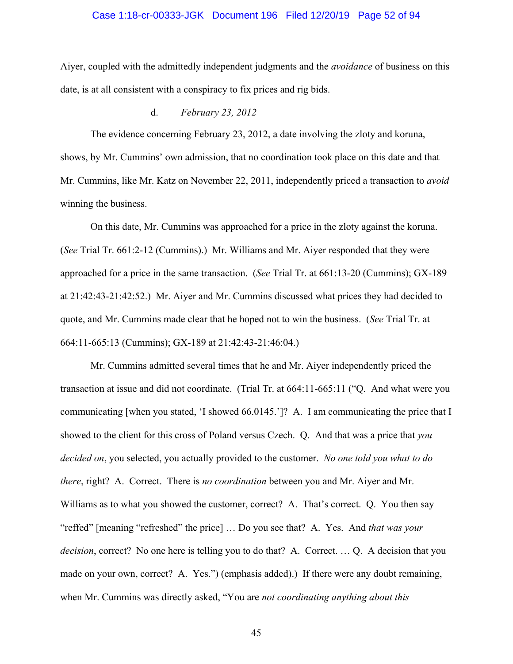### Case 1:18-cr-00333-JGK Document 196 Filed 12/20/19 Page 52 of 94

Aiyer, coupled with the admittedly independent judgments and the *avoidance* of business on this date, is at all consistent with a conspiracy to fix prices and rig bids.

d. *February 23, 2012*

The evidence concerning February 23, 2012, a date involving the zloty and koruna, shows, by Mr. Cummins' own admission, that no coordination took place on this date and that Mr. Cummins, like Mr. Katz on November 22, 2011, independently priced a transaction to *avoid*  winning the business.

On this date, Mr. Cummins was approached for a price in the zloty against the koruna. (*See* Trial Tr. 661:2-12 (Cummins).) Mr. Williams and Mr. Aiyer responded that they were approached for a price in the same transaction. (*See* Trial Tr. at 661:13-20 (Cummins); GX-189 at 21:42:43-21:42:52.) Mr. Aiyer and Mr. Cummins discussed what prices they had decided to quote, and Mr. Cummins made clear that he hoped not to win the business. (*See* Trial Tr. at 664:11-665:13 (Cummins); GX-189 at 21:42:43-21:46:04.)

Mr. Cummins admitted several times that he and Mr. Aiyer independently priced the transaction at issue and did not coordinate. (Trial Tr. at 664:11-665:11 ("Q. And what were you communicating [when you stated, 'I showed 66.0145.']? A. I am communicating the price that I showed to the client for this cross of Poland versus Czech. Q. And that was a price that *you decided on*, you selected, you actually provided to the customer. *No one told you what to do there*, right? A. Correct. There is *no coordination* between you and Mr. Aiyer and Mr. Williams as to what you showed the customer, correct? A. That's correct. Q. You then say "reffed" [meaning "refreshed" the price] … Do you see that? A. Yes. And *that was your decision*, correct? No one here is telling you to do that? A. Correct. … Q. A decision that you made on your own, correct? A. Yes.") (emphasis added).) If there were any doubt remaining, when Mr. Cummins was directly asked, "You are *not coordinating anything about this*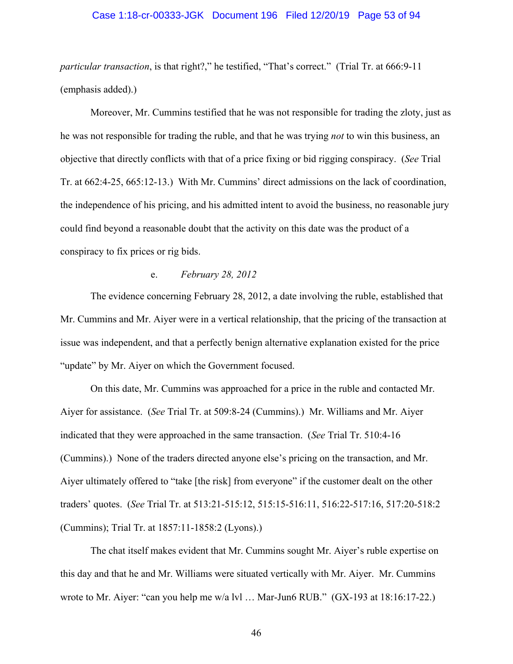### Case 1:18-cr-00333-JGK Document 196 Filed 12/20/19 Page 53 of 94

*particular transaction*, is that right?," he testified, "That's correct." (Trial Tr. at 666:9-11 (emphasis added).)

Moreover, Mr. Cummins testified that he was not responsible for trading the zloty, just as he was not responsible for trading the ruble, and that he was trying *not* to win this business, an objective that directly conflicts with that of a price fixing or bid rigging conspiracy. (*See* Trial Tr. at 662:4-25, 665:12-13.) With Mr. Cummins' direct admissions on the lack of coordination, the independence of his pricing, and his admitted intent to avoid the business, no reasonable jury could find beyond a reasonable doubt that the activity on this date was the product of a conspiracy to fix prices or rig bids.

### e. *February 28, 2012*

The evidence concerning February 28, 2012, a date involving the ruble, established that Mr. Cummins and Mr. Aiyer were in a vertical relationship, that the pricing of the transaction at issue was independent, and that a perfectly benign alternative explanation existed for the price "update" by Mr. Aiyer on which the Government focused.

On this date, Mr. Cummins was approached for a price in the ruble and contacted Mr. Aiyer for assistance. (*See* Trial Tr. at 509:8-24 (Cummins).) Mr. Williams and Mr. Aiyer indicated that they were approached in the same transaction. (*See* Trial Tr. 510:4-16 (Cummins).) None of the traders directed anyone else's pricing on the transaction, and Mr. Aiyer ultimately offered to "take [the risk] from everyone" if the customer dealt on the other traders' quotes. (*See* Trial Tr. at 513:21-515:12, 515:15-516:11, 516:22-517:16, 517:20-518:2 (Cummins); Trial Tr. at 1857:11-1858:2 (Lyons).)

The chat itself makes evident that Mr. Cummins sought Mr. Aiyer's ruble expertise on this day and that he and Mr. Williams were situated vertically with Mr. Aiyer. Mr. Cummins wrote to Mr. Aiyer: "can you help me w/a lvl … Mar-Jun6 RUB." (GX-193 at 18:16:17-22.)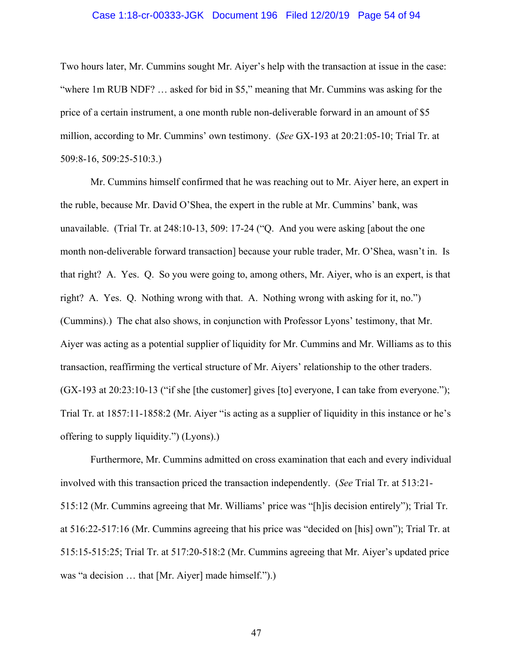### Case 1:18-cr-00333-JGK Document 196 Filed 12/20/19 Page 54 of 94

Two hours later, Mr. Cummins sought Mr. Aiyer's help with the transaction at issue in the case: "where 1m RUB NDF? … asked for bid in \$5," meaning that Mr. Cummins was asking for the price of a certain instrument, a one month ruble non-deliverable forward in an amount of \$5 million, according to Mr. Cummins' own testimony. (*See* GX-193 at 20:21:05-10; Trial Tr. at 509:8-16, 509:25-510:3.)

Mr. Cummins himself confirmed that he was reaching out to Mr. Aiyer here, an expert in the ruble, because Mr. David O'Shea, the expert in the ruble at Mr. Cummins' bank, was unavailable. (Trial Tr. at 248:10-13, 509: 17-24 ("Q. And you were asking [about the one month non-deliverable forward transaction] because your ruble trader, Mr. O'Shea, wasn't in. Is that right? A. Yes. Q. So you were going to, among others, Mr. Aiyer, who is an expert, is that right? A. Yes. Q. Nothing wrong with that. A. Nothing wrong with asking for it, no.") (Cummins).) The chat also shows, in conjunction with Professor Lyons' testimony, that Mr. Aiyer was acting as a potential supplier of liquidity for Mr. Cummins and Mr. Williams as to this transaction, reaffirming the vertical structure of Mr. Aiyers' relationship to the other traders. (GX-193 at 20:23:10-13 ("if she [the customer] gives [to] everyone, I can take from everyone."); Trial Tr. at 1857:11-1858:2 (Mr. Aiyer "is acting as a supplier of liquidity in this instance or he's offering to supply liquidity.") (Lyons).)

Furthermore, Mr. Cummins admitted on cross examination that each and every individual involved with this transaction priced the transaction independently. (*See* Trial Tr. at 513:21- 515:12 (Mr. Cummins agreeing that Mr. Williams' price was "[h]is decision entirely"); Trial Tr. at 516:22-517:16 (Mr. Cummins agreeing that his price was "decided on [his] own"); Trial Tr. at 515:15-515:25; Trial Tr. at 517:20-518:2 (Mr. Cummins agreeing that Mr. Aiyer's updated price was "a decision … that [Mr. Aiyer] made himself.").)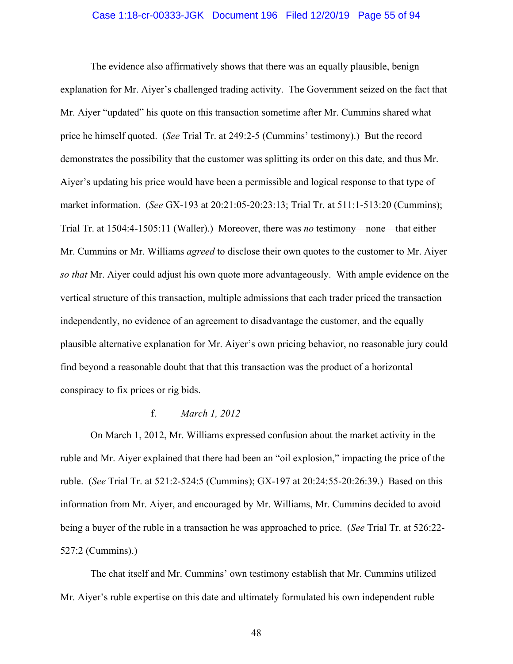### Case 1:18-cr-00333-JGK Document 196 Filed 12/20/19 Page 55 of 94

The evidence also affirmatively shows that there was an equally plausible, benign explanation for Mr. Aiyer's challenged trading activity. The Government seized on the fact that Mr. Aiyer "updated" his quote on this transaction sometime after Mr. Cummins shared what price he himself quoted. (*See* Trial Tr. at 249:2-5 (Cummins' testimony).) But the record demonstrates the possibility that the customer was splitting its order on this date, and thus Mr. Aiyer's updating his price would have been a permissible and logical response to that type of market information. (*See* GX-193 at 20:21:05-20:23:13; Trial Tr. at 511:1-513:20 (Cummins); Trial Tr. at 1504:4-1505:11 (Waller).) Moreover, there was *no* testimony—none—that either Mr. Cummins or Mr. Williams *agreed* to disclose their own quotes to the customer to Mr. Aiyer *so that* Mr. Aiyer could adjust his own quote more advantageously. With ample evidence on the vertical structure of this transaction, multiple admissions that each trader priced the transaction independently, no evidence of an agreement to disadvantage the customer, and the equally plausible alternative explanation for Mr. Aiyer's own pricing behavior, no reasonable jury could find beyond a reasonable doubt that that this transaction was the product of a horizontal conspiracy to fix prices or rig bids.

## f. *March 1, 2012*

On March 1, 2012, Mr. Williams expressed confusion about the market activity in the ruble and Mr. Aiyer explained that there had been an "oil explosion," impacting the price of the ruble. (*See* Trial Tr. at 521:2-524:5 (Cummins); GX-197 at 20:24:55-20:26:39.) Based on this information from Mr. Aiyer, and encouraged by Mr. Williams, Mr. Cummins decided to avoid being a buyer of the ruble in a transaction he was approached to price. (*See* Trial Tr. at 526:22- 527:2 (Cummins).)

The chat itself and Mr. Cummins' own testimony establish that Mr. Cummins utilized Mr. Aiyer's ruble expertise on this date and ultimately formulated his own independent ruble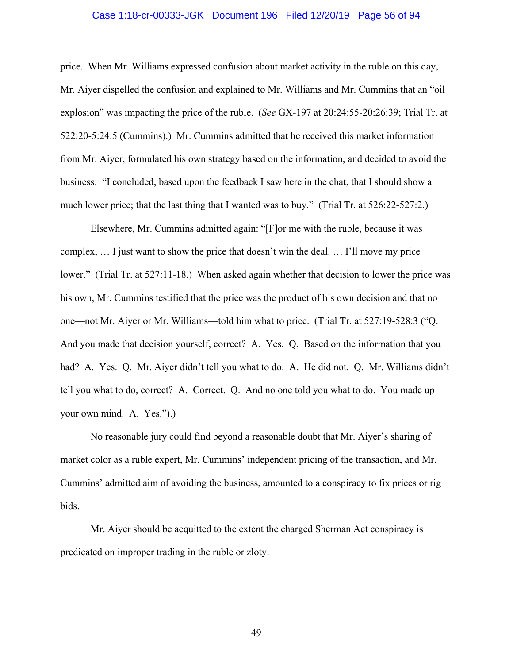### Case 1:18-cr-00333-JGK Document 196 Filed 12/20/19 Page 56 of 94

price. When Mr. Williams expressed confusion about market activity in the ruble on this day, Mr. Aiyer dispelled the confusion and explained to Mr. Williams and Mr. Cummins that an "oil explosion" was impacting the price of the ruble. (*See* GX-197 at 20:24:55-20:26:39; Trial Tr. at 522:20-5:24:5 (Cummins).) Mr. Cummins admitted that he received this market information from Mr. Aiyer, formulated his own strategy based on the information, and decided to avoid the business: "I concluded, based upon the feedback I saw here in the chat, that I should show a much lower price; that the last thing that I wanted was to buy." (Trial Tr. at 526:22-527:2.)

Elsewhere, Mr. Cummins admitted again: "[F]or me with the ruble, because it was complex, … I just want to show the price that doesn't win the deal. … I'll move my price lower." (Trial Tr. at 527:11-18.) When asked again whether that decision to lower the price was his own, Mr. Cummins testified that the price was the product of his own decision and that no one—not Mr. Aiyer or Mr. Williams—told him what to price. (Trial Tr. at 527:19-528:3 ("Q. And you made that decision yourself, correct? A. Yes. Q. Based on the information that you had? A. Yes. Q. Mr. Aiyer didn't tell you what to do. A. He did not. Q. Mr. Williams didn't tell you what to do, correct? A. Correct. Q. And no one told you what to do. You made up your own mind. A. Yes.").)

No reasonable jury could find beyond a reasonable doubt that Mr. Aiyer's sharing of market color as a ruble expert, Mr. Cummins' independent pricing of the transaction, and Mr. Cummins' admitted aim of avoiding the business, amounted to a conspiracy to fix prices or rig bids.

Mr. Aiyer should be acquitted to the extent the charged Sherman Act conspiracy is predicated on improper trading in the ruble or zloty.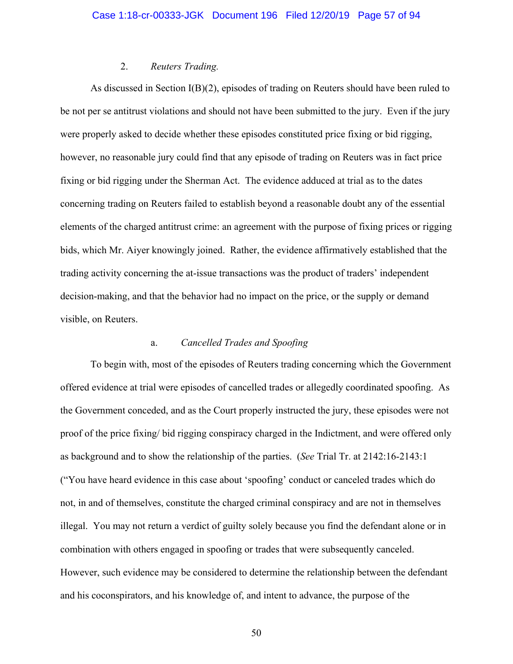## 2. *Reuters Trading.*

As discussed in Section I(B)(2), episodes of trading on Reuters should have been ruled to be not per se antitrust violations and should not have been submitted to the jury. Even if the jury were properly asked to decide whether these episodes constituted price fixing or bid rigging, however, no reasonable jury could find that any episode of trading on Reuters was in fact price fixing or bid rigging under the Sherman Act. The evidence adduced at trial as to the dates concerning trading on Reuters failed to establish beyond a reasonable doubt any of the essential elements of the charged antitrust crime: an agreement with the purpose of fixing prices or rigging bids, which Mr. Aiyer knowingly joined. Rather, the evidence affirmatively established that the trading activity concerning the at-issue transactions was the product of traders' independent decision-making, and that the behavior had no impact on the price, or the supply or demand visible, on Reuters.

## a. *Cancelled Trades and Spoofing*

To begin with, most of the episodes of Reuters trading concerning which the Government offered evidence at trial were episodes of cancelled trades or allegedly coordinated spoofing. As the Government conceded, and as the Court properly instructed the jury, these episodes were not proof of the price fixing/ bid rigging conspiracy charged in the Indictment, and were offered only as background and to show the relationship of the parties. (*See* Trial Tr. at 2142:16-2143:1 ("You have heard evidence in this case about 'spoofing' conduct or canceled trades which do not, in and of themselves, constitute the charged criminal conspiracy and are not in themselves illegal. You may not return a verdict of guilty solely because you find the defendant alone or in combination with others engaged in spoofing or trades that were subsequently canceled. However, such evidence may be considered to determine the relationship between the defendant and his coconspirators, and his knowledge of, and intent to advance, the purpose of the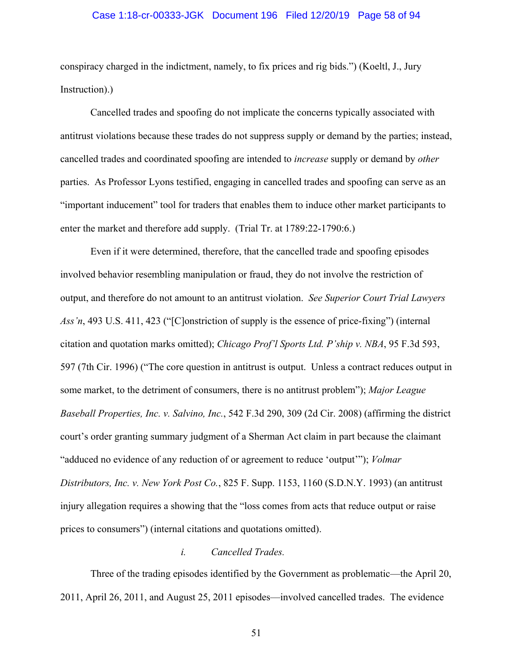### Case 1:18-cr-00333-JGK Document 196 Filed 12/20/19 Page 58 of 94

conspiracy charged in the indictment, namely, to fix prices and rig bids.") (Koeltl, J., Jury Instruction).)

Cancelled trades and spoofing do not implicate the concerns typically associated with antitrust violations because these trades do not suppress supply or demand by the parties; instead, cancelled trades and coordinated spoofing are intended to *increase* supply or demand by *other* parties. As Professor Lyons testified, engaging in cancelled trades and spoofing can serve as an "important inducement" tool for traders that enables them to induce other market participants to enter the market and therefore add supply. (Trial Tr. at 1789:22-1790:6.)

Even if it were determined, therefore, that the cancelled trade and spoofing episodes involved behavior resembling manipulation or fraud, they do not involve the restriction of output, and therefore do not amount to an antitrust violation. *See Superior Court Trial Lawyers Ass'n*, 493 U.S. 411, 423 ("[C]onstriction of supply is the essence of price-fixing") (internal citation and quotation marks omitted); *Chicago Prof'l Sports Ltd. P'ship v. NBA*, 95 F.3d 593, 597 (7th Cir. 1996) ("The core question in antitrust is output. Unless a contract reduces output in some market, to the detriment of consumers, there is no antitrust problem"); *Major League Baseball Properties, Inc. v. Salvino, Inc.*, 542 F.3d 290, 309 (2d Cir. 2008) (affirming the district court's order granting summary judgment of a Sherman Act claim in part because the claimant "adduced no evidence of any reduction of or agreement to reduce 'output'"); *Volmar Distributors, Inc. v. New York Post Co.*, 825 F. Supp. 1153, 1160 (S.D.N.Y. 1993) (an antitrust injury allegation requires a showing that the "loss comes from acts that reduce output or raise prices to consumers") (internal citations and quotations omitted).

## *i. Cancelled Trades.*

Three of the trading episodes identified by the Government as problematic—the April 20, 2011, April 26, 2011, and August 25, 2011 episodes—involved cancelled trades. The evidence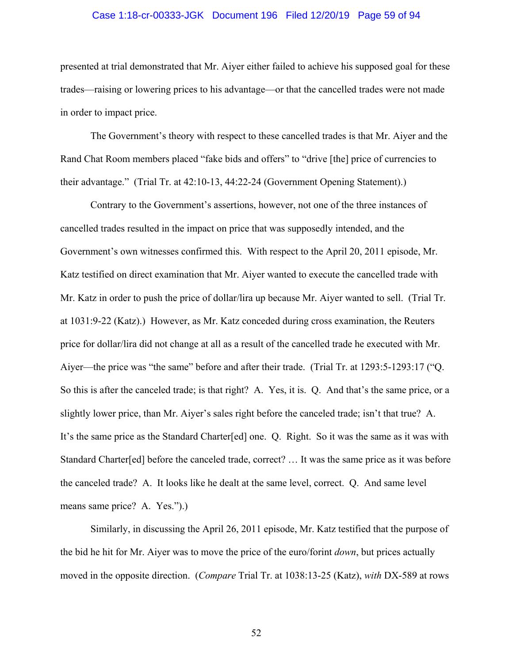### Case 1:18-cr-00333-JGK Document 196 Filed 12/20/19 Page 59 of 94

presented at trial demonstrated that Mr. Aiyer either failed to achieve his supposed goal for these trades—raising or lowering prices to his advantage—or that the cancelled trades were not made in order to impact price.

The Government's theory with respect to these cancelled trades is that Mr. Aiyer and the Rand Chat Room members placed "fake bids and offers" to "drive [the] price of currencies to their advantage." (Trial Tr. at 42:10-13, 44:22-24 (Government Opening Statement).)

Contrary to the Government's assertions, however, not one of the three instances of cancelled trades resulted in the impact on price that was supposedly intended, and the Government's own witnesses confirmed this. With respect to the April 20, 2011 episode, Mr. Katz testified on direct examination that Mr. Aiyer wanted to execute the cancelled trade with Mr. Katz in order to push the price of dollar/lira up because Mr. Aiyer wanted to sell. (Trial Tr. at 1031:9-22 (Katz).) However, as Mr. Katz conceded during cross examination, the Reuters price for dollar/lira did not change at all as a result of the cancelled trade he executed with Mr. Aiyer—the price was "the same" before and after their trade. (Trial Tr. at 1293:5-1293:17 ("Q. So this is after the canceled trade; is that right? A. Yes, it is. Q. And that's the same price, or a slightly lower price, than Mr. Aiyer's sales right before the canceled trade; isn't that true? A. It's the same price as the Standard Charter[ed] one. Q. Right. So it was the same as it was with Standard Charter[ed] before the canceled trade, correct? … It was the same price as it was before the canceled trade? A. It looks like he dealt at the same level, correct. Q. And same level means same price? A. Yes.").)

Similarly, in discussing the April 26, 2011 episode, Mr. Katz testified that the purpose of the bid he hit for Mr. Aiyer was to move the price of the euro/forint *down*, but prices actually moved in the opposite direction. (*Compare* Trial Tr. at 1038:13-25 (Katz), *with* DX-589 at rows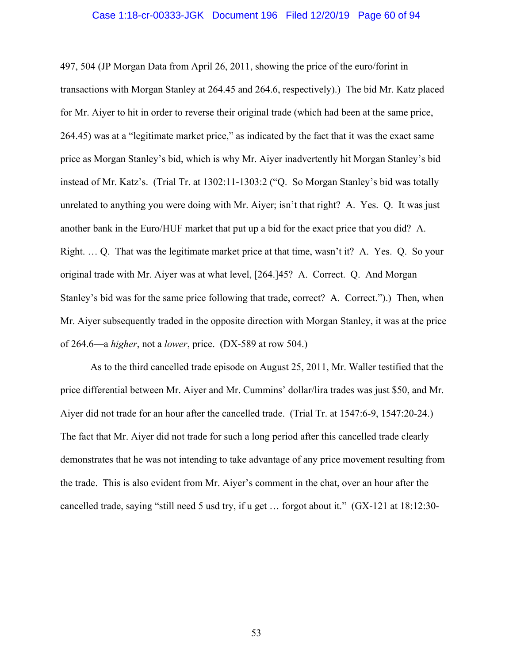### Case 1:18-cr-00333-JGK Document 196 Filed 12/20/19 Page 60 of 94

497, 504 (JP Morgan Data from April 26, 2011, showing the price of the euro/forint in transactions with Morgan Stanley at 264.45 and 264.6, respectively).) The bid Mr. Katz placed for Mr. Aiyer to hit in order to reverse their original trade (which had been at the same price, 264.45) was at a "legitimate market price," as indicated by the fact that it was the exact same price as Morgan Stanley's bid, which is why Mr. Aiyer inadvertently hit Morgan Stanley's bid instead of Mr. Katz's. (Trial Tr. at 1302:11-1303:2 ("Q. So Morgan Stanley's bid was totally unrelated to anything you were doing with Mr. Aiyer; isn't that right? A. Yes. Q. It was just another bank in the Euro/HUF market that put up a bid for the exact price that you did? A. Right. … Q. That was the legitimate market price at that time, wasn't it? A. Yes. Q. So your original trade with Mr. Aiyer was at what level, [264.]45? A. Correct. Q. And Morgan Stanley's bid was for the same price following that trade, correct? A. Correct.").) Then, when Mr. Aiyer subsequently traded in the opposite direction with Morgan Stanley, it was at the price of 264.6—a *higher*, not a *lower*, price. (DX-589 at row 504.)

As to the third cancelled trade episode on August 25, 2011, Mr. Waller testified that the price differential between Mr. Aiyer and Mr. Cummins' dollar/lira trades was just \$50, and Mr. Aiyer did not trade for an hour after the cancelled trade. (Trial Tr. at 1547:6-9, 1547:20-24.) The fact that Mr. Aiyer did not trade for such a long period after this cancelled trade clearly demonstrates that he was not intending to take advantage of any price movement resulting from the trade. This is also evident from Mr. Aiyer's comment in the chat, over an hour after the cancelled trade, saying "still need 5 usd try, if u get … forgot about it." (GX-121 at 18:12:30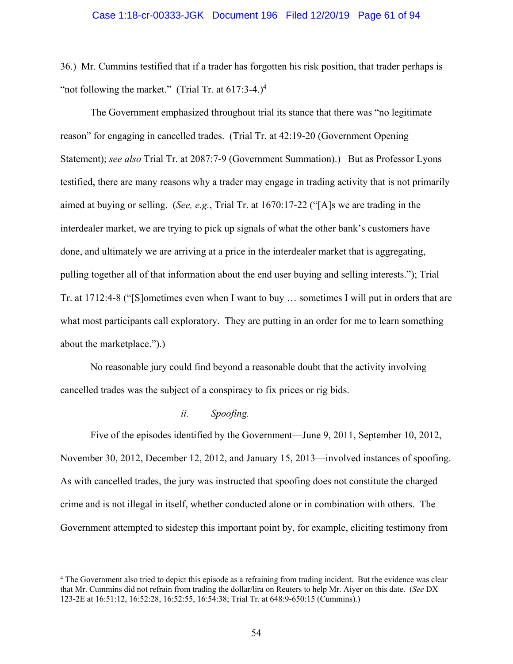36.) Mr. Cummins testified that if a trader has forgotten his risk position, that trader perhaps is "not following the market." (Trial Tr. at  $617:3-4.$ )<sup>4</sup>

The Government emphasized throughout trial its stance that there was "no legitimate reason" for engaging in cancelled trades. (Trial Tr. at 42:19-20 (Government Opening Statement); *see also* Trial Tr. at 2087:7-9 (Government Summation).) But as Professor Lyons testified, there are many reasons why a trader may engage in trading activity that is not primarily aimed at buying or selling. (*See, e.g.*, Trial Tr. at 1670:17-22 ("[A]s we are trading in the interdealer market, we are trying to pick up signals of what the other bank's customers have done, and ultimately we are arriving at a price in the interdealer market that is aggregating, pulling together all of that information about the end user buying and selling interests."); Trial Tr. at 1712:4-8 ("[S]ometimes even when I want to buy … sometimes I will put in orders that are what most participants call exploratory. They are putting in an order for me to learn something about the marketplace.").)

No reasonable jury could find beyond a reasonable doubt that the activity involving cancelled trades was the subject of a conspiracy to fix prices or rig bids.

### *ii. Spoofing.*

 $\overline{a}$ 

Five of the episodes identified by the Government—June 9, 2011, September 10, 2012, November 30, 2012, December 12, 2012, and January 15, 2013—involved instances of spoofing. As with cancelled trades, the jury was instructed that spoofing does not constitute the charged crime and is not illegal in itself, whether conducted alone or in combination with others. The Government attempted to sidestep this important point by, for example, eliciting testimony from

<sup>4</sup> The Government also tried to depict this episode as a refraining from trading incident. But the evidence was clear that Mr. Cummins did not refrain from trading the dollar/lira on Reuters to help Mr. Aiyer on this date. (*See* DX 123-2E at 16:51:12, 16:52:28, 16:52:55, 16:54:38; Trial Tr. at 648:9-650:15 (Cummins).)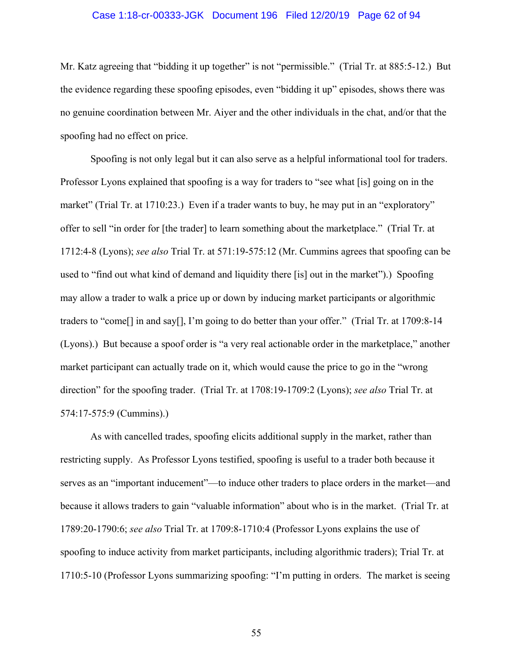### Case 1:18-cr-00333-JGK Document 196 Filed 12/20/19 Page 62 of 94

Mr. Katz agreeing that "bidding it up together" is not "permissible." (Trial Tr. at 885:5-12.) But the evidence regarding these spoofing episodes, even "bidding it up" episodes, shows there was no genuine coordination between Mr. Aiyer and the other individuals in the chat, and/or that the spoofing had no effect on price.

Spoofing is not only legal but it can also serve as a helpful informational tool for traders. Professor Lyons explained that spoofing is a way for traders to "see what [is] going on in the market" (Trial Tr. at 1710:23.) Even if a trader wants to buy, he may put in an "exploratory" offer to sell "in order for [the trader] to learn something about the marketplace." (Trial Tr. at 1712:4-8 (Lyons); *see also* Trial Tr. at 571:19-575:12 (Mr. Cummins agrees that spoofing can be used to "find out what kind of demand and liquidity there [is] out in the market").) Spoofing may allow a trader to walk a price up or down by inducing market participants or algorithmic traders to "come[] in and say[], I'm going to do better than your offer." (Trial Tr. at 1709:8-14 (Lyons).) But because a spoof order is "a very real actionable order in the marketplace," another market participant can actually trade on it, which would cause the price to go in the "wrong direction" for the spoofing trader. (Trial Tr. at 1708:19-1709:2 (Lyons); *see also* Trial Tr. at 574:17-575:9 (Cummins).)

As with cancelled trades, spoofing elicits additional supply in the market, rather than restricting supply. As Professor Lyons testified, spoofing is useful to a trader both because it serves as an "important inducement"—to induce other traders to place orders in the market—and because it allows traders to gain "valuable information" about who is in the market. (Trial Tr. at 1789:20-1790:6; *see also* Trial Tr. at 1709:8-1710:4 (Professor Lyons explains the use of spoofing to induce activity from market participants, including algorithmic traders); Trial Tr. at 1710:5-10 (Professor Lyons summarizing spoofing: "I'm putting in orders. The market is seeing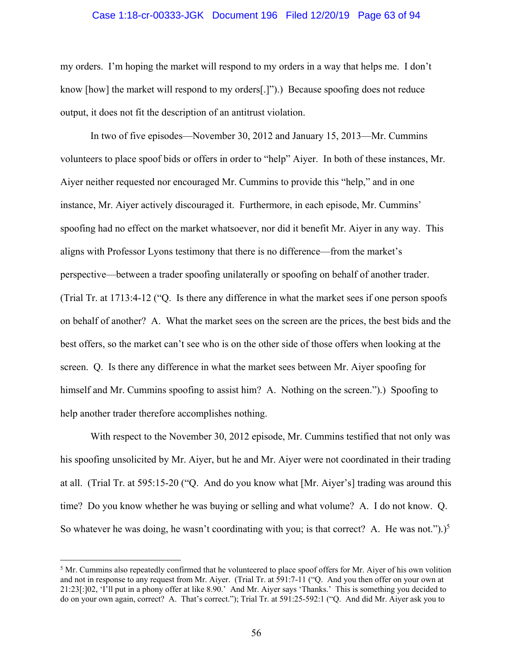### Case 1:18-cr-00333-JGK Document 196 Filed 12/20/19 Page 63 of 94

my orders. I'm hoping the market will respond to my orders in a way that helps me. I don't know [how] the market will respond to my orders[.]").) Because spoofing does not reduce output, it does not fit the description of an antitrust violation.

In two of five episodes—November 30, 2012 and January 15, 2013—Mr. Cummins volunteers to place spoof bids or offers in order to "help" Aiyer. In both of these instances, Mr. Aiyer neither requested nor encouraged Mr. Cummins to provide this "help," and in one instance, Mr. Aiyer actively discouraged it. Furthermore, in each episode, Mr. Cummins' spoofing had no effect on the market whatsoever, nor did it benefit Mr. Aiyer in any way. This aligns with Professor Lyons testimony that there is no difference—from the market's perspective—between a trader spoofing unilaterally or spoofing on behalf of another trader. (Trial Tr. at 1713:4-12 ("Q. Is there any difference in what the market sees if one person spoofs on behalf of another? A. What the market sees on the screen are the prices, the best bids and the best offers, so the market can't see who is on the other side of those offers when looking at the screen. Q. Is there any difference in what the market sees between Mr. Aiyer spoofing for himself and Mr. Cummins spoofing to assist him? A. Nothing on the screen.").) Spoofing to help another trader therefore accomplishes nothing.

With respect to the November 30, 2012 episode, Mr. Cummins testified that not only was his spoofing unsolicited by Mr. Aiyer, but he and Mr. Aiyer were not coordinated in their trading at all. (Trial Tr. at 595:15-20 ("Q. And do you know what [Mr. Aiyer's] trading was around this time? Do you know whether he was buying or selling and what volume? A. I do not know. Q. So whatever he was doing, he wasn't coordinating with you; is that correct? A. He was not.").)<sup>5</sup>

<u>.</u>

 $<sup>5</sup>$  Mr. Cummins also repeatedly confirmed that he volunteered to place spoof offers for Mr. Aiyer of his own volition</sup> and not in response to any request from Mr. Aiyer. (Trial Tr. at 591:7-11 ("Q. And you then offer on your own at 21:23[:]02, 'I'll put in a phony offer at like 8.90.' And Mr. Aiyer says 'Thanks.' This is something you decided to do on your own again, correct? A. That's correct."); Trial Tr. at 591:25-592:1 ("Q. And did Mr. Aiyer ask you to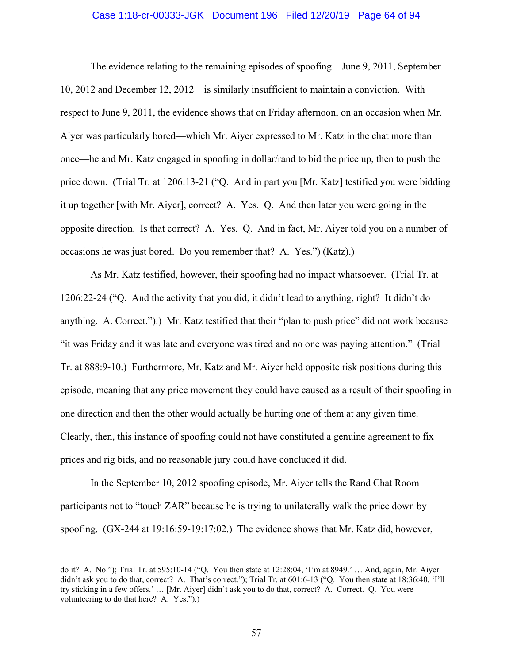### Case 1:18-cr-00333-JGK Document 196 Filed 12/20/19 Page 64 of 94

The evidence relating to the remaining episodes of spoofing—June 9, 2011, September 10, 2012 and December 12, 2012—is similarly insufficient to maintain a conviction. With respect to June 9, 2011, the evidence shows that on Friday afternoon, on an occasion when Mr. Aiyer was particularly bored—which Mr. Aiyer expressed to Mr. Katz in the chat more than once—he and Mr. Katz engaged in spoofing in dollar/rand to bid the price up, then to push the price down. (Trial Tr. at 1206:13-21 ("Q. And in part you [Mr. Katz] testified you were bidding it up together [with Mr. Aiyer], correct? A. Yes. Q. And then later you were going in the opposite direction. Is that correct? A. Yes. Q. And in fact, Mr. Aiyer told you on a number of occasions he was just bored. Do you remember that? A. Yes.") (Katz).)

As Mr. Katz testified, however, their spoofing had no impact whatsoever. (Trial Tr. at 1206:22-24 ("Q. And the activity that you did, it didn't lead to anything, right? It didn't do anything. A. Correct.").) Mr. Katz testified that their "plan to push price" did not work because "it was Friday and it was late and everyone was tired and no one was paying attention." (Trial Tr. at 888:9-10.) Furthermore, Mr. Katz and Mr. Aiyer held opposite risk positions during this episode, meaning that any price movement they could have caused as a result of their spoofing in one direction and then the other would actually be hurting one of them at any given time. Clearly, then, this instance of spoofing could not have constituted a genuine agreement to fix prices and rig bids, and no reasonable jury could have concluded it did.

In the September 10, 2012 spoofing episode, Mr. Aiyer tells the Rand Chat Room participants not to "touch ZAR" because he is trying to unilaterally walk the price down by spoofing. (GX-244 at 19:16:59-19:17:02.) The evidence shows that Mr. Katz did, however,

 $\overline{a}$ 

do it? A. No."); Trial Tr. at 595:10-14 ("Q. You then state at 12:28:04, 'I'm at 8949.' … And, again, Mr. Aiyer didn't ask you to do that, correct? A. That's correct."); Trial Tr. at 601:6-13 ("Q. You then state at 18:36:40, 'I'll try sticking in a few offers.' … [Mr. Aiyer] didn't ask you to do that, correct? A. Correct. Q. You were volunteering to do that here? A. Yes.").)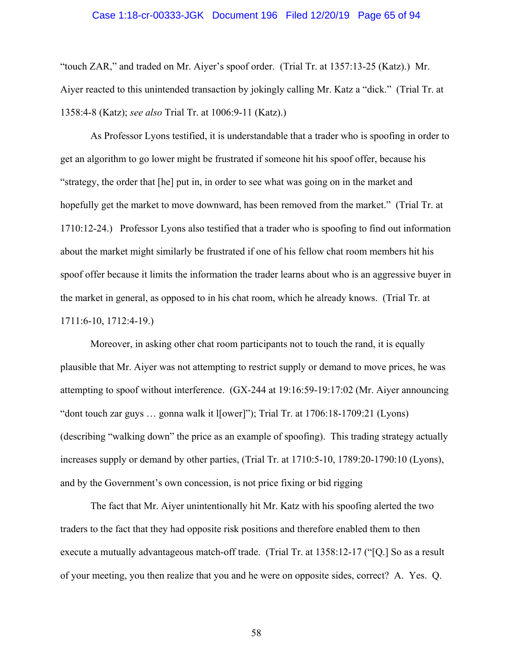### Case 1:18-cr-00333-JGK Document 196 Filed 12/20/19 Page 65 of 94

"touch ZAR," and traded on Mr. Aiyer's spoof order. (Trial Tr. at 1357:13-25 (Katz).) Mr. Aiyer reacted to this unintended transaction by jokingly calling Mr. Katz a "dick." (Trial Tr. at 1358:4-8 (Katz); *see also* Trial Tr. at 1006:9-11 (Katz).)

As Professor Lyons testified, it is understandable that a trader who is spoofing in order to get an algorithm to go lower might be frustrated if someone hit his spoof offer, because his "strategy, the order that [he] put in, in order to see what was going on in the market and hopefully get the market to move downward, has been removed from the market." (Trial Tr. at 1710:12-24.) Professor Lyons also testified that a trader who is spoofing to find out information about the market might similarly be frustrated if one of his fellow chat room members hit his spoof offer because it limits the information the trader learns about who is an aggressive buyer in the market in general, as opposed to in his chat room, which he already knows. (Trial Tr. at 1711:6-10, 1712:4-19.)

Moreover, in asking other chat room participants not to touch the rand, it is equally plausible that Mr. Aiyer was not attempting to restrict supply or demand to move prices, he was attempting to spoof without interference. (GX-244 at 19:16:59-19:17:02 (Mr. Aiyer announcing "dont touch zar guys … gonna walk it l[ower]"); Trial Tr. at 1706:18-1709:21 (Lyons) (describing "walking down" the price as an example of spoofing). This trading strategy actually increases supply or demand by other parties, (Trial Tr. at 1710:5-10, 1789:20-1790:10 (Lyons), and by the Government's own concession, is not price fixing or bid rigging

The fact that Mr. Aiyer unintentionally hit Mr. Katz with his spoofing alerted the two traders to the fact that they had opposite risk positions and therefore enabled them to then execute a mutually advantageous match-off trade. (Trial Tr. at 1358:12-17 ("[Q.] So as a result of your meeting, you then realize that you and he were on opposite sides, correct? A. Yes. Q.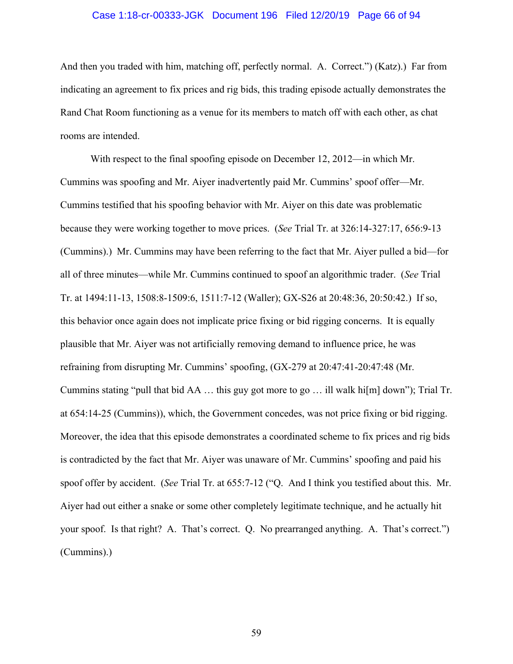### Case 1:18-cr-00333-JGK Document 196 Filed 12/20/19 Page 66 of 94

And then you traded with him, matching off, perfectly normal. A. Correct.") (Katz).) Far from indicating an agreement to fix prices and rig bids, this trading episode actually demonstrates the Rand Chat Room functioning as a venue for its members to match off with each other, as chat rooms are intended.

With respect to the final spoofing episode on December 12, 2012—in which Mr. Cummins was spoofing and Mr. Aiyer inadvertently paid Mr. Cummins' spoof offer—Mr. Cummins testified that his spoofing behavior with Mr. Aiyer on this date was problematic because they were working together to move prices. (*See* Trial Tr. at 326:14-327:17, 656:9-13 (Cummins).) Mr. Cummins may have been referring to the fact that Mr. Aiyer pulled a bid—for all of three minutes—while Mr. Cummins continued to spoof an algorithmic trader. (*See* Trial Tr. at 1494:11-13, 1508:8-1509:6, 1511:7-12 (Waller); GX-S26 at 20:48:36, 20:50:42.) If so, this behavior once again does not implicate price fixing or bid rigging concerns. It is equally plausible that Mr. Aiyer was not artificially removing demand to influence price, he was refraining from disrupting Mr. Cummins' spoofing, (GX-279 at 20:47:41-20:47:48 (Mr. Cummins stating "pull that bid AA  $\ldots$  this guy got more to go  $\ldots$  ill walk hi[m] down"); Trial Tr. at 654:14-25 (Cummins)), which, the Government concedes, was not price fixing or bid rigging. Moreover, the idea that this episode demonstrates a coordinated scheme to fix prices and rig bids is contradicted by the fact that Mr. Aiyer was unaware of Mr. Cummins' spoofing and paid his spoof offer by accident. (*See* Trial Tr. at 655:7-12 ("Q. And I think you testified about this. Mr. Aiyer had out either a snake or some other completely legitimate technique, and he actually hit your spoof. Is that right? A. That's correct. Q. No prearranged anything. A. That's correct.") (Cummins).)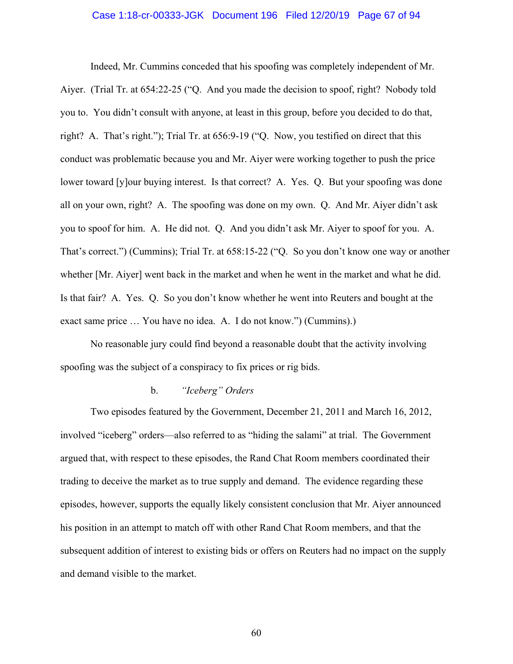### Case 1:18-cr-00333-JGK Document 196 Filed 12/20/19 Page 67 of 94

Indeed, Mr. Cummins conceded that his spoofing was completely independent of Mr. Aiyer. (Trial Tr. at 654:22-25 ("Q. And you made the decision to spoof, right? Nobody told you to. You didn't consult with anyone, at least in this group, before you decided to do that, right? A. That's right."); Trial Tr. at 656:9-19 ("Q. Now, you testified on direct that this conduct was problematic because you and Mr. Aiyer were working together to push the price lower toward [y]our buying interest. Is that correct? A. Yes. Q. But your spoofing was done all on your own, right? A. The spoofing was done on my own. Q. And Mr. Aiyer didn't ask you to spoof for him. A. He did not. Q. And you didn't ask Mr. Aiyer to spoof for you. A. That's correct.") (Cummins); Trial Tr. at 658:15-22 ("Q. So you don't know one way or another whether [Mr. Aiyer] went back in the market and when he went in the market and what he did. Is that fair? A. Yes. Q. So you don't know whether he went into Reuters and bought at the exact same price … You have no idea. A. I do not know.") (Cummins).)

No reasonable jury could find beyond a reasonable doubt that the activity involving spoofing was the subject of a conspiracy to fix prices or rig bids.

### b. *"Iceberg" Orders*

Two episodes featured by the Government, December 21, 2011 and March 16, 2012, involved "iceberg" orders—also referred to as "hiding the salami" at trial. The Government argued that, with respect to these episodes, the Rand Chat Room members coordinated their trading to deceive the market as to true supply and demand. The evidence regarding these episodes, however, supports the equally likely consistent conclusion that Mr. Aiyer announced his position in an attempt to match off with other Rand Chat Room members, and that the subsequent addition of interest to existing bids or offers on Reuters had no impact on the supply and demand visible to the market.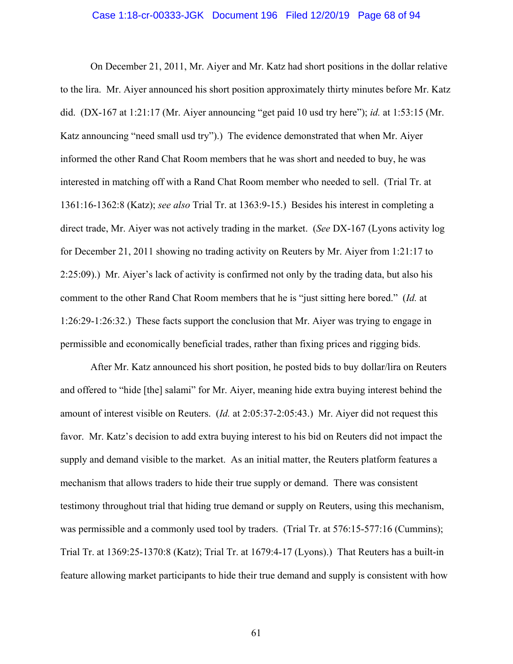### Case 1:18-cr-00333-JGK Document 196 Filed 12/20/19 Page 68 of 94

On December 21, 2011, Mr. Aiyer and Mr. Katz had short positions in the dollar relative to the lira. Mr. Aiyer announced his short position approximately thirty minutes before Mr. Katz did. (DX-167 at 1:21:17 (Mr. Aiyer announcing "get paid 10 usd try here"); *id.* at 1:53:15 (Mr. Katz announcing "need small usd try").) The evidence demonstrated that when Mr. Aiyer informed the other Rand Chat Room members that he was short and needed to buy, he was interested in matching off with a Rand Chat Room member who needed to sell. (Trial Tr. at 1361:16-1362:8 (Katz); *see also* Trial Tr. at 1363:9-15.) Besides his interest in completing a direct trade, Mr. Aiyer was not actively trading in the market. (*See* DX-167 (Lyons activity log for December 21, 2011 showing no trading activity on Reuters by Mr. Aiyer from 1:21:17 to 2:25:09).) Mr. Aiyer's lack of activity is confirmed not only by the trading data, but also his comment to the other Rand Chat Room members that he is "just sitting here bored." (*Id.* at 1:26:29-1:26:32.) These facts support the conclusion that Mr. Aiyer was trying to engage in permissible and economically beneficial trades, rather than fixing prices and rigging bids.

After Mr. Katz announced his short position, he posted bids to buy dollar/lira on Reuters and offered to "hide [the] salami" for Mr. Aiyer, meaning hide extra buying interest behind the amount of interest visible on Reuters. (*Id.* at 2:05:37-2:05:43.) Mr. Aiyer did not request this favor. Mr. Katz's decision to add extra buying interest to his bid on Reuters did not impact the supply and demand visible to the market. As an initial matter, the Reuters platform features a mechanism that allows traders to hide their true supply or demand. There was consistent testimony throughout trial that hiding true demand or supply on Reuters, using this mechanism, was permissible and a commonly used tool by traders. (Trial Tr. at 576:15-577:16 (Cummins); Trial Tr. at 1369:25-1370:8 (Katz); Trial Tr. at 1679:4-17 (Lyons).) That Reuters has a built-in feature allowing market participants to hide their true demand and supply is consistent with how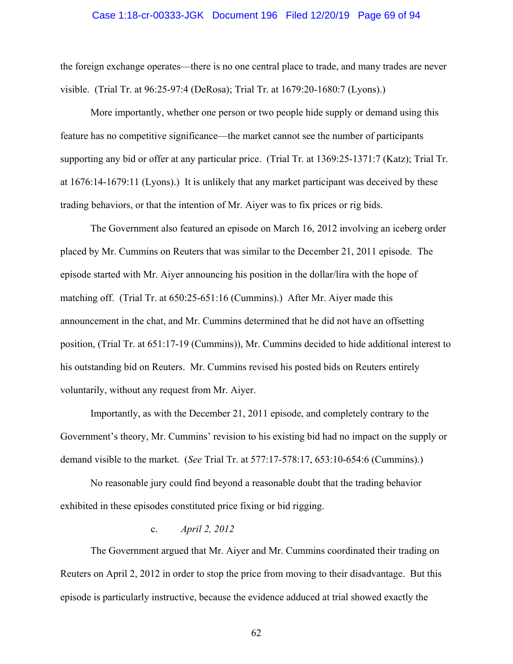### Case 1:18-cr-00333-JGK Document 196 Filed 12/20/19 Page 69 of 94

the foreign exchange operates—there is no one central place to trade, and many trades are never visible. (Trial Tr. at 96:25-97:4 (DeRosa); Trial Tr. at 1679:20-1680:7 (Lyons).)

More importantly, whether one person or two people hide supply or demand using this feature has no competitive significance—the market cannot see the number of participants supporting any bid or offer at any particular price. (Trial Tr. at 1369:25-1371:7 (Katz); Trial Tr. at 1676:14-1679:11 (Lyons).) It is unlikely that any market participant was deceived by these trading behaviors, or that the intention of Mr. Aiyer was to fix prices or rig bids.

The Government also featured an episode on March 16, 2012 involving an iceberg order placed by Mr. Cummins on Reuters that was similar to the December 21, 2011 episode. The episode started with Mr. Aiyer announcing his position in the dollar/lira with the hope of matching off. (Trial Tr. at 650:25-651:16 (Cummins).) After Mr. Aiyer made this announcement in the chat, and Mr. Cummins determined that he did not have an offsetting position, (Trial Tr. at 651:17-19 (Cummins)), Mr. Cummins decided to hide additional interest to his outstanding bid on Reuters. Mr. Cummins revised his posted bids on Reuters entirely voluntarily, without any request from Mr. Aiyer.

Importantly, as with the December 21, 2011 episode, and completely contrary to the Government's theory, Mr. Cummins' revision to his existing bid had no impact on the supply or demand visible to the market. (*See* Trial Tr. at 577:17-578:17, 653:10-654:6 (Cummins).)

No reasonable jury could find beyond a reasonable doubt that the trading behavior exhibited in these episodes constituted price fixing or bid rigging.

## c. *April 2, 2012*

The Government argued that Mr. Aiyer and Mr. Cummins coordinated their trading on Reuters on April 2, 2012 in order to stop the price from moving to their disadvantage. But this episode is particularly instructive, because the evidence adduced at trial showed exactly the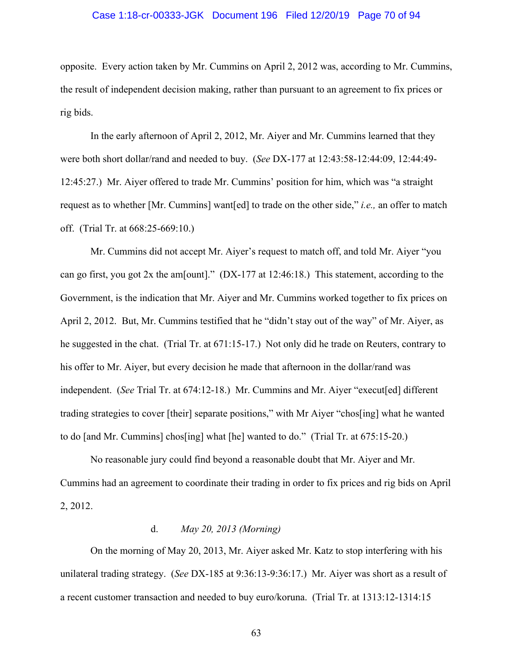### Case 1:18-cr-00333-JGK Document 196 Filed 12/20/19 Page 70 of 94

opposite. Every action taken by Mr. Cummins on April 2, 2012 was, according to Mr. Cummins, the result of independent decision making, rather than pursuant to an agreement to fix prices or rig bids.

In the early afternoon of April 2, 2012, Mr. Aiyer and Mr. Cummins learned that they were both short dollar/rand and needed to buy. (*See* DX-177 at 12:43:58-12:44:09, 12:44:49- 12:45:27.) Mr. Aiyer offered to trade Mr. Cummins' position for him, which was "a straight request as to whether [Mr. Cummins] want[ed] to trade on the other side," *i.e.,* an offer to match off. (Trial Tr. at 668:25-669:10.)

Mr. Cummins did not accept Mr. Aiyer's request to match off, and told Mr. Aiyer "you can go first, you got 2x the am[ount]." (DX-177 at 12:46:18.) This statement, according to the Government, is the indication that Mr. Aiyer and Mr. Cummins worked together to fix prices on April 2, 2012. But, Mr. Cummins testified that he "didn't stay out of the way" of Mr. Aiyer, as he suggested in the chat. (Trial Tr. at 671:15-17.) Not only did he trade on Reuters, contrary to his offer to Mr. Aiyer, but every decision he made that afternoon in the dollar/rand was independent. (*See* Trial Tr. at 674:12-18.) Mr. Cummins and Mr. Aiyer "execut[ed] different trading strategies to cover [their] separate positions," with Mr Aiyer "chos[ing] what he wanted to do [and Mr. Cummins] chos[ing] what [he] wanted to do." (Trial Tr. at 675:15-20.)

No reasonable jury could find beyond a reasonable doubt that Mr. Aiyer and Mr. Cummins had an agreement to coordinate their trading in order to fix prices and rig bids on April 2, 2012.

## d. *May 20, 2013 (Morning)*

On the morning of May 20, 2013, Mr. Aiyer asked Mr. Katz to stop interfering with his unilateral trading strategy. (*See* DX-185 at 9:36:13-9:36:17.) Mr. Aiyer was short as a result of a recent customer transaction and needed to buy euro/koruna. (Trial Tr. at 1313:12-1314:15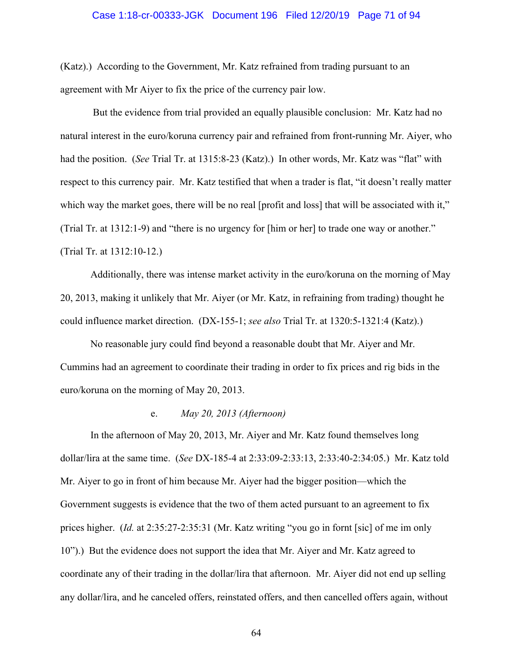### Case 1:18-cr-00333-JGK Document 196 Filed 12/20/19 Page 71 of 94

(Katz).) According to the Government, Mr. Katz refrained from trading pursuant to an agreement with Mr Aiyer to fix the price of the currency pair low.

 But the evidence from trial provided an equally plausible conclusion: Mr. Katz had no natural interest in the euro/koruna currency pair and refrained from front-running Mr. Aiyer, who had the position. (*See* Trial Tr. at 1315:8-23 (Katz).) In other words, Mr. Katz was "flat" with respect to this currency pair. Mr. Katz testified that when a trader is flat, "it doesn't really matter which way the market goes, there will be no real [profit and loss] that will be associated with it," (Trial Tr. at 1312:1-9) and "there is no urgency for [him or her] to trade one way or another." (Trial Tr. at 1312:10-12.)

Additionally, there was intense market activity in the euro/koruna on the morning of May 20, 2013, making it unlikely that Mr. Aiyer (or Mr. Katz, in refraining from trading) thought he could influence market direction. (DX-155-1; *see also* Trial Tr. at 1320:5-1321:4 (Katz).)

No reasonable jury could find beyond a reasonable doubt that Mr. Aiyer and Mr. Cummins had an agreement to coordinate their trading in order to fix prices and rig bids in the euro/koruna on the morning of May 20, 2013.

## e. *May 20, 2013 (Afternoon)*

In the afternoon of May 20, 2013, Mr. Aiyer and Mr. Katz found themselves long dollar/lira at the same time. (*See* DX-185-4 at 2:33:09-2:33:13, 2:33:40-2:34:05.) Mr. Katz told Mr. Aiyer to go in front of him because Mr. Aiyer had the bigger position—which the Government suggests is evidence that the two of them acted pursuant to an agreement to fix prices higher. (*Id.* at 2:35:27-2:35:31 (Mr. Katz writing "you go in fornt [sic] of me im only 10").) But the evidence does not support the idea that Mr. Aiyer and Mr. Katz agreed to coordinate any of their trading in the dollar/lira that afternoon. Mr. Aiyer did not end up selling any dollar/lira, and he canceled offers, reinstated offers, and then cancelled offers again, without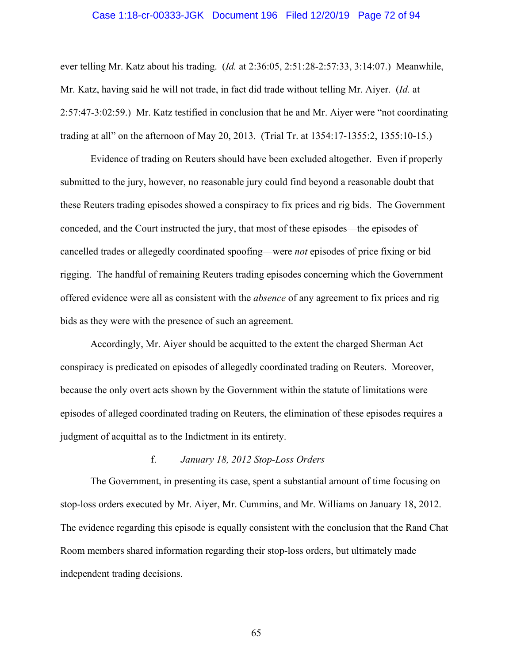### Case 1:18-cr-00333-JGK Document 196 Filed 12/20/19 Page 72 of 94

ever telling Mr. Katz about his trading. (*Id.* at 2:36:05, 2:51:28-2:57:33, 3:14:07.) Meanwhile, Mr. Katz, having said he will not trade, in fact did trade without telling Mr. Aiyer. (*Id.* at 2:57:47-3:02:59.) Mr. Katz testified in conclusion that he and Mr. Aiyer were "not coordinating trading at all" on the afternoon of May 20, 2013. (Trial Tr. at 1354:17-1355:2, 1355:10-15.)

Evidence of trading on Reuters should have been excluded altogether. Even if properly submitted to the jury, however, no reasonable jury could find beyond a reasonable doubt that these Reuters trading episodes showed a conspiracy to fix prices and rig bids. The Government conceded, and the Court instructed the jury, that most of these episodes—the episodes of cancelled trades or allegedly coordinated spoofing—were *not* episodes of price fixing or bid rigging. The handful of remaining Reuters trading episodes concerning which the Government offered evidence were all as consistent with the *absence* of any agreement to fix prices and rig bids as they were with the presence of such an agreement.

Accordingly, Mr. Aiyer should be acquitted to the extent the charged Sherman Act conspiracy is predicated on episodes of allegedly coordinated trading on Reuters. Moreover, because the only overt acts shown by the Government within the statute of limitations were episodes of alleged coordinated trading on Reuters, the elimination of these episodes requires a judgment of acquittal as to the Indictment in its entirety.

## f. *January 18, 2012 Stop-Loss Orders*

The Government, in presenting its case, spent a substantial amount of time focusing on stop-loss orders executed by Mr. Aiyer, Mr. Cummins, and Mr. Williams on January 18, 2012. The evidence regarding this episode is equally consistent with the conclusion that the Rand Chat Room members shared information regarding their stop-loss orders, but ultimately made independent trading decisions.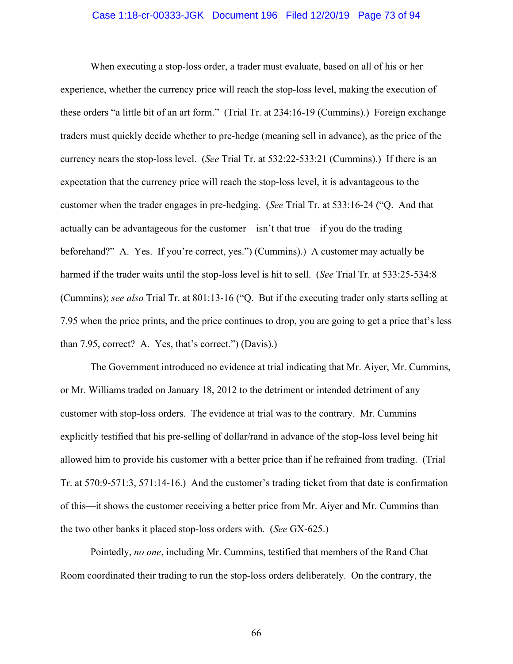#### Case 1:18-cr-00333-JGK Document 196 Filed 12/20/19 Page 73 of 94

When executing a stop-loss order, a trader must evaluate, based on all of his or her experience, whether the currency price will reach the stop-loss level, making the execution of these orders "a little bit of an art form." (Trial Tr. at 234:16-19 (Cummins).) Foreign exchange traders must quickly decide whether to pre-hedge (meaning sell in advance), as the price of the currency nears the stop-loss level. (*See* Trial Tr. at 532:22-533:21 (Cummins).) If there is an expectation that the currency price will reach the stop-loss level, it is advantageous to the customer when the trader engages in pre-hedging. (*See* Trial Tr. at 533:16-24 ("Q. And that actually can be advantageous for the customer  $-\sin^2 t$  that true  $-\text{ if you do the trading}$ beforehand?" A. Yes. If you're correct, yes.") (Cummins).) A customer may actually be harmed if the trader waits until the stop-loss level is hit to sell. (*See* Trial Tr. at 533:25-534:8 (Cummins); *see also* Trial Tr. at 801:13-16 ("Q. But if the executing trader only starts selling at 7.95 when the price prints, and the price continues to drop, you are going to get a price that's less than 7.95, correct? A. Yes, that's correct.") (Davis).)

The Government introduced no evidence at trial indicating that Mr. Aiyer, Mr. Cummins, or Mr. Williams traded on January 18, 2012 to the detriment or intended detriment of any customer with stop-loss orders. The evidence at trial was to the contrary. Mr. Cummins explicitly testified that his pre-selling of dollar/rand in advance of the stop-loss level being hit allowed him to provide his customer with a better price than if he refrained from trading. (Trial Tr. at 570:9-571:3, 571:14-16.) And the customer's trading ticket from that date is confirmation of this—it shows the customer receiving a better price from Mr. Aiyer and Mr. Cummins than the two other banks it placed stop-loss orders with. (*See* GX-625.)

Pointedly, *no one*, including Mr. Cummins, testified that members of the Rand Chat Room coordinated their trading to run the stop-loss orders deliberately. On the contrary, the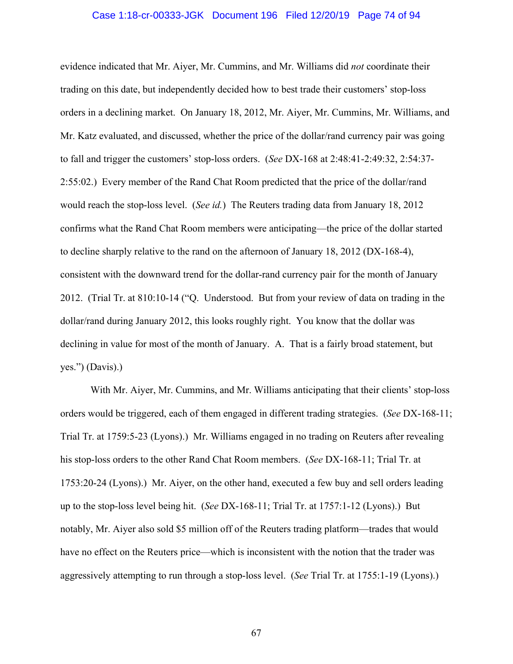#### Case 1:18-cr-00333-JGK Document 196 Filed 12/20/19 Page 74 of 94

evidence indicated that Mr. Aiyer, Mr. Cummins, and Mr. Williams did *not* coordinate their trading on this date, but independently decided how to best trade their customers' stop-loss orders in a declining market. On January 18, 2012, Mr. Aiyer, Mr. Cummins, Mr. Williams, and Mr. Katz evaluated, and discussed, whether the price of the dollar/rand currency pair was going to fall and trigger the customers' stop-loss orders. (*See* DX-168 at 2:48:41-2:49:32, 2:54:37- 2:55:02.) Every member of the Rand Chat Room predicted that the price of the dollar/rand would reach the stop-loss level. (*See id.*) The Reuters trading data from January 18, 2012 confirms what the Rand Chat Room members were anticipating—the price of the dollar started to decline sharply relative to the rand on the afternoon of January 18, 2012 (DX-168-4), consistent with the downward trend for the dollar-rand currency pair for the month of January 2012. (Trial Tr. at 810:10-14 ("Q. Understood. But from your review of data on trading in the dollar/rand during January 2012, this looks roughly right. You know that the dollar was declining in value for most of the month of January. A. That is a fairly broad statement, but yes.") (Davis).)

With Mr. Aiyer, Mr. Cummins, and Mr. Williams anticipating that their clients' stop-loss orders would be triggered, each of them engaged in different trading strategies. (*See* DX-168-11; Trial Tr. at 1759:5-23 (Lyons).) Mr. Williams engaged in no trading on Reuters after revealing his stop-loss orders to the other Rand Chat Room members. (*See* DX-168-11; Trial Tr. at 1753:20-24 (Lyons).) Mr. Aiyer, on the other hand, executed a few buy and sell orders leading up to the stop-loss level being hit. (*See* DX-168-11; Trial Tr. at 1757:1-12 (Lyons).) But notably, Mr. Aiyer also sold \$5 million off of the Reuters trading platform—trades that would have no effect on the Reuters price—which is inconsistent with the notion that the trader was aggressively attempting to run through a stop-loss level. (*See* Trial Tr. at 1755:1-19 (Lyons).)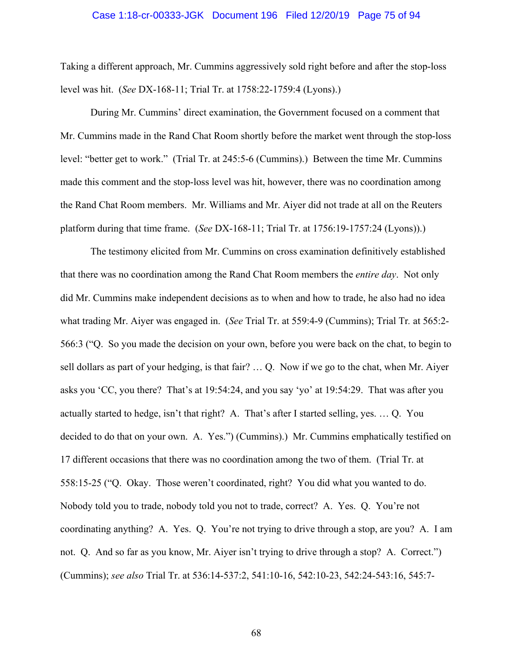#### Case 1:18-cr-00333-JGK Document 196 Filed 12/20/19 Page 75 of 94

Taking a different approach, Mr. Cummins aggressively sold right before and after the stop-loss level was hit. (*See* DX-168-11; Trial Tr. at 1758:22-1759:4 (Lyons).)

During Mr. Cummins' direct examination, the Government focused on a comment that Mr. Cummins made in the Rand Chat Room shortly before the market went through the stop-loss level: "better get to work." (Trial Tr. at 245:5-6 (Cummins).) Between the time Mr. Cummins made this comment and the stop-loss level was hit, however, there was no coordination among the Rand Chat Room members. Mr. Williams and Mr. Aiyer did not trade at all on the Reuters platform during that time frame. (*See* DX-168-11; Trial Tr. at 1756:19-1757:24 (Lyons)).)

The testimony elicited from Mr. Cummins on cross examination definitively established that there was no coordination among the Rand Chat Room members the *entire day*. Not only did Mr. Cummins make independent decisions as to when and how to trade, he also had no idea what trading Mr. Aiyer was engaged in. (*See* Trial Tr. at 559:4-9 (Cummins); Trial Tr*.* at 565:2- 566:3 ("Q. So you made the decision on your own, before you were back on the chat, to begin to sell dollars as part of your hedging, is that fair? … Q. Now if we go to the chat, when Mr. Aiyer asks you 'CC, you there? That's at 19:54:24, and you say 'yo' at 19:54:29. That was after you actually started to hedge, isn't that right? A. That's after I started selling, yes. … Q. You decided to do that on your own. A. Yes.") (Cummins).) Mr. Cummins emphatically testified on 17 different occasions that there was no coordination among the two of them. (Trial Tr. at 558:15-25 ("Q. Okay. Those weren't coordinated, right? You did what you wanted to do. Nobody told you to trade, nobody told you not to trade, correct? A. Yes. Q. You're not coordinating anything? A. Yes. Q. You're not trying to drive through a stop, are you? A. I am not. Q. And so far as you know, Mr. Aiyer isn't trying to drive through a stop? A. Correct.") (Cummins); *see also* Trial Tr. at 536:14-537:2, 541:10-16, 542:10-23, 542:24-543:16, 545:7-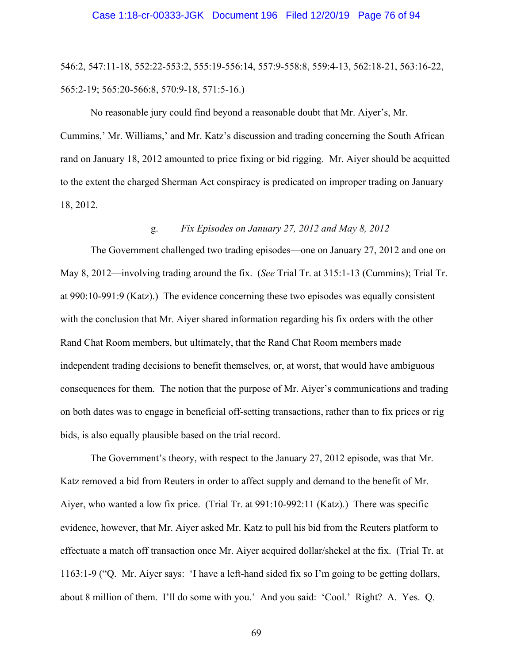546:2, 547:11-18, 552:22-553:2, 555:19-556:14, 557:9-558:8, 559:4-13, 562:18-21, 563:16-22, 565:2-19; 565:20-566:8, 570:9-18, 571:5-16.)

No reasonable jury could find beyond a reasonable doubt that Mr. Aiyer's, Mr. Cummins,' Mr. Williams,' and Mr. Katz's discussion and trading concerning the South African rand on January 18, 2012 amounted to price fixing or bid rigging. Mr. Aiyer should be acquitted to the extent the charged Sherman Act conspiracy is predicated on improper trading on January 18, 2012.

# g. *Fix Episodes on January 27, 2012 and May 8, 2012*

The Government challenged two trading episodes—one on January 27, 2012 and one on May 8, 2012—involving trading around the fix. (*See* Trial Tr. at 315:1-13 (Cummins); Trial Tr. at 990:10-991:9 (Katz).) The evidence concerning these two episodes was equally consistent with the conclusion that Mr. Aiyer shared information regarding his fix orders with the other Rand Chat Room members, but ultimately, that the Rand Chat Room members made independent trading decisions to benefit themselves, or, at worst, that would have ambiguous consequences for them. The notion that the purpose of Mr. Aiyer's communications and trading on both dates was to engage in beneficial off-setting transactions, rather than to fix prices or rig bids, is also equally plausible based on the trial record.

The Government's theory, with respect to the January 27, 2012 episode, was that Mr. Katz removed a bid from Reuters in order to affect supply and demand to the benefit of Mr. Aiyer, who wanted a low fix price. (Trial Tr. at 991:10-992:11 (Katz).) There was specific evidence, however, that Mr. Aiyer asked Mr. Katz to pull his bid from the Reuters platform to effectuate a match off transaction once Mr. Aiyer acquired dollar/shekel at the fix. (Trial Tr. at 1163:1-9 ("Q. Mr. Aiyer says: 'I have a left-hand sided fix so I'm going to be getting dollars, about 8 million of them. I'll do some with you.' And you said: 'Cool.' Right? A. Yes. Q.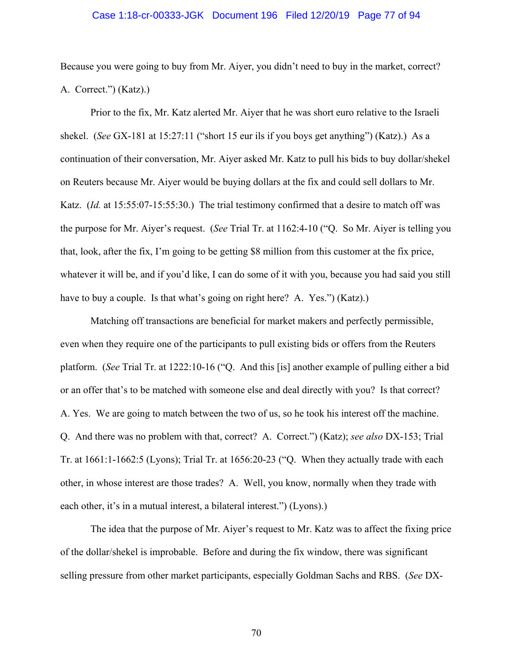#### Case 1:18-cr-00333-JGK Document 196 Filed 12/20/19 Page 77 of 94

Because you were going to buy from Mr. Aiyer, you didn't need to buy in the market, correct? A. Correct.") (Katz).)

Prior to the fix, Mr. Katz alerted Mr. Aiyer that he was short euro relative to the Israeli shekel. (*See* GX-181 at 15:27:11 ("short 15 eur ils if you boys get anything") (Katz).) As a continuation of their conversation, Mr. Aiyer asked Mr. Katz to pull his bids to buy dollar/shekel on Reuters because Mr. Aiyer would be buying dollars at the fix and could sell dollars to Mr. Katz. (*Id.* at 15:55:07-15:55:30.) The trial testimony confirmed that a desire to match off was the purpose for Mr. Aiyer's request. (*See* Trial Tr. at 1162:4-10 ("Q. So Mr. Aiyer is telling you that, look, after the fix, I'm going to be getting \$8 million from this customer at the fix price, whatever it will be, and if you'd like, I can do some of it with you, because you had said you still have to buy a couple. Is that what's going on right here? A. Yes.") (Katz).)

Matching off transactions are beneficial for market makers and perfectly permissible, even when they require one of the participants to pull existing bids or offers from the Reuters platform. (*See* Trial Tr. at 1222:10-16 ("Q. And this [is] another example of pulling either a bid or an offer that's to be matched with someone else and deal directly with you? Is that correct? A. Yes. We are going to match between the two of us, so he took his interest off the machine. Q. And there was no problem with that, correct? A. Correct.") (Katz); *see also* DX-153; Trial Tr. at 1661:1-1662:5 (Lyons); Trial Tr. at 1656:20-23 ("Q. When they actually trade with each other, in whose interest are those trades? A. Well, you know, normally when they trade with each other, it's in a mutual interest, a bilateral interest.") (Lyons).)

The idea that the purpose of Mr. Aiyer's request to Mr. Katz was to affect the fixing price of the dollar/shekel is improbable. Before and during the fix window, there was significant selling pressure from other market participants, especially Goldman Sachs and RBS. (*See* DX-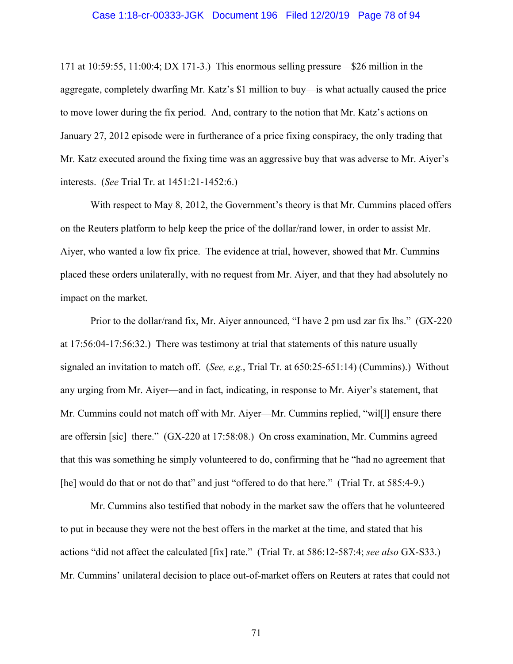#### Case 1:18-cr-00333-JGK Document 196 Filed 12/20/19 Page 78 of 94

171 at 10:59:55, 11:00:4; DX 171-3.) This enormous selling pressure—\$26 million in the aggregate, completely dwarfing Mr. Katz's \$1 million to buy—is what actually caused the price to move lower during the fix period. And, contrary to the notion that Mr. Katz's actions on January 27, 2012 episode were in furtherance of a price fixing conspiracy, the only trading that Mr. Katz executed around the fixing time was an aggressive buy that was adverse to Mr. Aiyer's interests. (*See* Trial Tr. at 1451:21-1452:6.)

With respect to May 8, 2012, the Government's theory is that Mr. Cummins placed offers on the Reuters platform to help keep the price of the dollar/rand lower, in order to assist Mr. Aiyer, who wanted a low fix price. The evidence at trial, however, showed that Mr. Cummins placed these orders unilaterally, with no request from Mr. Aiyer, and that they had absolutely no impact on the market.

Prior to the dollar/rand fix, Mr. Aiyer announced, "I have 2 pm usd zar fix lhs." (GX-220 at 17:56:04-17:56:32.) There was testimony at trial that statements of this nature usually signaled an invitation to match off. (*See, e.g.*, Trial Tr. at 650:25-651:14) (Cummins).) Without any urging from Mr. Aiyer—and in fact, indicating, in response to Mr. Aiyer's statement, that Mr. Cummins could not match off with Mr. Aiyer—Mr. Cummins replied, "will ansure there are offersin [sic] there." (GX-220 at 17:58:08.) On cross examination, Mr. Cummins agreed that this was something he simply volunteered to do, confirming that he "had no agreement that [he] would do that or not do that" and just "offered to do that here." (Trial Tr. at 585:4-9.)

Mr. Cummins also testified that nobody in the market saw the offers that he volunteered to put in because they were not the best offers in the market at the time, and stated that his actions "did not affect the calculated [fix] rate." (Trial Tr. at 586:12-587:4; *see also* GX-S33.) Mr. Cummins' unilateral decision to place out-of-market offers on Reuters at rates that could not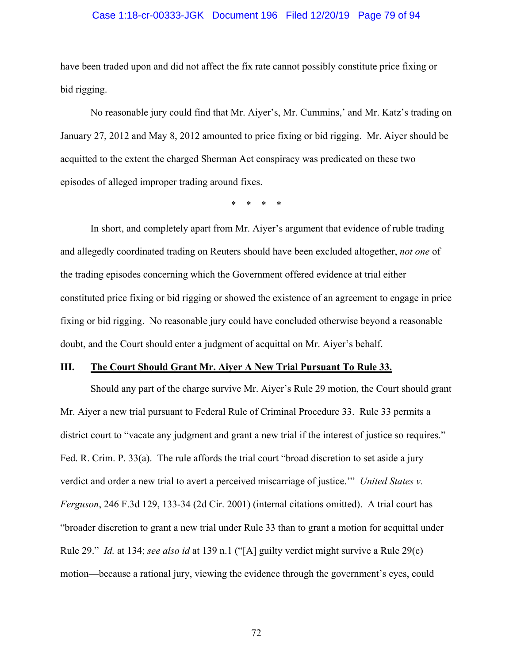#### Case 1:18-cr-00333-JGK Document 196 Filed 12/20/19 Page 79 of 94

have been traded upon and did not affect the fix rate cannot possibly constitute price fixing or bid rigging.

No reasonable jury could find that Mr. Aiyer's, Mr. Cummins,' and Mr. Katz's trading on January 27, 2012 and May 8, 2012 amounted to price fixing or bid rigging. Mr. Aiyer should be acquitted to the extent the charged Sherman Act conspiracy was predicated on these two episodes of alleged improper trading around fixes.

\* \* \* \*

In short, and completely apart from Mr. Aiyer's argument that evidence of ruble trading and allegedly coordinated trading on Reuters should have been excluded altogether, *not one* of the trading episodes concerning which the Government offered evidence at trial either constituted price fixing or bid rigging or showed the existence of an agreement to engage in price fixing or bid rigging. No reasonable jury could have concluded otherwise beyond a reasonable doubt, and the Court should enter a judgment of acquittal on Mr. Aiyer's behalf.

#### **III. The Court Should Grant Mr. Aiyer A New Trial Pursuant To Rule 33.**

Should any part of the charge survive Mr. Aiyer's Rule 29 motion, the Court should grant Mr. Aiyer a new trial pursuant to Federal Rule of Criminal Procedure 33. Rule 33 permits a district court to "vacate any judgment and grant a new trial if the interest of justice so requires." Fed. R. Crim. P. 33(a). The rule affords the trial court "broad discretion to set aside a jury verdict and order a new trial to avert a perceived miscarriage of justice.'" *United States v. Ferguson*, 246 F.3d 129, 133-34 (2d Cir. 2001) (internal citations omitted). A trial court has "broader discretion to grant a new trial under Rule 33 than to grant a motion for acquittal under Rule 29." *Id.* at 134; *see also id* at 139 n.1 ("[A] guilty verdict might survive a Rule 29(c) motion—because a rational jury, viewing the evidence through the government's eyes, could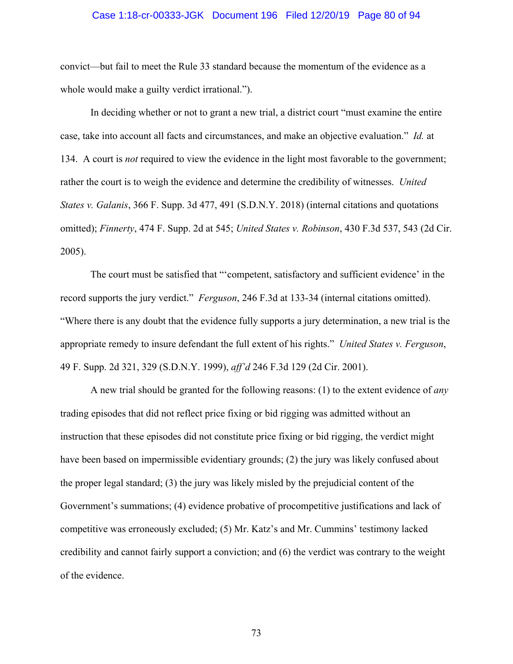#### Case 1:18-cr-00333-JGK Document 196 Filed 12/20/19 Page 80 of 94

convict—but fail to meet the Rule 33 standard because the momentum of the evidence as a whole would make a guilty verdict irrational.").

In deciding whether or not to grant a new trial, a district court "must examine the entire case, take into account all facts and circumstances, and make an objective evaluation." *Id.* at 134. A court is *not* required to view the evidence in the light most favorable to the government; rather the court is to weigh the evidence and determine the credibility of witnesses. *United States v. Galanis*, 366 F. Supp. 3d 477, 491 (S.D.N.Y. 2018) (internal citations and quotations omitted); *Finnerty*, 474 F. Supp. 2d at 545; *United States v. Robinson*, 430 F.3d 537, 543 (2d Cir. 2005).

The court must be satisfied that "'competent, satisfactory and sufficient evidence' in the record supports the jury verdict." *Ferguson*, 246 F.3d at 133-34 (internal citations omitted). "Where there is any doubt that the evidence fully supports a jury determination, a new trial is the appropriate remedy to insure defendant the full extent of his rights." *United States v. Ferguson*, 49 F. Supp. 2d 321, 329 (S.D.N.Y. 1999), *aff'd* 246 F.3d 129 (2d Cir. 2001).

A new trial should be granted for the following reasons: (1) to the extent evidence of *any* trading episodes that did not reflect price fixing or bid rigging was admitted without an instruction that these episodes did not constitute price fixing or bid rigging, the verdict might have been based on impermissible evidentiary grounds; (2) the jury was likely confused about the proper legal standard; (3) the jury was likely misled by the prejudicial content of the Government's summations; (4) evidence probative of procompetitive justifications and lack of competitive was erroneously excluded; (5) Mr. Katz's and Mr. Cummins' testimony lacked credibility and cannot fairly support a conviction; and (6) the verdict was contrary to the weight of the evidence.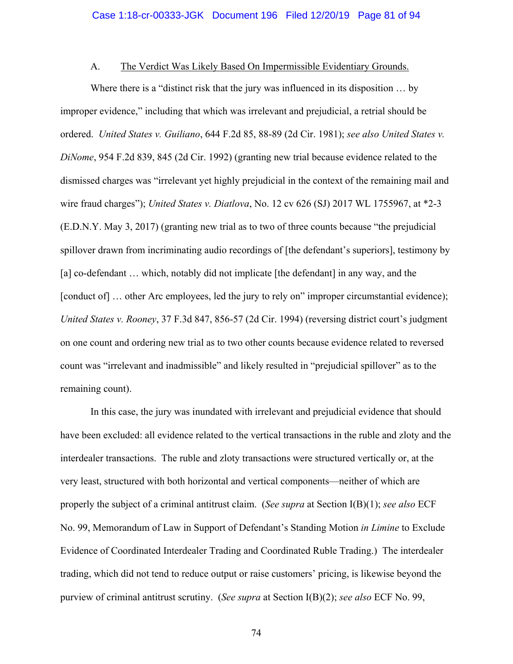## A. The Verdict Was Likely Based On Impermissible Evidentiary Grounds.

Where there is a "distinct risk that the jury was influenced in its disposition … by improper evidence," including that which was irrelevant and prejudicial, a retrial should be ordered. *United States v. Guiliano*, 644 F.2d 85, 88-89 (2d Cir. 1981); *see also United States v. DiNome*, 954 F.2d 839, 845 (2d Cir. 1992) (granting new trial because evidence related to the dismissed charges was "irrelevant yet highly prejudicial in the context of the remaining mail and wire fraud charges"); *United States v. Diatlova*, No. 12 cv 626 (SJ) 2017 WL 1755967, at \*2-3 (E.D.N.Y. May 3, 2017) (granting new trial as to two of three counts because "the prejudicial spillover drawn from incriminating audio recordings of [the defendant's superiors], testimony by [a] co-defendant ... which, notably did not implicate [the defendant] in any way, and the [conduct of] ... other Arc employees, led the jury to rely on" improper circumstantial evidence); *United States v. Rooney*, 37 F.3d 847, 856-57 (2d Cir. 1994) (reversing district court's judgment on one count and ordering new trial as to two other counts because evidence related to reversed count was "irrelevant and inadmissible" and likely resulted in "prejudicial spillover" as to the remaining count).

In this case, the jury was inundated with irrelevant and prejudicial evidence that should have been excluded: all evidence related to the vertical transactions in the ruble and zloty and the interdealer transactions. The ruble and zloty transactions were structured vertically or, at the very least, structured with both horizontal and vertical components—neither of which are properly the subject of a criminal antitrust claim. (*See supra* at Section I(B)(1); *see also* ECF No. 99, Memorandum of Law in Support of Defendant's Standing Motion *in Limine* to Exclude Evidence of Coordinated Interdealer Trading and Coordinated Ruble Trading.) The interdealer trading, which did not tend to reduce output or raise customers' pricing, is likewise beyond the purview of criminal antitrust scrutiny. (*See supra* at Section I(B)(2); *see also* ECF No. 99,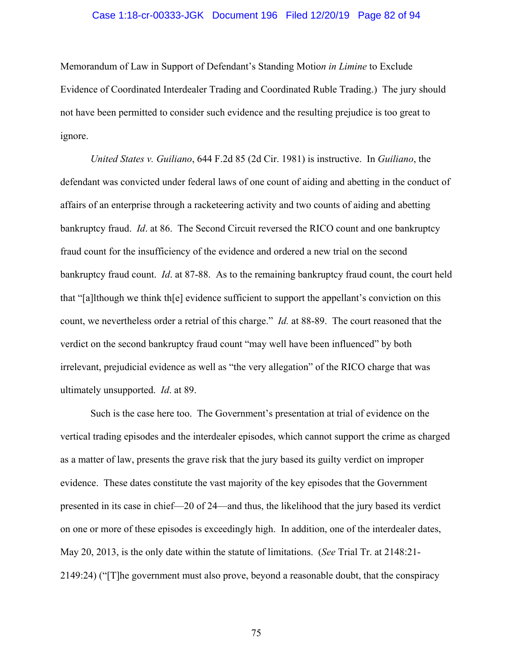#### Case 1:18-cr-00333-JGK Document 196 Filed 12/20/19 Page 82 of 94

Memorandum of Law in Support of Defendant's Standing Motio*n in Limine* to Exclude Evidence of Coordinated Interdealer Trading and Coordinated Ruble Trading.) The jury should not have been permitted to consider such evidence and the resulting prejudice is too great to ignore.

*United States v. Guiliano*, 644 F.2d 85 (2d Cir. 1981) is instructive. In *Guiliano*, the defendant was convicted under federal laws of one count of aiding and abetting in the conduct of affairs of an enterprise through a racketeering activity and two counts of aiding and abetting bankruptcy fraud. *Id*. at 86. The Second Circuit reversed the RICO count and one bankruptcy fraud count for the insufficiency of the evidence and ordered a new trial on the second bankruptcy fraud count. *Id*. at 87-88. As to the remaining bankruptcy fraud count, the court held that "[a]lthough we think th[e] evidence sufficient to support the appellant's conviction on this count, we nevertheless order a retrial of this charge." *Id.* at 88-89. The court reasoned that the verdict on the second bankruptcy fraud count "may well have been influenced" by both irrelevant, prejudicial evidence as well as "the very allegation" of the RICO charge that was ultimately unsupported. *Id*. at 89.

Such is the case here too. The Government's presentation at trial of evidence on the vertical trading episodes and the interdealer episodes, which cannot support the crime as charged as a matter of law, presents the grave risk that the jury based its guilty verdict on improper evidence. These dates constitute the vast majority of the key episodes that the Government presented in its case in chief—20 of 24—and thus, the likelihood that the jury based its verdict on one or more of these episodes is exceedingly high. In addition, one of the interdealer dates, May 20, 2013, is the only date within the statute of limitations. (*See* Trial Tr. at 2148:21- 2149:24) ("[T]he government must also prove, beyond a reasonable doubt, that the conspiracy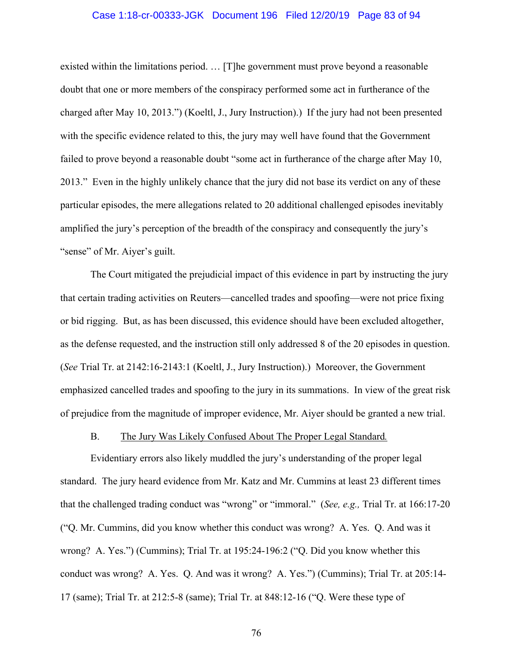#### Case 1:18-cr-00333-JGK Document 196 Filed 12/20/19 Page 83 of 94

existed within the limitations period. … [T]he government must prove beyond a reasonable doubt that one or more members of the conspiracy performed some act in furtherance of the charged after May 10, 2013.") (Koeltl, J., Jury Instruction).) If the jury had not been presented with the specific evidence related to this, the jury may well have found that the Government failed to prove beyond a reasonable doubt "some act in furtherance of the charge after May 10, 2013." Even in the highly unlikely chance that the jury did not base its verdict on any of these particular episodes, the mere allegations related to 20 additional challenged episodes inevitably amplified the jury's perception of the breadth of the conspiracy and consequently the jury's "sense" of Mr. Aiyer's guilt.

The Court mitigated the prejudicial impact of this evidence in part by instructing the jury that certain trading activities on Reuters—cancelled trades and spoofing—were not price fixing or bid rigging. But, as has been discussed, this evidence should have been excluded altogether, as the defense requested, and the instruction still only addressed 8 of the 20 episodes in question. (*See* Trial Tr. at 2142:16-2143:1 (Koeltl, J., Jury Instruction).) Moreover, the Government emphasized cancelled trades and spoofing to the jury in its summations. In view of the great risk of prejudice from the magnitude of improper evidence, Mr. Aiyer should be granted a new trial.

### B. The Jury Was Likely Confused About The Proper Legal Standard*.*

Evidentiary errors also likely muddled the jury's understanding of the proper legal standard. The jury heard evidence from Mr. Katz and Mr. Cummins at least 23 different times that the challenged trading conduct was "wrong" or "immoral." (*See, e.g.,* Trial Tr. at 166:17-20 ("Q. Mr. Cummins, did you know whether this conduct was wrong? A. Yes. Q. And was it wrong? A. Yes.") (Cummins); Trial Tr. at 195:24-196:2 ("Q. Did you know whether this conduct was wrong? A. Yes. Q. And was it wrong? A. Yes.") (Cummins); Trial Tr. at 205:14- 17 (same); Trial Tr. at 212:5-8 (same); Trial Tr. at 848:12-16 ("Q. Were these type of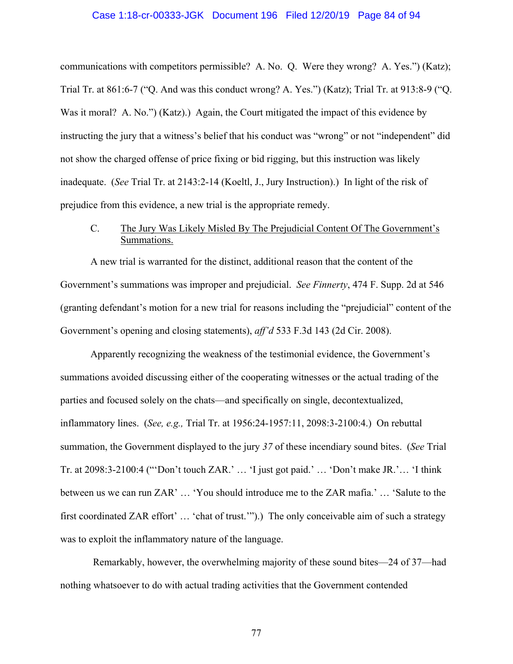#### Case 1:18-cr-00333-JGK Document 196 Filed 12/20/19 Page 84 of 94

communications with competitors permissible? A. No. Q. Were they wrong? A. Yes.") (Katz); Trial Tr. at 861:6-7 ("Q. And was this conduct wrong? A. Yes.") (Katz); Trial Tr. at 913:8-9 ("Q. Was it moral? A. No.") (Katz).) Again, the Court mitigated the impact of this evidence by instructing the jury that a witness's belief that his conduct was "wrong" or not "independent" did not show the charged offense of price fixing or bid rigging, but this instruction was likely inadequate. (*See* Trial Tr. at 2143:2-14 (Koeltl, J., Jury Instruction).) In light of the risk of prejudice from this evidence, a new trial is the appropriate remedy.

# C. The Jury Was Likely Misled By The Prejudicial Content Of The Government's Summations.

A new trial is warranted for the distinct, additional reason that the content of the Government's summations was improper and prejudicial. *See Finnerty*, 474 F. Supp. 2d at 546 (granting defendant's motion for a new trial for reasons including the "prejudicial" content of the Government's opening and closing statements), *aff'd* 533 F.3d 143 (2d Cir. 2008).

Apparently recognizing the weakness of the testimonial evidence, the Government's summations avoided discussing either of the cooperating witnesses or the actual trading of the parties and focused solely on the chats—and specifically on single, decontextualized, inflammatory lines. (*See, e.g.,* Trial Tr. at 1956:24-1957:11, 2098:3-2100:4.) On rebuttal summation, the Government displayed to the jury *37* of these incendiary sound bites. (*See* Trial Tr. at 2098:3-2100:4 ("'Don't touch ZAR.' … 'I just got paid.' … 'Don't make JR.'… 'I think between us we can run ZAR' … 'You should introduce me to the ZAR mafia.' … 'Salute to the first coordinated ZAR effort' … 'chat of trust.'").) The only conceivable aim of such a strategy was to exploit the inflammatory nature of the language.

 Remarkably, however, the overwhelming majority of these sound bites—24 of 37—had nothing whatsoever to do with actual trading activities that the Government contended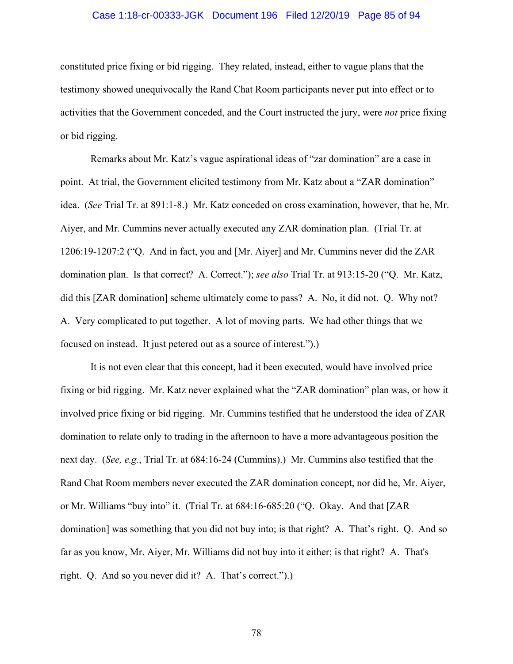#### Case 1:18-cr-00333-JGK Document 196 Filed 12/20/19 Page 85 of 94

constituted price fixing or bid rigging. They related, instead, either to vague plans that the testimony showed unequivocally the Rand Chat Room participants never put into effect or to activities that the Government conceded, and the Court instructed the jury, were *not* price fixing or bid rigging.

Remarks about Mr. Katz's vague aspirational ideas of "zar domination" are a case in point. At trial, the Government elicited testimony from Mr. Katz about a "ZAR domination" idea. (*See* Trial Tr. at 891:1-8.) Mr. Katz conceded on cross examination, however, that he, Mr. Aiyer, and Mr. Cummins never actually executed any ZAR domination plan. (Trial Tr. at 1206:19-1207:2 ("Q. And in fact, you and [Mr. Aiyer] and Mr. Cummins never did the ZAR domination plan. Is that correct? A. Correct."); *see also* Trial Tr. at 913:15-20 ("Q. Mr. Katz, did this [ZAR domination] scheme ultimately come to pass? A. No, it did not. Q. Why not? A. Very complicated to put together. A lot of moving parts. We had other things that we focused on instead. It just petered out as a source of interest.").)

It is not even clear that this concept, had it been executed, would have involved price fixing or bid rigging. Mr. Katz never explained what the "ZAR domination" plan was, or how it involved price fixing or bid rigging. Mr. Cummins testified that he understood the idea of ZAR domination to relate only to trading in the afternoon to have a more advantageous position the next day. (*See, e.g.*, Trial Tr. at 684:16-24 (Cummins).) Mr. Cummins also testified that the Rand Chat Room members never executed the ZAR domination concept, nor did he, Mr. Aiyer, or Mr. Williams "buy into" it. (Trial Tr. at 684:16-685:20 ("Q. Okay. And that [ZAR domination] was something that you did not buy into; is that right? A. That's right. Q. And so far as you know, Mr. Aiyer, Mr. Williams did not buy into it either; is that right? A. That's right. Q. And so you never did it? A. That's correct.").)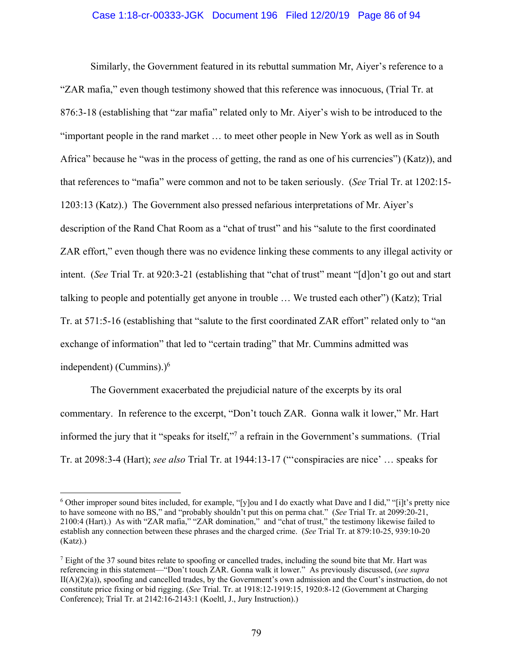### Case 1:18-cr-00333-JGK Document 196 Filed 12/20/19 Page 86 of 94

Similarly, the Government featured in its rebuttal summation Mr, Aiyer's reference to a "ZAR mafia," even though testimony showed that this reference was innocuous, (Trial Tr. at 876:3-18 (establishing that "zar mafia" related only to Mr. Aiyer's wish to be introduced to the "important people in the rand market … to meet other people in New York as well as in South Africa" because he "was in the process of getting, the rand as one of his currencies") (Katz)), and that references to "mafia" were common and not to be taken seriously. (*See* Trial Tr. at 1202:15- 1203:13 (Katz).) The Government also pressed nefarious interpretations of Mr. Aiyer's description of the Rand Chat Room as a "chat of trust" and his "salute to the first coordinated ZAR effort," even though there was no evidence linking these comments to any illegal activity or intent. (*See* Trial Tr. at 920:3-21 (establishing that "chat of trust" meant "[d]on't go out and start talking to people and potentially get anyone in trouble … We trusted each other") (Katz); Trial Tr. at 571:5-16 (establishing that "salute to the first coordinated ZAR effort" related only to "an exchange of information" that led to "certain trading" that Mr. Cummins admitted was independent) (Cummins).) $<sup>6</sup>$ </sup>

The Government exacerbated the prejudicial nature of the excerpts by its oral commentary. In reference to the excerpt, "Don't touch ZAR. Gonna walk it lower," Mr. Hart informed the jury that it "speaks for itself,"7 a refrain in the Government's summations. (Trial Tr. at 2098:3-4 (Hart); *see also* Trial Tr. at 1944:13-17 ("'conspiracies are nice' … speaks for

<sup>6</sup> Other improper sound bites included, for example, "[y]ou and I do exactly what Dave and I did," "[i]t's pretty nice to have someone with no BS," and "probably shouldn't put this on perma chat." (*See* Trial Tr. at 2099:20-21, 2100:4 (Hart).) As with "ZAR mafia," "ZAR domination," and "chat of trust," the testimony likewise failed to establish any connection between these phrases and the charged crime. (*See* Trial Tr. at 879:10-25, 939:10-20  $(Katz).$ 

 $<sup>7</sup>$  Eight of the 37 sound bites relate to spoofing or cancelled trades, including the sound bite that Mr. Hart was</sup> referencing in this statement—"Don't touch ZAR. Gonna walk it lower." As previously discussed, (*see supra*  $II(A)(2)(a)$ , spoofing and cancelled trades, by the Government's own admission and the Court's instruction, do not constitute price fixing or bid rigging. (*See* Trial. Tr. at 1918:12-1919:15, 1920:8-12 (Government at Charging Conference); Trial Tr. at 2142:16-2143:1 (Koeltl, J., Jury Instruction).)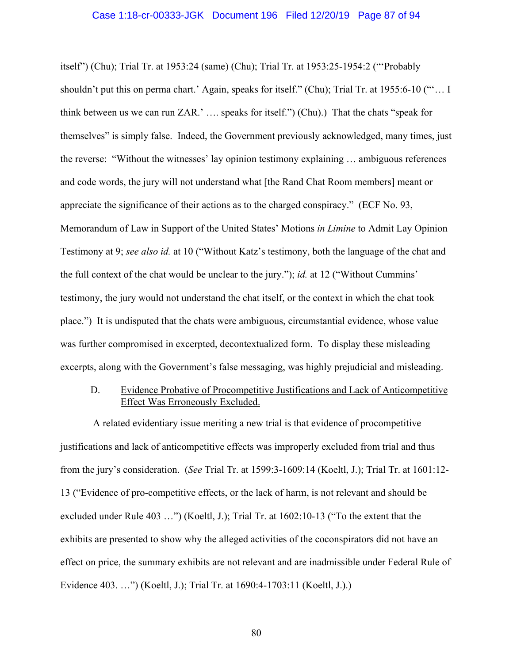#### Case 1:18-cr-00333-JGK Document 196 Filed 12/20/19 Page 87 of 94

itself") (Chu); Trial Tr. at 1953:24 (same) (Chu); Trial Tr. at 1953:25-1954:2 ("'Probably shouldn't put this on perma chart.' Again, speaks for itself." (Chu); Trial Tr. at 1955:6-10 ("'… I think between us we can run ZAR.' …. speaks for itself.") (Chu).) That the chats "speak for themselves" is simply false. Indeed, the Government previously acknowledged, many times, just the reverse: "Without the witnesses' lay opinion testimony explaining … ambiguous references and code words, the jury will not understand what [the Rand Chat Room members] meant or appreciate the significance of their actions as to the charged conspiracy." (ECF No. 93, Memorandum of Law in Support of the United States' Motions *in Limine* to Admit Lay Opinion Testimony at 9; *see also id.* at 10 ("Without Katz's testimony, both the language of the chat and the full context of the chat would be unclear to the jury."); *id.* at 12 ("Without Cummins' testimony, the jury would not understand the chat itself, or the context in which the chat took place.") It is undisputed that the chats were ambiguous, circumstantial evidence, whose value was further compromised in excerpted, decontextualized form. To display these misleading excerpts, along with the Government's false messaging, was highly prejudicial and misleading.

# D. Evidence Probative of Procompetitive Justifications and Lack of Anticompetitive Effect Was Erroneously Excluded.

 A related evidentiary issue meriting a new trial is that evidence of procompetitive justifications and lack of anticompetitive effects was improperly excluded from trial and thus from the jury's consideration. (*See* Trial Tr. at 1599:3-1609:14 (Koeltl, J.); Trial Tr. at 1601:12- 13 ("Evidence of pro-competitive effects, or the lack of harm, is not relevant and should be excluded under Rule 403 …") (Koeltl, J.); Trial Tr. at 1602:10-13 ("To the extent that the exhibits are presented to show why the alleged activities of the coconspirators did not have an effect on price, the summary exhibits are not relevant and are inadmissible under Federal Rule of Evidence 403. …") (Koeltl, J.); Trial Tr. at 1690:4-1703:11 (Koeltl, J.).)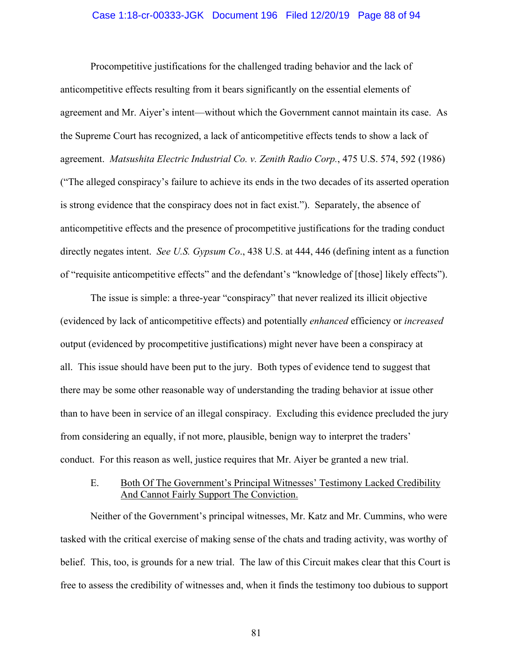#### Case 1:18-cr-00333-JGK Document 196 Filed 12/20/19 Page 88 of 94

Procompetitive justifications for the challenged trading behavior and the lack of anticompetitive effects resulting from it bears significantly on the essential elements of agreement and Mr. Aiyer's intent—without which the Government cannot maintain its case. As the Supreme Court has recognized, a lack of anticompetitive effects tends to show a lack of agreement. *Matsushita Electric Industrial Co. v. Zenith Radio Corp.*, 475 U.S. 574, 592 (1986) ("The alleged conspiracy's failure to achieve its ends in the two decades of its asserted operation is strong evidence that the conspiracy does not in fact exist."). Separately, the absence of anticompetitive effects and the presence of procompetitive justifications for the trading conduct directly negates intent. *See U.S. Gypsum Co*., 438 U.S. at 444, 446 (defining intent as a function of "requisite anticompetitive effects" and the defendant's "knowledge of [those] likely effects").

The issue is simple: a three-year "conspiracy" that never realized its illicit objective (evidenced by lack of anticompetitive effects) and potentially *enhanced* efficiency or *increased* output (evidenced by procompetitive justifications) might never have been a conspiracy at all. This issue should have been put to the jury. Both types of evidence tend to suggest that there may be some other reasonable way of understanding the trading behavior at issue other than to have been in service of an illegal conspiracy. Excluding this evidence precluded the jury from considering an equally, if not more, plausible, benign way to interpret the traders' conduct. For this reason as well, justice requires that Mr. Aiyer be granted a new trial.

# E. Both Of The Government's Principal Witnesses' Testimony Lacked Credibility And Cannot Fairly Support The Conviction.

Neither of the Government's principal witnesses, Mr. Katz and Mr. Cummins, who were tasked with the critical exercise of making sense of the chats and trading activity, was worthy of belief. This, too, is grounds for a new trial. The law of this Circuit makes clear that this Court is free to assess the credibility of witnesses and, when it finds the testimony too dubious to support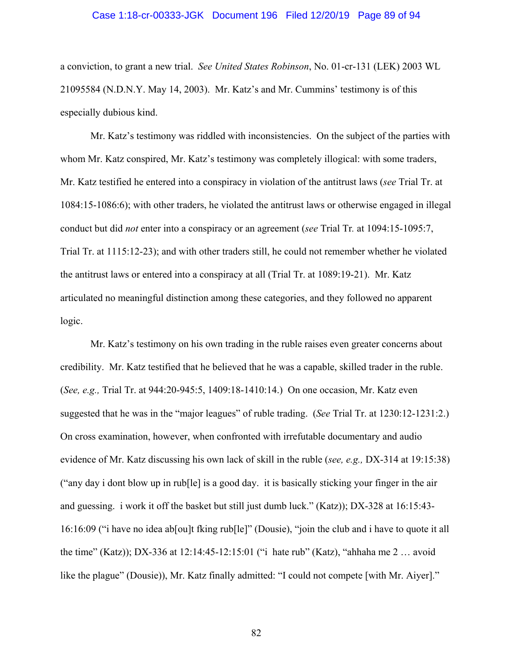#### Case 1:18-cr-00333-JGK Document 196 Filed 12/20/19 Page 89 of 94

a conviction, to grant a new trial. *See United States Robinson*, No. 01-cr-131 (LEK) 2003 WL 21095584 (N.D.N.Y. May 14, 2003). Mr. Katz's and Mr. Cummins' testimony is of this especially dubious kind.

Mr. Katz's testimony was riddled with inconsistencies. On the subject of the parties with whom Mr. Katz conspired, Mr. Katz's testimony was completely illogical: with some traders, Mr. Katz testified he entered into a conspiracy in violation of the antitrust laws (*see* Trial Tr. at 1084:15-1086:6); with other traders, he violated the antitrust laws or otherwise engaged in illegal conduct but did *not* enter into a conspiracy or an agreement (*see* Trial Tr*.* at 1094:15-1095:7, Trial Tr. at 1115:12-23); and with other traders still, he could not remember whether he violated the antitrust laws or entered into a conspiracy at all (Trial Tr. at 1089:19-21). Mr. Katz articulated no meaningful distinction among these categories, and they followed no apparent logic.

Mr. Katz's testimony on his own trading in the ruble raises even greater concerns about credibility. Mr. Katz testified that he believed that he was a capable, skilled trader in the ruble. (*See, e.g.,* Trial Tr. at 944:20-945:5, 1409:18-1410:14.) On one occasion, Mr. Katz even suggested that he was in the "major leagues" of ruble trading. (*See* Trial Tr. at 1230:12-1231:2.) On cross examination, however, when confronted with irrefutable documentary and audio evidence of Mr. Katz discussing his own lack of skill in the ruble (*see, e.g.,* DX-314 at 19:15:38) ("any day i dont blow up in rub[le] is a good day. it is basically sticking your finger in the air and guessing. i work it off the basket but still just dumb luck." (Katz)); DX-328 at 16:15:43- 16:16:09 ("i have no idea ab[ou]t fking rub[le]" (Dousie), "join the club and i have to quote it all the time" (Katz)); DX-336 at 12:14:45-12:15:01 ("i hate rub" (Katz), "ahhaha me 2 … avoid like the plague" (Dousie)), Mr. Katz finally admitted: "I could not compete [with Mr. Aiyer]."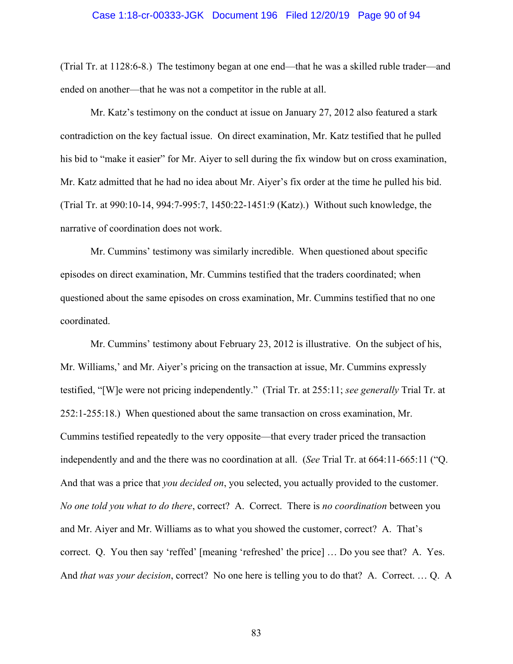#### Case 1:18-cr-00333-JGK Document 196 Filed 12/20/19 Page 90 of 94

(Trial Tr. at 1128:6-8.) The testimony began at one end—that he was a skilled ruble trader—and ended on another—that he was not a competitor in the ruble at all.

Mr. Katz's testimony on the conduct at issue on January 27, 2012 also featured a stark contradiction on the key factual issue. On direct examination, Mr. Katz testified that he pulled his bid to "make it easier" for Mr. Aiyer to sell during the fix window but on cross examination, Mr. Katz admitted that he had no idea about Mr. Aiyer's fix order at the time he pulled his bid. (Trial Tr. at 990:10-14, 994:7-995:7, 1450:22-1451:9 (Katz).) Without such knowledge, the narrative of coordination does not work.

Mr. Cummins' testimony was similarly incredible. When questioned about specific episodes on direct examination, Mr. Cummins testified that the traders coordinated; when questioned about the same episodes on cross examination, Mr. Cummins testified that no one coordinated.

Mr. Cummins' testimony about February 23, 2012 is illustrative. On the subject of his, Mr. Williams,' and Mr. Aiyer's pricing on the transaction at issue, Mr. Cummins expressly testified, "[W]e were not pricing independently." (Trial Tr. at 255:11; *see generally* Trial Tr. at 252:1-255:18.) When questioned about the same transaction on cross examination, Mr. Cummins testified repeatedly to the very opposite—that every trader priced the transaction independently and and the there was no coordination at all. (*See* Trial Tr. at 664:11-665:11 ("Q. And that was a price that *you decided on*, you selected, you actually provided to the customer. *No one told you what to do there*, correct? A. Correct. There is *no coordination* between you and Mr. Aiyer and Mr. Williams as to what you showed the customer, correct? A. That's correct. Q. You then say 'reffed' [meaning 'refreshed' the price] … Do you see that? A. Yes. And *that was your decision*, correct? No one here is telling you to do that? A. Correct. … Q. A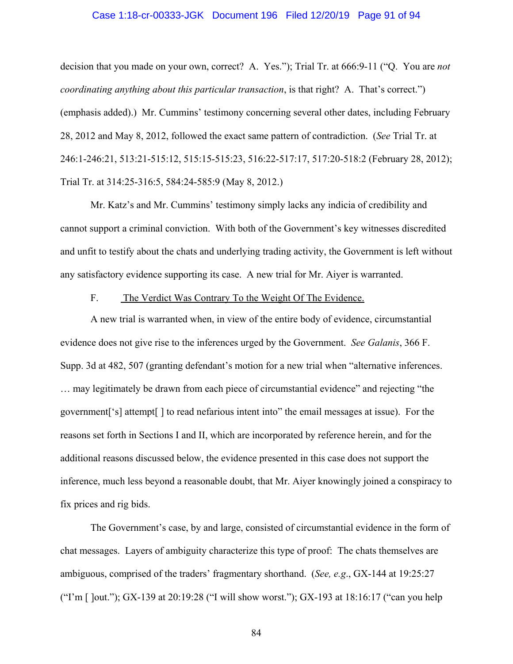#### Case 1:18-cr-00333-JGK Document 196 Filed 12/20/19 Page 91 of 94

decision that you made on your own, correct? A. Yes."); Trial Tr. at 666:9-11 ("Q. You are *not coordinating anything about this particular transaction*, is that right? A. That's correct.") (emphasis added).) Mr. Cummins' testimony concerning several other dates, including February 28, 2012 and May 8, 2012, followed the exact same pattern of contradiction. (*See* Trial Tr. at 246:1-246:21, 513:21-515:12, 515:15-515:23, 516:22-517:17, 517:20-518:2 (February 28, 2012); Trial Tr. at 314:25-316:5, 584:24-585:9 (May 8, 2012.)

Mr. Katz's and Mr. Cummins' testimony simply lacks any indicia of credibility and cannot support a criminal conviction. With both of the Government's key witnesses discredited and unfit to testify about the chats and underlying trading activity, the Government is left without any satisfactory evidence supporting its case. A new trial for Mr. Aiyer is warranted.

## F. The Verdict Was Contrary To the Weight Of The Evidence.

A new trial is warranted when, in view of the entire body of evidence, circumstantial evidence does not give rise to the inferences urged by the Government. *See Galanis*, 366 F. Supp. 3d at 482, 507 (granting defendant's motion for a new trial when "alternative inferences. … may legitimately be drawn from each piece of circumstantial evidence" and rejecting "the government['s] attempt[ ] to read nefarious intent into" the email messages at issue). For the reasons set forth in Sections I and II, which are incorporated by reference herein, and for the additional reasons discussed below, the evidence presented in this case does not support the inference, much less beyond a reasonable doubt, that Mr. Aiyer knowingly joined a conspiracy to fix prices and rig bids.

The Government's case, by and large, consisted of circumstantial evidence in the form of chat messages. Layers of ambiguity characterize this type of proof: The chats themselves are ambiguous, comprised of the traders' fragmentary shorthand. (*See, e.g*., GX-144 at 19:25:27 ("I'm [ ]out."); GX-139 at 20:19:28 ("I will show worst."); GX-193 at 18:16:17 ("can you help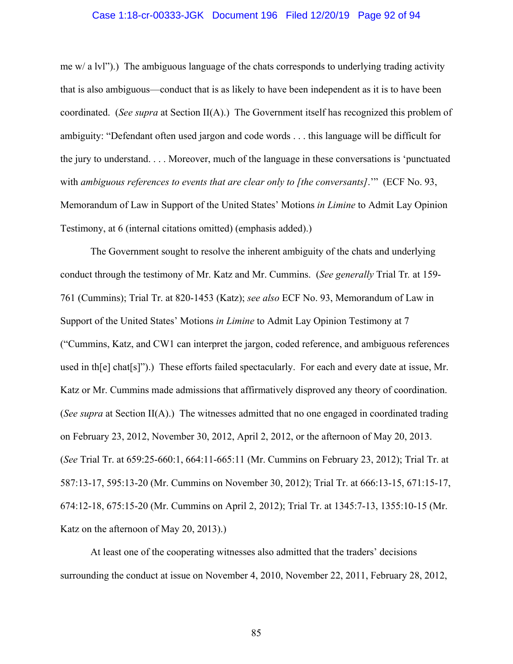#### Case 1:18-cr-00333-JGK Document 196 Filed 12/20/19 Page 92 of 94

me  $w/a$  lvl").) The ambiguous language of the chats corresponds to underlying trading activity that is also ambiguous—conduct that is as likely to have been independent as it is to have been coordinated. (*See supra* at Section II(A).) The Government itself has recognized this problem of ambiguity: "Defendant often used jargon and code words . . . this language will be difficult for the jury to understand. . . . Moreover, much of the language in these conversations is 'punctuated with *ambiguous references to events that are clear only to [the conversants]*.'" (ECF No. 93, Memorandum of Law in Support of the United States' Motions *in Limine* to Admit Lay Opinion Testimony, at 6 (internal citations omitted) (emphasis added).)

The Government sought to resolve the inherent ambiguity of the chats and underlying conduct through the testimony of Mr. Katz and Mr. Cummins. (*See generally* Trial Tr*.* at 159- 761 (Cummins); Trial Tr. at 820-1453 (Katz); *see also* ECF No. 93, Memorandum of Law in Support of the United States' Motions *in Limine* to Admit Lay Opinion Testimony at 7 ("Cummins, Katz, and CW1 can interpret the jargon, coded reference, and ambiguous references used in th[e] chat[s]").) These efforts failed spectacularly. For each and every date at issue, Mr. Katz or Mr. Cummins made admissions that affirmatively disproved any theory of coordination. (*See supra* at Section II(A).) The witnesses admitted that no one engaged in coordinated trading on February 23, 2012, November 30, 2012, April 2, 2012, or the afternoon of May 20, 2013. (*See* Trial Tr. at 659:25-660:1, 664:11-665:11 (Mr. Cummins on February 23, 2012); Trial Tr. at 587:13-17, 595:13-20 (Mr. Cummins on November 30, 2012); Trial Tr. at 666:13-15, 671:15-17, 674:12-18, 675:15-20 (Mr. Cummins on April 2, 2012); Trial Tr. at 1345:7-13, 1355:10-15 (Mr. Katz on the afternoon of May 20, 2013).)

At least one of the cooperating witnesses also admitted that the traders' decisions surrounding the conduct at issue on November 4, 2010, November 22, 2011, February 28, 2012,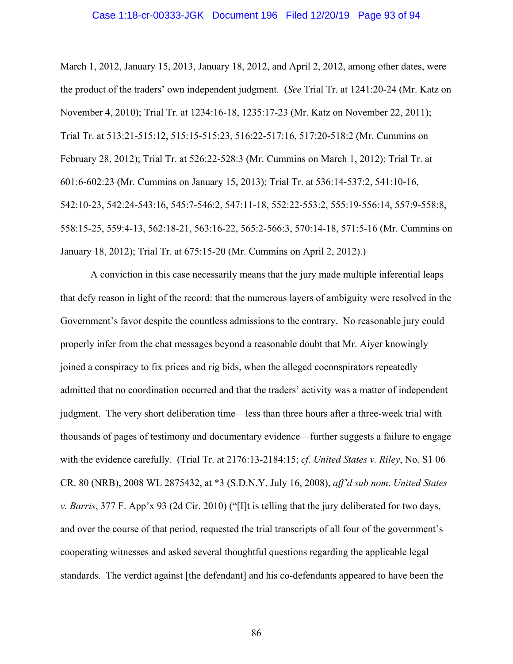March 1, 2012, January 15, 2013, January 18, 2012, and April 2, 2012, among other dates, were the product of the traders' own independent judgment. (*See* Trial Tr. at 1241:20-24 (Mr. Katz on November 4, 2010); Trial Tr. at 1234:16-18, 1235:17-23 (Mr. Katz on November 22, 2011); Trial Tr. at 513:21-515:12, 515:15-515:23, 516:22-517:16, 517:20-518:2 (Mr. Cummins on February 28, 2012); Trial Tr. at 526:22-528:3 (Mr. Cummins on March 1, 2012); Trial Tr. at 601:6-602:23 (Mr. Cummins on January 15, 2013); Trial Tr. at 536:14-537:2, 541:10-16, 542:10-23, 542:24-543:16, 545:7-546:2, 547:11-18, 552:22-553:2, 555:19-556:14, 557:9-558:8, 558:15-25, 559:4-13, 562:18-21, 563:16-22, 565:2-566:3, 570:14-18, 571:5-16 (Mr. Cummins on January 18, 2012); Trial Tr. at 675:15-20 (Mr. Cummins on April 2, 2012).)

A conviction in this case necessarily means that the jury made multiple inferential leaps that defy reason in light of the record: that the numerous layers of ambiguity were resolved in the Government's favor despite the countless admissions to the contrary. No reasonable jury could properly infer from the chat messages beyond a reasonable doubt that Mr. Aiyer knowingly joined a conspiracy to fix prices and rig bids, when the alleged coconspirators repeatedly admitted that no coordination occurred and that the traders' activity was a matter of independent judgment. The very short deliberation time—less than three hours after a three-week trial with thousands of pages of testimony and documentary evidence—further suggests a failure to engage with the evidence carefully. (Trial Tr. at 2176:13-2184:15; *cf*. *United States v. Riley*, No. S1 06 CR. 80 (NRB), 2008 WL 2875432, at \*3 (S.D.N.Y. July 16, 2008), *aff'd sub nom*. *United States v. Barris*, 377 F. App'x 93 (2d Cir. 2010) ("[I]t is telling that the jury deliberated for two days, and over the course of that period, requested the trial transcripts of all four of the government's cooperating witnesses and asked several thoughtful questions regarding the applicable legal standards. The verdict against [the defendant] and his co-defendants appeared to have been the